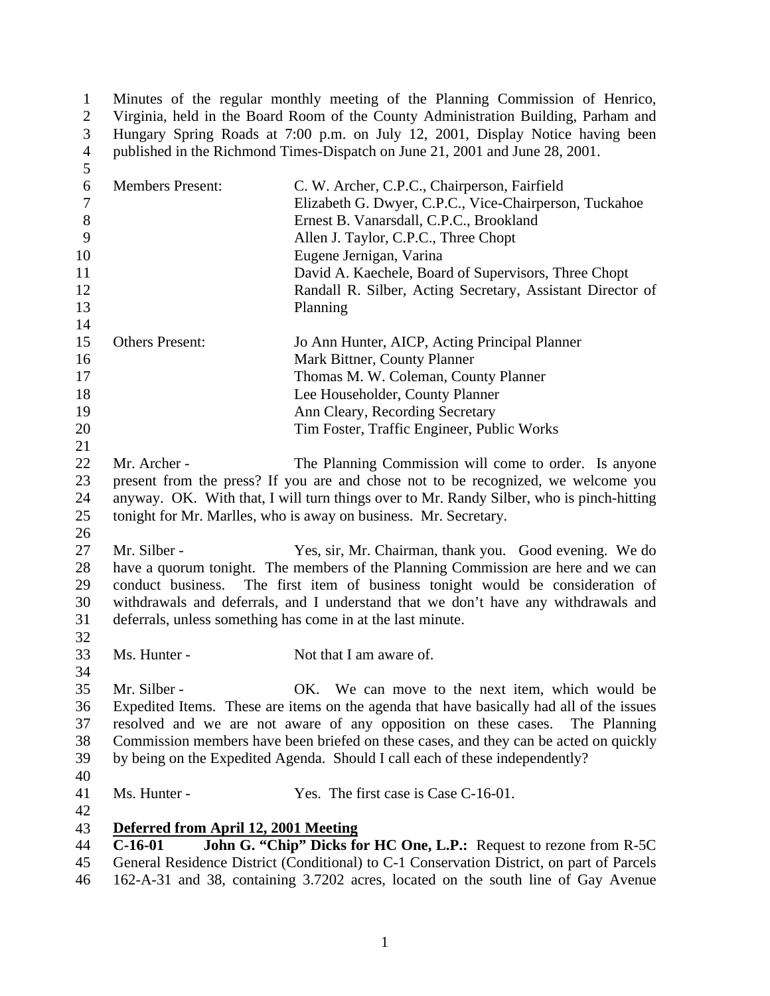1 Minutes of the regular monthly meeting of the Planning Commission of Henrico,<br>2 Virginia, held in the Board Room of the County Administration Building, Parham and 2 Virginia, held in the Board Room of the County Administration Building, Parham and Hungary Spring Roads at 7:00 p.m. on July 12, 2001, Display Notice having been Hungary Spring Roads at 7:00 p.m. on July 12, 2001, Display Notice having been published in the Richmond Times-Dispatch on June 21, 2001 and June 28, 2001.

| 5                |                                                                                    |                                                                                           |  |
|------------------|------------------------------------------------------------------------------------|-------------------------------------------------------------------------------------------|--|
| 6                | <b>Members Present:</b>                                                            | C. W. Archer, C.P.C., Chairperson, Fairfield                                              |  |
| $\boldsymbol{7}$ |                                                                                    | Elizabeth G. Dwyer, C.P.C., Vice-Chairperson, Tuckahoe                                    |  |
| $8\,$            |                                                                                    | Ernest B. Vanarsdall, C.P.C., Brookland                                                   |  |
| 9                |                                                                                    | Allen J. Taylor, C.P.C., Three Chopt                                                      |  |
| 10               |                                                                                    | Eugene Jernigan, Varina                                                                   |  |
| 11               |                                                                                    | David A. Kaechele, Board of Supervisors, Three Chopt                                      |  |
| 12               |                                                                                    | Randall R. Silber, Acting Secretary, Assistant Director of                                |  |
| 13               |                                                                                    | Planning                                                                                  |  |
| 14               |                                                                                    |                                                                                           |  |
| 15               | <b>Others Present:</b>                                                             | Jo Ann Hunter, AICP, Acting Principal Planner                                             |  |
| 16               |                                                                                    | Mark Bittner, County Planner                                                              |  |
| 17               |                                                                                    | Thomas M. W. Coleman, County Planner                                                      |  |
| 18               |                                                                                    | Lee Householder, County Planner                                                           |  |
| 19               |                                                                                    | Ann Cleary, Recording Secretary                                                           |  |
| 20               |                                                                                    | Tim Foster, Traffic Engineer, Public Works                                                |  |
| 21               |                                                                                    |                                                                                           |  |
| 22               | Mr. Archer -                                                                       | The Planning Commission will come to order. Is anyone                                     |  |
| 23               |                                                                                    | present from the press? If you are and chose not to be recognized, we welcome you         |  |
| 24               |                                                                                    | anyway. OK. With that, I will turn things over to Mr. Randy Silber, who is pinch-hitting  |  |
| 25               |                                                                                    | tonight for Mr. Marlles, who is away on business. Mr. Secretary.                          |  |
| 26               |                                                                                    |                                                                                           |  |
| 27               | Mr. Silber -                                                                       | Yes, sir, Mr. Chairman, thank you. Good evening. We do                                    |  |
| 28               |                                                                                    | have a quorum tonight. The members of the Planning Commission are here and we can         |  |
| 29               | conduct business.                                                                  | The first item of business tonight would be consideration of                              |  |
| 30               | withdrawals and deferrals, and I understand that we don't have any withdrawals and |                                                                                           |  |
| 31               | deferrals, unless something has come in at the last minute.                        |                                                                                           |  |
| 32               |                                                                                    |                                                                                           |  |
| 33               | Ms. Hunter -                                                                       | Not that I am aware of.                                                                   |  |
| 34               |                                                                                    |                                                                                           |  |
| 35               | Mr. Silber -                                                                       | OK. We can move to the next item, which would be                                          |  |
| 36               |                                                                                    | Expedited Items. These are items on the agenda that have basically had all of the issues  |  |
| 37               |                                                                                    | resolved and we are not aware of any opposition on these cases. The Planning              |  |
| 38               |                                                                                    | Commission members have been briefed on these cases, and they can be acted on quickly     |  |
| 39               |                                                                                    | by being on the Expedited Agenda. Should I call each of these independently?              |  |
| 40               |                                                                                    |                                                                                           |  |
| 41               | Ms. Hunter -                                                                       | Yes. The first case is Case C-16-01.                                                      |  |
| 42               |                                                                                    |                                                                                           |  |
| 43               | Deferred from April 12, 2001 Meeting                                               |                                                                                           |  |
| 44               | $C-16-01$                                                                          | John G. "Chip" Dicks for HC One, L.P.: Request to rezone from R-5C                        |  |
| 45               |                                                                                    | General Residence District (Conditional) to C-1 Conservation District, on part of Parcels |  |
| 46               |                                                                                    | 162-A-31 and 38, containing 3.7202 acres, located on the south line of Gay Avenue         |  |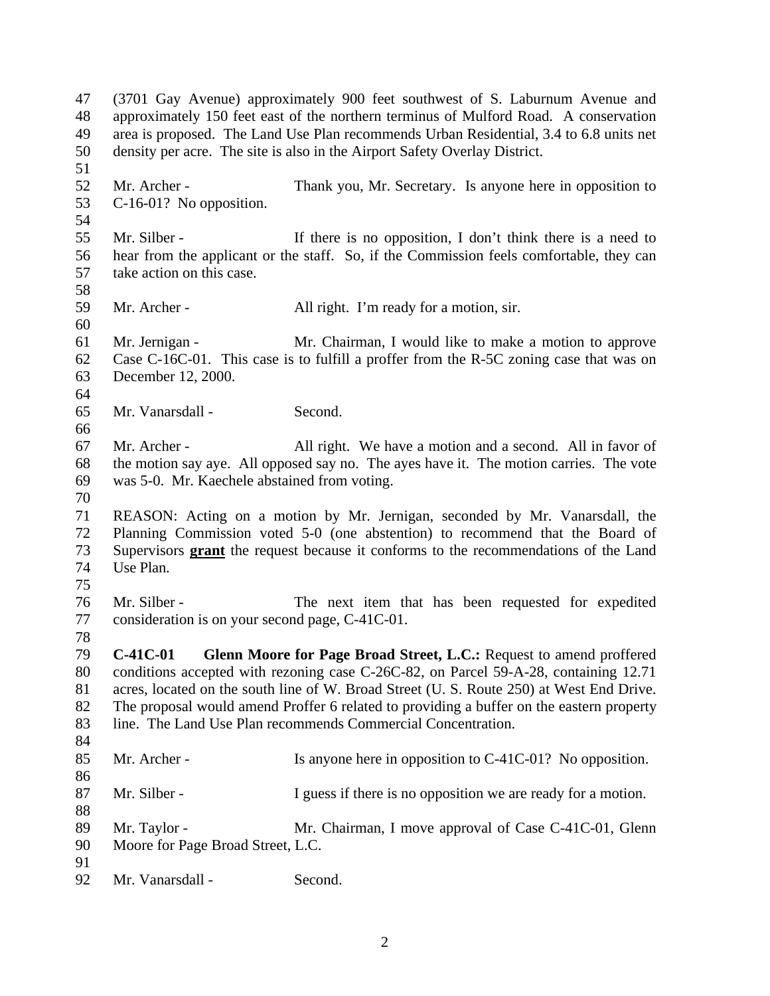(3701 Gay Avenue) approximately 900 feet southwest of S. Laburnum Avenue and approximately 150 feet east of the northern terminus of Mulford Road. A conservation area is proposed. The Land Use Plan recommends Urban Residential, 3.4 to 6.8 units net density per acre. The site is also in the Airport Safety Overlay District. Mr. Archer - Thank you, Mr. Secretary. Is anyone here in opposition to C-16-01? No opposition. Mr. Silber - If there is no opposition, I don't think there is a need to hear from the applicant or the staff. So, if the Commission feels comfortable, they can take action on this case. 59 Mr. Archer - All right. I'm ready for a motion, sir. Mr. Jernigan - Mr. Chairman, I would like to make a motion to approve Case C-16C-01. This case is to fulfill a proffer from the R-5C zoning case that was on December 12, 2000. Mr. Vanarsdall - Second. Mr. Archer - All right. We have a motion and a second. All in favor of the motion say aye. All opposed say no. The ayes have it. The motion carries. The vote was 5-0. Mr. Kaechele abstained from voting. REASON: Acting on a motion by Mr. Jernigan, seconded by Mr. Vanarsdall, the Planning Commission voted 5-0 (one abstention) to recommend that the Board of Supervisors **grant** the request because it conforms to the recommendations of the Land Use Plan. Mr. Silber - The next item that has been requested for expedited consideration is on your second page, C-41C-01. **C-41C-01 Glenn Moore for Page Broad Street, L.C.:** Request to amend proffered conditions accepted with rezoning case C-26C-82, on Parcel 59-A-28, containing 12.71 acres, located on the south line of W. Broad Street (U. S. Route 250) at West End Drive. The proposal would amend Proffer 6 related to providing a buffer on the eastern property line. The Land Use Plan recommends Commercial Concentration. 85 Mr. Archer - Is anyone here in opposition to C-41C-01? No opposition. 87 Mr. Silber - I guess if there is no opposition we are ready for a motion. 89 Mr. Taylor - Mr. Chairman, I move approval of Case C-41C-01, Glenn Moore for Page Broad Street, L.C. Mr. Vanarsdall - Second.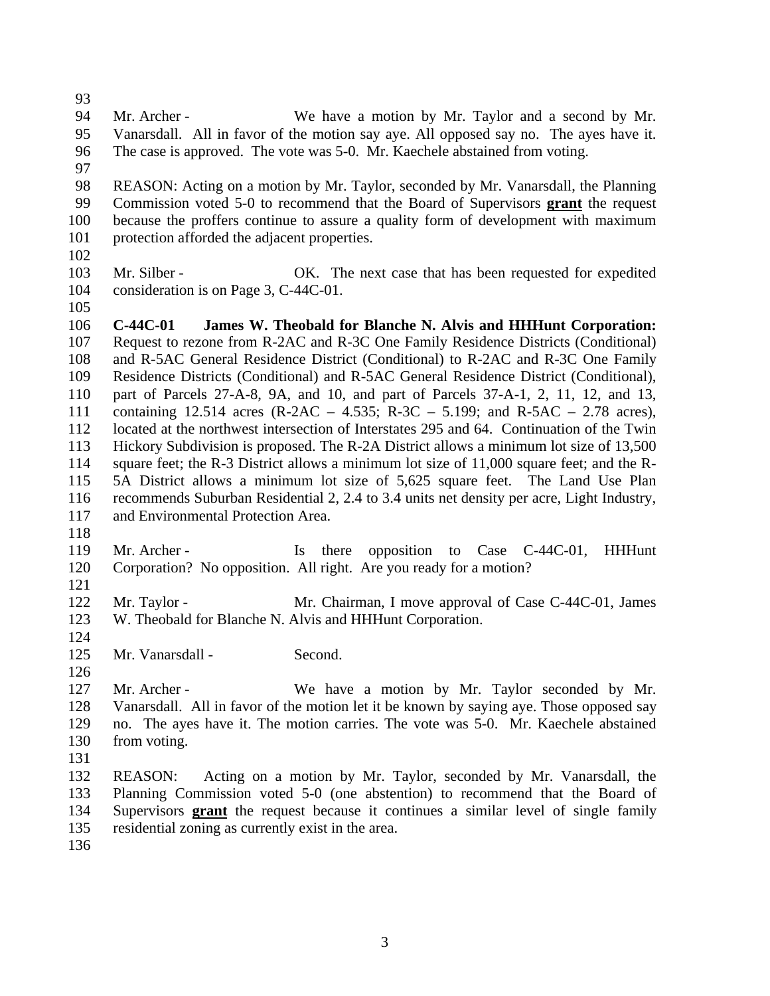- 
- Mr. Archer We have a motion by Mr. Taylor and a second by Mr. Vanarsdall. All in favor of the motion say aye. All opposed say no. The ayes have it. The case is approved. The vote was 5-0. Mr. Kaechele abstained from voting.
- 
- REASON: Acting on a motion by Mr. Taylor, seconded by Mr. Vanarsdall, the Planning Commission voted 5-0 to recommend that the Board of Supervisors **grant** the request because the proffers continue to assure a quality form of development with maximum protection afforded the adjacent properties.
- 
- Mr. Silber OK. The next case that has been requested for expedited consideration is on Page 3, C-44C-01.
- 

 **C-44C-01 James W. Theobald for Blanche N. Alvis and HHHunt Corporation:** Request to rezone from R-2AC and R-3C One Family Residence Districts (Conditional) and R-5AC General Residence District (Conditional) to R-2AC and R-3C One Family Residence Districts (Conditional) and R-5AC General Residence District (Conditional), part of Parcels 27-A-8, 9A, and 10, and part of Parcels 37-A-1, 2, 11, 12, and 13, containing 12.514 acres (R-2AC – 4.535; R-3C – 5.199; and R-5AC – 2.78 acres), located at the northwest intersection of Interstates 295 and 64. Continuation of the Twin Hickory Subdivision is proposed. The R-2A District allows a minimum lot size of 13,500 114 square feet; the R-3 District allows a minimum lot size of 11,000 square feet; and the R- 5A District allows a minimum lot size of 5,625 square feet. The Land Use Plan recommends Suburban Residential 2, 2.4 to 3.4 units net density per acre, Light Industry, and Environmental Protection Area.

119 Mr. Archer - Is there opposition to Case C-44C-01, HHHunt Corporation? No opposition. All right. Are you ready for a motion?

122 Mr. Taylor - Mr. Chairman, I move approval of Case C-44C-01, James W. Theobald for Blanche N. Alvis and HHHunt Corporation.

- 125 Mr. Vanarsdall - Second.
- 

 Mr. Archer - We have a motion by Mr. Taylor seconded by Mr. Vanarsdall. All in favor of the motion let it be known by saying aye. Those opposed say no. The ayes have it. The motion carries. The vote was 5-0. Mr. Kaechele abstained 130 from voting.

- 
- REASON: Acting on a motion by Mr. Taylor, seconded by Mr. Vanarsdall, the Planning Commission voted 5-0 (one abstention) to recommend that the Board of Supervisors **grant** the request because it continues a similar level of single family residential zoning as currently exist in the area.
-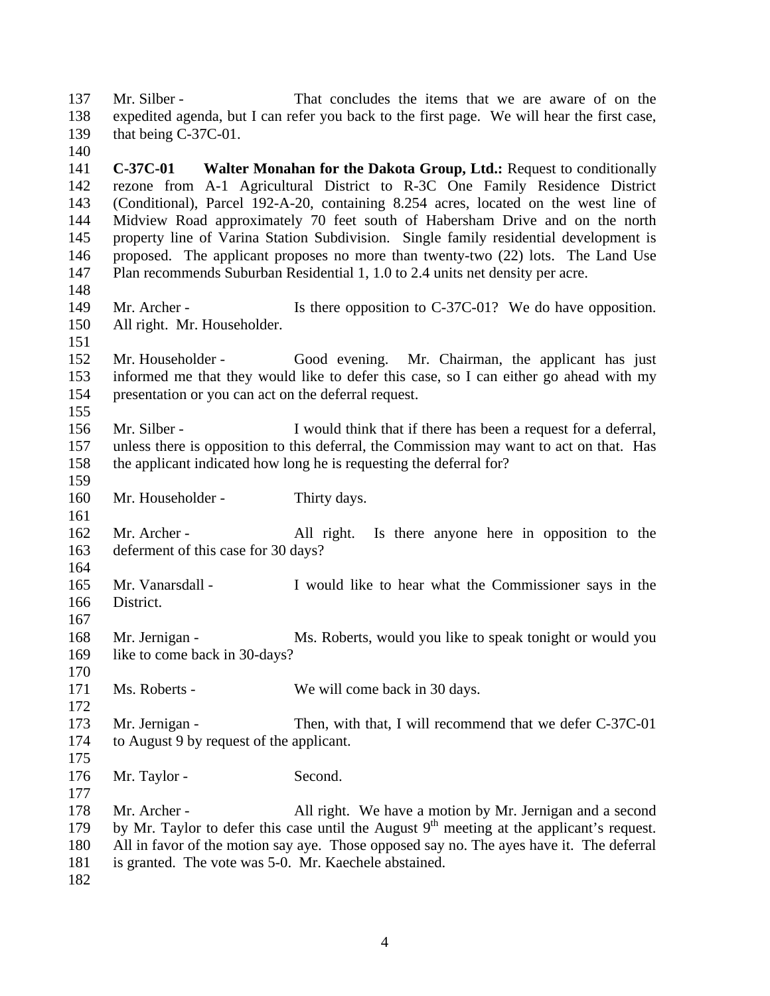Mr. Silber - That concludes the items that we are aware of on the expedited agenda, but I can refer you back to the first page. We will hear the first case, that being C-37C-01.

 **C-37C-01 Walter Monahan for the Dakota Group, Ltd.:** Request to conditionally rezone from A-1 Agricultural District to R-3C One Family Residence District (Conditional), Parcel 192-A-20, containing 8.254 acres, located on the west line of Midview Road approximately 70 feet south of Habersham Drive and on the north property line of Varina Station Subdivision. Single family residential development is proposed. The applicant proposes no more than twenty-two (22) lots. The Land Use Plan recommends Suburban Residential 1, 1.0 to 2.4 units net density per acre.

- 149 Mr. Archer Is there opposition to C-37C-01? We do have opposition. All right. Mr. Householder.
- Mr. Householder Good evening. Mr. Chairman, the applicant has just informed me that they would like to defer this case, so I can either go ahead with my presentation or you can act on the deferral request.
- Mr. Silber I would think that if there has been a request for a deferral, unless there is opposition to this deferral, the Commission may want to act on that. Has the applicant indicated how long he is requesting the deferral for?
- 160 Mr. Householder Thirty days.
- Mr. Archer All right. Is there anyone here in opposition to the deferment of this case for 30 days?
- Mr. Vanarsdall I would like to hear what the Commissioner says in the District.
- 168 Mr. Jernigan Ms. Roberts, would you like to speak tonight or would you 169 like to come back in 30-days?
- 171 Ms. Roberts We will come back in 30 days.
- 173 Mr. Jernigan Then, with that, I will recommend that we defer C-37C-01 to August 9 by request of the applicant.
- 
- 176 Mr. Taylor Second.
- 178 Mr. Archer All right. We have a motion by Mr. Jernigan and a second 179 by Mr. Taylor to defer this case until the August  $9<sup>th</sup>$  meeting at the applicant's request. All in favor of the motion say aye. Those opposed say no. The ayes have it. The deferral is granted. The vote was 5-0. Mr. Kaechele abstained.
-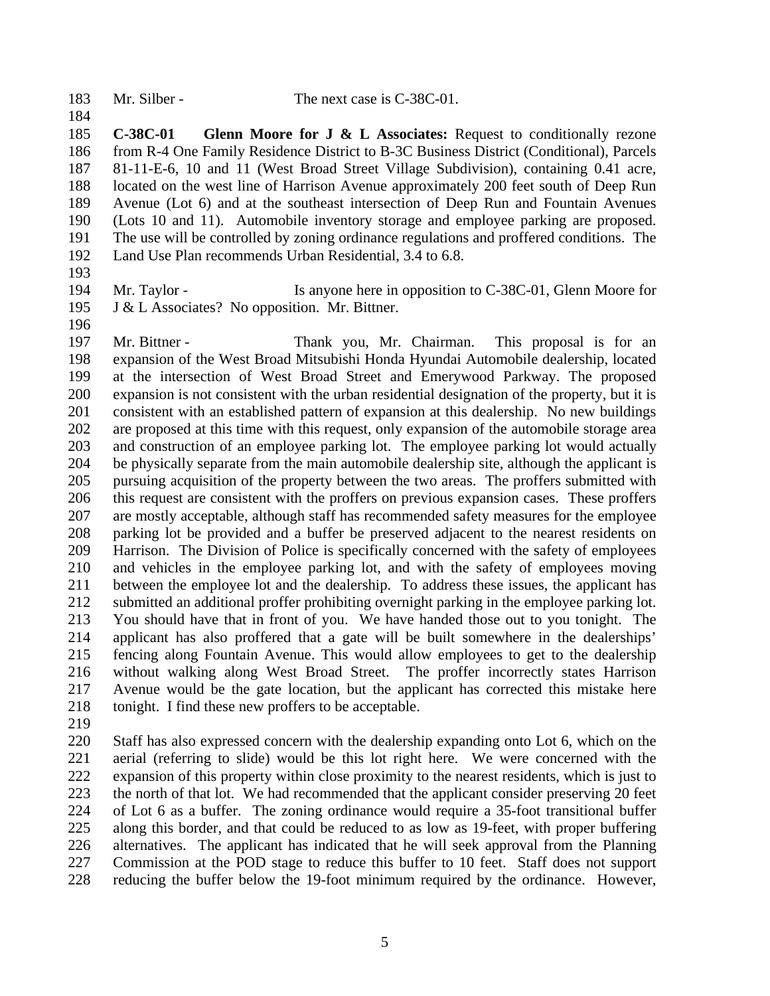183 Mr. Silber - The next case is C-38C-01.

 **C-38C-01 Glenn Moore for J & L Associates:** Request to conditionally rezone from R-4 One Family Residence District to B-3C Business District (Conditional), Parcels 81-11-E-6, 10 and 11 (West Broad Street Village Subdivision), containing 0.41 acre, located on the west line of Harrison Avenue approximately 200 feet south of Deep Run Avenue (Lot 6) and at the southeast intersection of Deep Run and Fountain Avenues (Lots 10 and 11). Automobile inventory storage and employee parking are proposed. The use will be controlled by zoning ordinance regulations and proffered conditions. The Land Use Plan recommends Urban Residential, 3.4 to 6.8.

194 Mr. Taylor - Is anyone here in opposition to C-38C-01, Glenn Moore for

J & L Associates? No opposition. Mr. Bittner.

 Mr. Bittner - Thank you, Mr. Chairman. This proposal is for an expansion of the West Broad Mitsubishi Honda Hyundai Automobile dealership, located at the intersection of West Broad Street and Emerywood Parkway. The proposed expansion is not consistent with the urban residential designation of the property, but it is consistent with an established pattern of expansion at this dealership. No new buildings are proposed at this time with this request, only expansion of the automobile storage area and construction of an employee parking lot. The employee parking lot would actually be physically separate from the main automobile dealership site, although the applicant is pursuing acquisition of the property between the two areas. The proffers submitted with this request are consistent with the proffers on previous expansion cases. These proffers are mostly acceptable, although staff has recommended safety measures for the employee parking lot be provided and a buffer be preserved adjacent to the nearest residents on Harrison. The Division of Police is specifically concerned with the safety of employees and vehicles in the employee parking lot, and with the safety of employees moving between the employee lot and the dealership. To address these issues, the applicant has submitted an additional proffer prohibiting overnight parking in the employee parking lot. You should have that in front of you. We have handed those out to you tonight. The applicant has also proffered that a gate will be built somewhere in the dealerships' fencing along Fountain Avenue. This would allow employees to get to the dealership without walking along West Broad Street. The proffer incorrectly states Harrison Avenue would be the gate location, but the applicant has corrected this mistake here 218 tonight. I find these new proffers to be acceptable.

 Staff has also expressed concern with the dealership expanding onto Lot 6, which on the aerial (referring to slide) would be this lot right here. We were concerned with the expansion of this property within close proximity to the nearest residents, which is just to the north of that lot. We had recommended that the applicant consider preserving 20 feet of Lot 6 as a buffer. The zoning ordinance would require a 35-foot transitional buffer along this border, and that could be reduced to as low as 19-feet, with proper buffering alternatives. The applicant has indicated that he will seek approval from the Planning Commission at the POD stage to reduce this buffer to 10 feet. Staff does not support reducing the buffer below the 19-foot minimum required by the ordinance. However,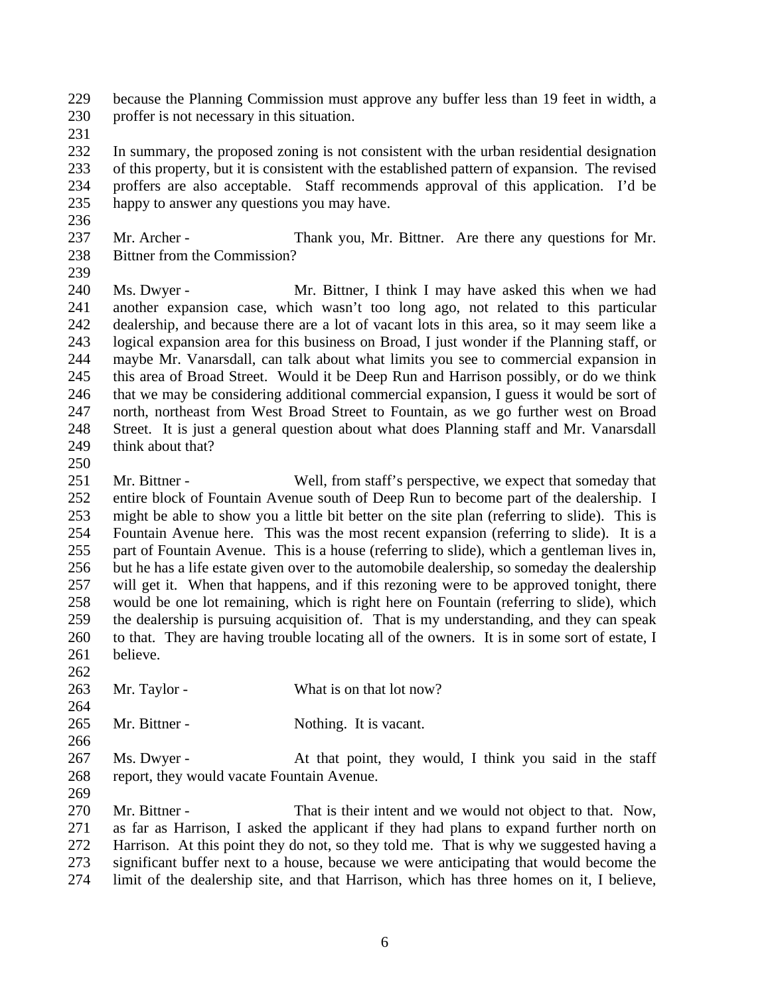because the Planning Commission must approve any buffer less than 19 feet in width, a proffer is not necessary in this situation.

 In summary, the proposed zoning is not consistent with the urban residential designation of this property, but it is consistent with the established pattern of expansion. The revised proffers are also acceptable. Staff recommends approval of this application. I'd be happy to answer any questions you may have.

- 237 Mr. Archer Thank you, Mr. Bittner. Are there any questions for Mr. Bittner from the Commission?
- 

 Ms. Dwyer - Mr. Bittner, I think I may have asked this when we had another expansion case, which wasn't too long ago, not related to this particular dealership, and because there are a lot of vacant lots in this area, so it may seem like a logical expansion area for this business on Broad, I just wonder if the Planning staff, or maybe Mr. Vanarsdall, can talk about what limits you see to commercial expansion in this area of Broad Street. Would it be Deep Run and Harrison possibly, or do we think that we may be considering additional commercial expansion, I guess it would be sort of north, northeast from West Broad Street to Fountain, as we go further west on Broad Street. It is just a general question about what does Planning staff and Mr. Vanarsdall 249 think about that?

 Mr. Bittner - Well, from staff's perspective, we expect that someday that entire block of Fountain Avenue south of Deep Run to become part of the dealership. I might be able to show you a little bit better on the site plan (referring to slide). This is Fountain Avenue here. This was the most recent expansion (referring to slide). It is a part of Fountain Avenue. This is a house (referring to slide), which a gentleman lives in, but he has a life estate given over to the automobile dealership, so someday the dealership will get it. When that happens, and if this rezoning were to be approved tonight, there would be one lot remaining, which is right here on Fountain (referring to slide), which the dealership is pursuing acquisition of. That is my understanding, and they can speak to that. They are having trouble locating all of the owners. It is in some sort of estate, I believe. 

- 263 Mr. Taylor What is on that lot now?
- 265 Mr. Bittner Nothing. It is vacant.
- 267 Ms. Dwyer - At that point, they would, I think you said in the staff report, they would vacate Fountain Avenue.
- 

 Mr. Bittner - That is their intent and we would not object to that. Now, as far as Harrison, I asked the applicant if they had plans to expand further north on Harrison. At this point they do not, so they told me. That is why we suggested having a significant buffer next to a house, because we were anticipating that would become the limit of the dealership site, and that Harrison, which has three homes on it, I believe,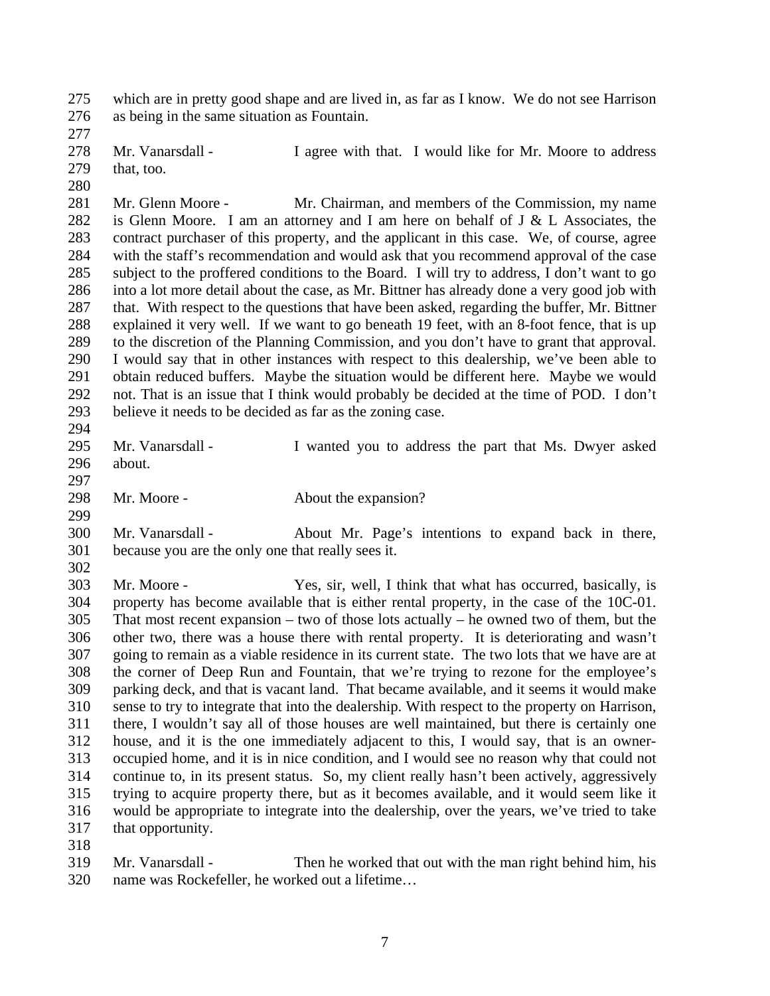which are in pretty good shape and are lived in, as far as I know. We do not see Harrison as being in the same situation as Fountain.

278 Mr. Vanarsdall - I agree with that. I would like for Mr. Moore to address 279 that, too.

 Mr. Glenn Moore - Mr. Chairman, and members of the Commission, my name 282 is Glenn Moore. I am an attorney and I am here on behalf of  $J & L$  Associates, the contract purchaser of this property, and the applicant in this case. We, of course, agree with the staff's recommendation and would ask that you recommend approval of the case subject to the proffered conditions to the Board. I will try to address, I don't want to go into a lot more detail about the case, as Mr. Bittner has already done a very good job with that. With respect to the questions that have been asked, regarding the buffer, Mr. Bittner explained it very well. If we want to go beneath 19 feet, with an 8-foot fence, that is up to the discretion of the Planning Commission, and you don't have to grant that approval. I would say that in other instances with respect to this dealership, we've been able to obtain reduced buffers. Maybe the situation would be different here. Maybe we would not. That is an issue that I think would probably be decided at the time of POD. I don't believe it needs to be decided as far as the zoning case. 

- Mr. Vanarsdall I wanted you to address the part that Ms. Dwyer asked
- about.

298 Mr. Moore - About the expansion?

 Mr. Vanarsdall - About Mr. Page's intentions to expand back in there, because you are the only one that really sees it.

 Mr. Moore - Yes, sir, well, I think that what has occurred, basically, is property has become available that is either rental property, in the case of the 10C-01. That most recent expansion – two of those lots actually – he owned two of them, but the other two, there was a house there with rental property. It is deteriorating and wasn't going to remain as a viable residence in its current state. The two lots that we have are at the corner of Deep Run and Fountain, that we're trying to rezone for the employee's parking deck, and that is vacant land. That became available, and it seems it would make sense to try to integrate that into the dealership. With respect to the property on Harrison, there, I wouldn't say all of those houses are well maintained, but there is certainly one house, and it is the one immediately adjacent to this, I would say, that is an owner- occupied home, and it is in nice condition, and I would see no reason why that could not continue to, in its present status. So, my client really hasn't been actively, aggressively trying to acquire property there, but as it becomes available, and it would seem like it would be appropriate to integrate into the dealership, over the years, we've tried to take that opportunity. 

 Mr. Vanarsdall - Then he worked that out with the man right behind him, his name was Rockefeller, he worked out a lifetime…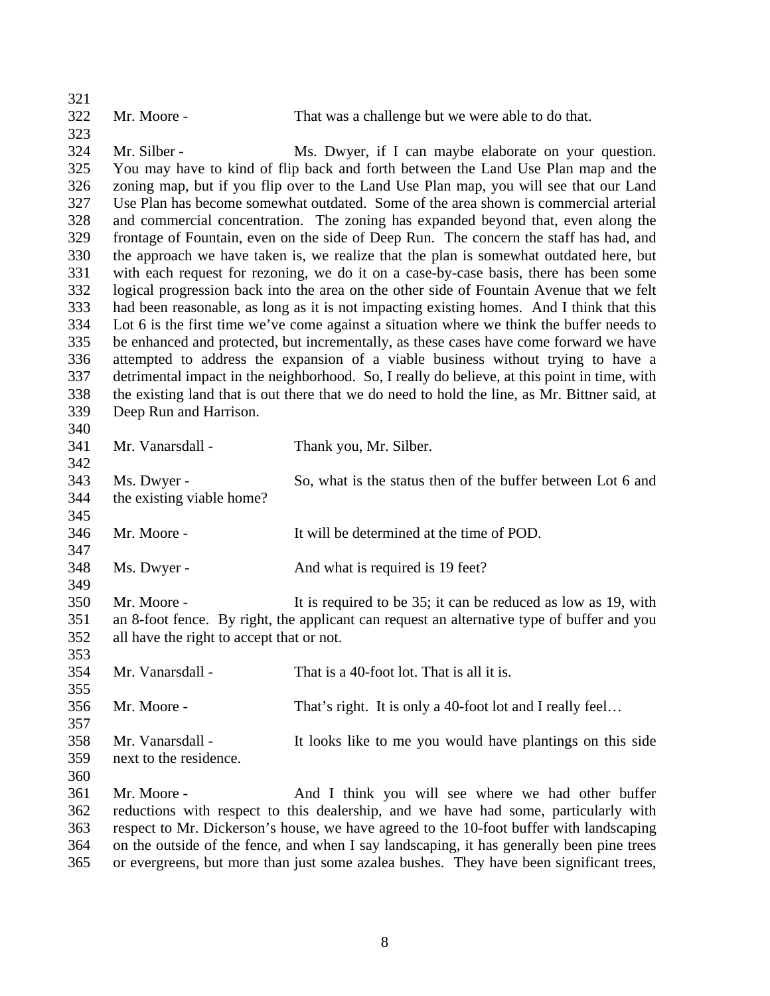| 321 |                                           |                                                                                               |
|-----|-------------------------------------------|-----------------------------------------------------------------------------------------------|
| 322 | Mr. Moore -                               | That was a challenge but we were able to do that.                                             |
| 323 |                                           |                                                                                               |
| 324 | Mr. Silber -                              | Ms. Dwyer, if I can maybe elaborate on your question.                                         |
| 325 |                                           | You may have to kind of flip back and forth between the Land Use Plan map and the             |
| 326 |                                           | zoning map, but if you flip over to the Land Use Plan map, you will see that our Land         |
| 327 |                                           | Use Plan has become somewhat outdated. Some of the area shown is commercial arterial          |
| 328 |                                           | and commercial concentration. The zoning has expanded beyond that, even along the             |
| 329 |                                           | frontage of Fountain, even on the side of Deep Run. The concern the staff has had, and        |
| 330 |                                           | the approach we have taken is, we realize that the plan is somewhat outdated here, but        |
| 331 |                                           | with each request for rezoning, we do it on a case-by-case basis, there has been some         |
| 332 |                                           | logical progression back into the area on the other side of Fountain Avenue that we felt      |
| 333 |                                           | had been reasonable, as long as it is not impacting existing homes. And I think that this     |
| 334 |                                           | Lot 6 is the first time we've come against a situation where we think the buffer needs to     |
| 335 |                                           | be enhanced and protected, but incrementally, as these cases have come forward we have        |
| 336 |                                           | attempted to address the expansion of a viable business without trying to have a              |
| 337 |                                           |                                                                                               |
| 338 |                                           | detrimental impact in the neighborhood. So, I really do believe, at this point in time, with  |
| 339 |                                           | the existing land that is out there that we do need to hold the line, as Mr. Bittner said, at |
|     | Deep Run and Harrison.                    |                                                                                               |
| 340 |                                           |                                                                                               |
| 341 | Mr. Vanarsdall -                          | Thank you, Mr. Silber.                                                                        |
| 342 |                                           |                                                                                               |
| 343 | Ms. Dwyer -                               | So, what is the status then of the buffer between Lot 6 and                                   |
| 344 | the existing viable home?                 |                                                                                               |
| 345 |                                           |                                                                                               |
| 346 | Mr. Moore -                               | It will be determined at the time of POD.                                                     |
| 347 |                                           |                                                                                               |
| 348 | Ms. Dwyer -                               | And what is required is 19 feet?                                                              |
| 349 |                                           |                                                                                               |
| 350 | Mr. Moore -                               | It is required to be 35; it can be reduced as low as 19, with                                 |
| 351 |                                           | an 8-foot fence. By right, the applicant can request an alternative type of buffer and you    |
| 352 | all have the right to accept that or not. |                                                                                               |
| 353 |                                           |                                                                                               |
| 354 | Mr. Vanarsdall -                          | That is a 40-foot lot. That is all it is.                                                     |
| 355 |                                           |                                                                                               |
| 356 | Mr. Moore -                               | That's right. It is only a 40-foot lot and I really feel                                      |
| 357 |                                           |                                                                                               |
| 358 | Mr. Vanarsdall -                          | It looks like to me you would have plantings on this side                                     |
| 359 | next to the residence.                    |                                                                                               |
| 360 |                                           |                                                                                               |
| 361 | Mr. Moore -                               | And I think you will see where we had other buffer                                            |
| 362 |                                           | reductions with respect to this dealership, and we have had some, particularly with           |
| 363 |                                           | respect to Mr. Dickerson's house, we have agreed to the 10-foot buffer with landscaping       |
| 364 |                                           | on the outside of the fence, and when I say landscaping, it has generally been pine trees     |
| 365 |                                           | or evergreens, but more than just some azalea bushes. They have been significant trees,       |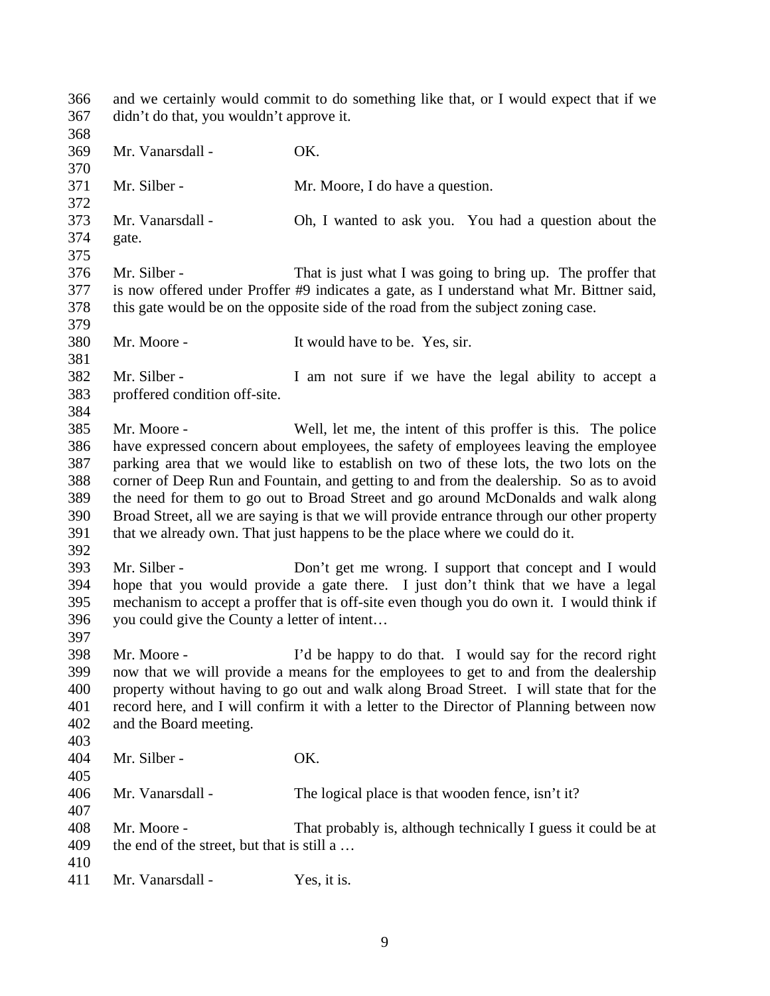and we certainly would commit to do something like that, or I would expect that if we didn't do that, you wouldn't approve it. Mr. Vanarsdall - OK. Mr. Silber - Mr. Moore, I do have a question. Mr. Vanarsdall - Oh, I wanted to ask you. You had a question about the gate. Mr. Silber - That is just what I was going to bring up. The proffer that is now offered under Proffer #9 indicates a gate, as I understand what Mr. Bittner said, this gate would be on the opposite side of the road from the subject zoning case. Mr. Moore - It would have to be. Yes, sir. Mr. Silber - I am not sure if we have the legal ability to accept a proffered condition off-site. Mr. Moore - Well, let me, the intent of this proffer is this. The police have expressed concern about employees, the safety of employees leaving the employee parking area that we would like to establish on two of these lots, the two lots on the corner of Deep Run and Fountain, and getting to and from the dealership. So as to avoid the need for them to go out to Broad Street and go around McDonalds and walk along Broad Street, all we are saying is that we will provide entrance through our other property that we already own. That just happens to be the place where we could do it. Mr. Silber - Don't get me wrong. I support that concept and I would hope that you would provide a gate there. I just don't think that we have a legal mechanism to accept a proffer that is off-site even though you do own it. I would think if you could give the County a letter of intent… Mr. Moore - I'd be happy to do that. I would say for the record right now that we will provide a means for the employees to get to and from the dealership property without having to go out and walk along Broad Street. I will state that for the record here, and I will confirm it with a letter to the Director of Planning between now and the Board meeting. Mr. Silber - OK. Mr. Vanarsdall - The logical place is that wooden fence, isn't it? Mr. Moore - That probably is, although technically I guess it could be at the end of the street, but that is still a … 411 Mr. Vanarsdall - Yes, it is.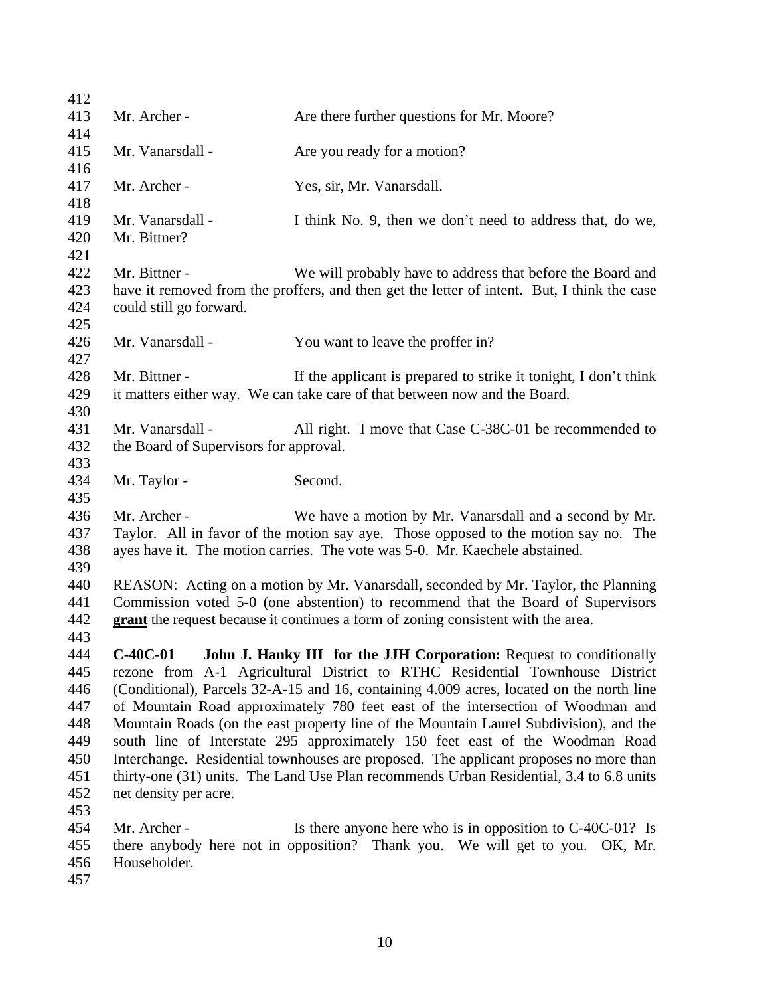| 412 |                                                                                          |                                                                                             |
|-----|------------------------------------------------------------------------------------------|---------------------------------------------------------------------------------------------|
| 413 | Mr. Archer -                                                                             | Are there further questions for Mr. Moore?                                                  |
| 414 |                                                                                          |                                                                                             |
| 415 | Mr. Vanarsdall -                                                                         | Are you ready for a motion?                                                                 |
| 416 |                                                                                          |                                                                                             |
| 417 | Mr. Archer -                                                                             | Yes, sir, Mr. Vanarsdall.                                                                   |
| 418 |                                                                                          |                                                                                             |
| 419 | Mr. Vanarsdall -                                                                         | I think No. 9, then we don't need to address that, do we,                                   |
| 420 | Mr. Bittner?                                                                             |                                                                                             |
| 421 |                                                                                          |                                                                                             |
| 422 | Mr. Bittner -                                                                            | We will probably have to address that before the Board and                                  |
| 423 |                                                                                          | have it removed from the proffers, and then get the letter of intent. But, I think the case |
| 424 | could still go forward.                                                                  |                                                                                             |
| 425 |                                                                                          |                                                                                             |
| 426 | Mr. Vanarsdall -                                                                         | You want to leave the proffer in?                                                           |
| 427 |                                                                                          |                                                                                             |
| 428 | Mr. Bittner -                                                                            | If the applicant is prepared to strike it tonight, I don't think                            |
| 429 |                                                                                          | it matters either way. We can take care of that between now and the Board.                  |
| 430 |                                                                                          |                                                                                             |
| 431 | Mr. Vanarsdall -                                                                         | All right. I move that Case C-38C-01 be recommended to                                      |
| 432 | the Board of Supervisors for approval.                                                   |                                                                                             |
| 433 |                                                                                          |                                                                                             |
| 434 | Mr. Taylor -                                                                             | Second.                                                                                     |
| 435 |                                                                                          |                                                                                             |
| 436 | Mr. Archer -                                                                             | We have a motion by Mr. Vanarsdall and a second by Mr.                                      |
| 437 |                                                                                          | Taylor. All in favor of the motion say aye. Those opposed to the motion say no. The         |
| 438 |                                                                                          | ayes have it. The motion carries. The vote was 5-0. Mr. Kaechele abstained.                 |
| 439 |                                                                                          |                                                                                             |
| 440 | REASON: Acting on a motion by Mr. Vanarsdall, seconded by Mr. Taylor, the Planning       |                                                                                             |
| 441 | Commission voted 5-0 (one abstention) to recommend that the Board of Supervisors         |                                                                                             |
| 442 |                                                                                          | grant the request because it continues a form of zoning consistent with the area.           |
| 443 |                                                                                          |                                                                                             |
| 444 |                                                                                          | C-40C-01 John J. Hanky III for the JJH Corporation: Request to conditionally                |
| 445 |                                                                                          | rezone from A-1 Agricultural District to RTHC Residential Townhouse District                |
| 446 | (Conditional), Parcels 32-A-15 and 16, containing 4.009 acres, located on the north line |                                                                                             |
| 447 |                                                                                          | of Mountain Road approximately 780 feet east of the intersection of Woodman and             |
| 448 | Mountain Roads (on the east property line of the Mountain Laurel Subdivision), and the   |                                                                                             |
| 449 |                                                                                          | south line of Interstate 295 approximately 150 feet east of the Woodman Road                |
| 450 |                                                                                          | Interchange. Residential townhouses are proposed. The applicant proposes no more than       |
| 451 |                                                                                          | thirty-one (31) units. The Land Use Plan recommends Urban Residential, 3.4 to 6.8 units     |
| 452 | net density per acre.                                                                    |                                                                                             |
| 453 |                                                                                          |                                                                                             |
| 454 | Mr. Archer -                                                                             | Is there anyone here who is in opposition to $C-40C-01$ ? Is                                |
| 455 |                                                                                          | there anybody here not in opposition? Thank you. We will get to you. OK, Mr.                |
| 456 | Householder.                                                                             |                                                                                             |
| 457 |                                                                                          |                                                                                             |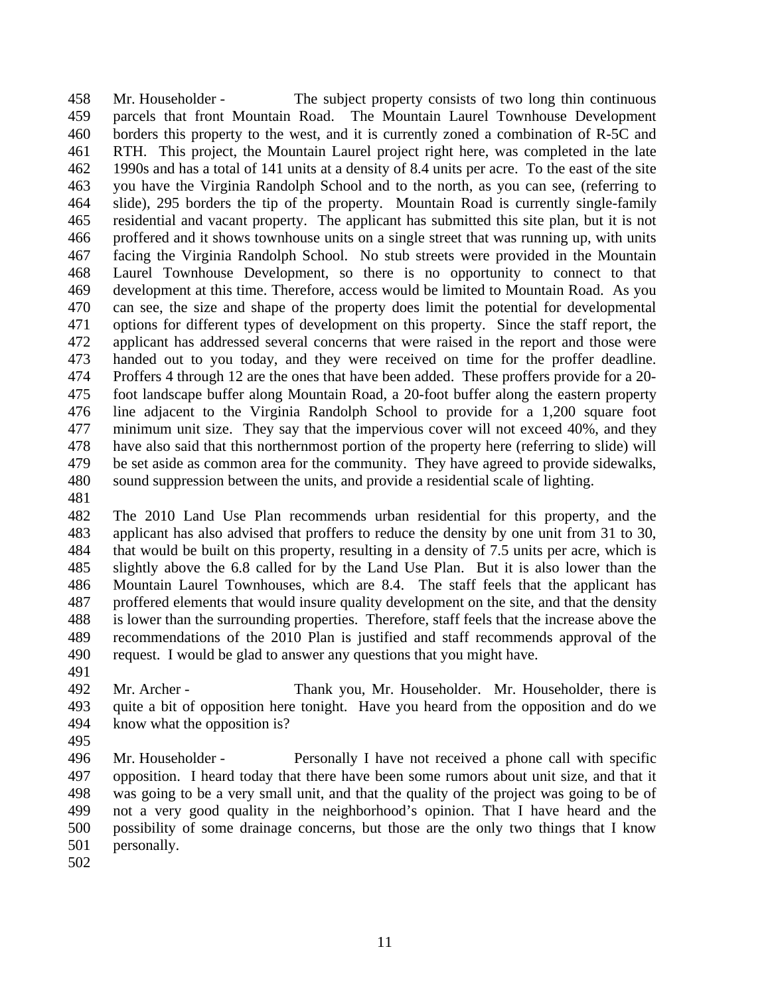Mr. Householder - The subject property consists of two long thin continuous parcels that front Mountain Road. The Mountain Laurel Townhouse Development borders this property to the west, and it is currently zoned a combination of R-5C and RTH. This project, the Mountain Laurel project right here, was completed in the late 1990s and has a total of 141 units at a density of 8.4 units per acre. To the east of the site you have the Virginia Randolph School and to the north, as you can see, (referring to slide), 295 borders the tip of the property. Mountain Road is currently single-family residential and vacant property. The applicant has submitted this site plan, but it is not proffered and it shows townhouse units on a single street that was running up, with units facing the Virginia Randolph School. No stub streets were provided in the Mountain Laurel Townhouse Development, so there is no opportunity to connect to that development at this time. Therefore, access would be limited to Mountain Road. As you can see, the size and shape of the property does limit the potential for developmental options for different types of development on this property. Since the staff report, the applicant has addressed several concerns that were raised in the report and those were handed out to you today, and they were received on time for the proffer deadline. Proffers 4 through 12 are the ones that have been added. These proffers provide for a 20- foot landscape buffer along Mountain Road, a 20-foot buffer along the eastern property line adjacent to the Virginia Randolph School to provide for a 1,200 square foot minimum unit size. They say that the impervious cover will not exceed 40%, and they have also said that this northernmost portion of the property here (referring to slide) will be set aside as common area for the community. They have agreed to provide sidewalks, sound suppression between the units, and provide a residential scale of lighting.

 The 2010 Land Use Plan recommends urban residential for this property, and the applicant has also advised that proffers to reduce the density by one unit from 31 to 30, that would be built on this property, resulting in a density of 7.5 units per acre, which is slightly above the 6.8 called for by the Land Use Plan. But it is also lower than the Mountain Laurel Townhouses, which are 8.4. The staff feels that the applicant has proffered elements that would insure quality development on the site, and that the density is lower than the surrounding properties. Therefore, staff feels that the increase above the recommendations of the 2010 Plan is justified and staff recommends approval of the request. I would be glad to answer any questions that you might have.

 Mr. Archer - Thank you, Mr. Householder. Mr. Householder, there is quite a bit of opposition here tonight. Have you heard from the opposition and do we know what the opposition is?

 Mr. Householder - Personally I have not received a phone call with specific opposition. I heard today that there have been some rumors about unit size, and that it was going to be a very small unit, and that the quality of the project was going to be of not a very good quality in the neighborhood's opinion. That I have heard and the possibility of some drainage concerns, but those are the only two things that I know personally.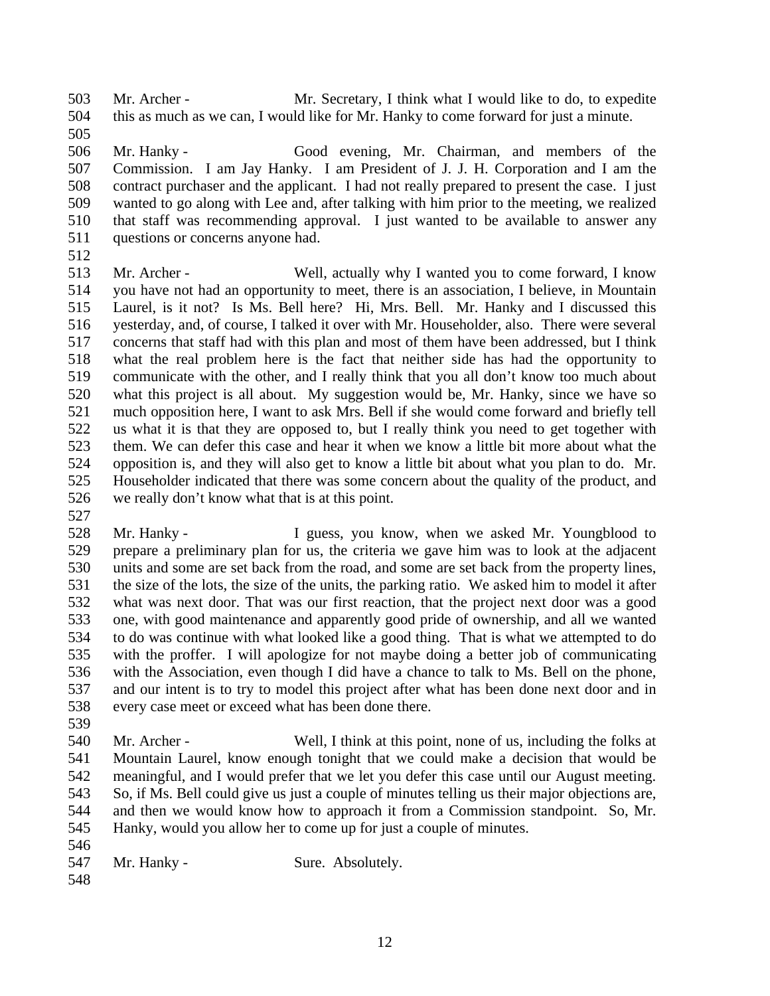Mr. Archer - Mr. Secretary, I think what I would like to do, to expedite this as much as we can, I would like for Mr. Hanky to come forward for just a minute. 

 Mr. Hanky - Good evening, Mr. Chairman, and members of the Commission. I am Jay Hanky. I am President of J. J. H. Corporation and I am the contract purchaser and the applicant. I had not really prepared to present the case. I just wanted to go along with Lee and, after talking with him prior to the meeting, we realized that staff was recommending approval. I just wanted to be available to answer any questions or concerns anyone had.

- Mr. Archer Well, actually why I wanted you to come forward, I know you have not had an opportunity to meet, there is an association, I believe, in Mountain Laurel, is it not? Is Ms. Bell here? Hi, Mrs. Bell. Mr. Hanky and I discussed this yesterday, and, of course, I talked it over with Mr. Householder, also. There were several concerns that staff had with this plan and most of them have been addressed, but I think what the real problem here is the fact that neither side has had the opportunity to communicate with the other, and I really think that you all don't know too much about what this project is all about. My suggestion would be, Mr. Hanky, since we have so much opposition here, I want to ask Mrs. Bell if she would come forward and briefly tell us what it is that they are opposed to, but I really think you need to get together with them. We can defer this case and hear it when we know a little bit more about what the opposition is, and they will also get to know a little bit about what you plan to do. Mr. Householder indicated that there was some concern about the quality of the product, and we really don't know what that is at this point.
- Mr. Hanky I guess, you know, when we asked Mr. Youngblood to prepare a preliminary plan for us, the criteria we gave him was to look at the adjacent units and some are set back from the road, and some are set back from the property lines, the size of the lots, the size of the units, the parking ratio. We asked him to model it after what was next door. That was our first reaction, that the project next door was a good one, with good maintenance and apparently good pride of ownership, and all we wanted to do was continue with what looked like a good thing. That is what we attempted to do with the proffer. I will apologize for not maybe doing a better job of communicating with the Association, even though I did have a chance to talk to Ms. Bell on the phone, and our intent is to try to model this project after what has been done next door and in every case meet or exceed what has been done there.
- Mr. Archer - Well, I think at this point, none of us, including the folks at Mountain Laurel, know enough tonight that we could make a decision that would be meaningful, and I would prefer that we let you defer this case until our August meeting. So, if Ms. Bell could give us just a couple of minutes telling us their major objections are, and then we would know how to approach it from a Commission standpoint. So, Mr. Hanky, would you allow her to come up for just a couple of minutes.
- 
- 547 Mr. Hanky Sure. Absolutely.
-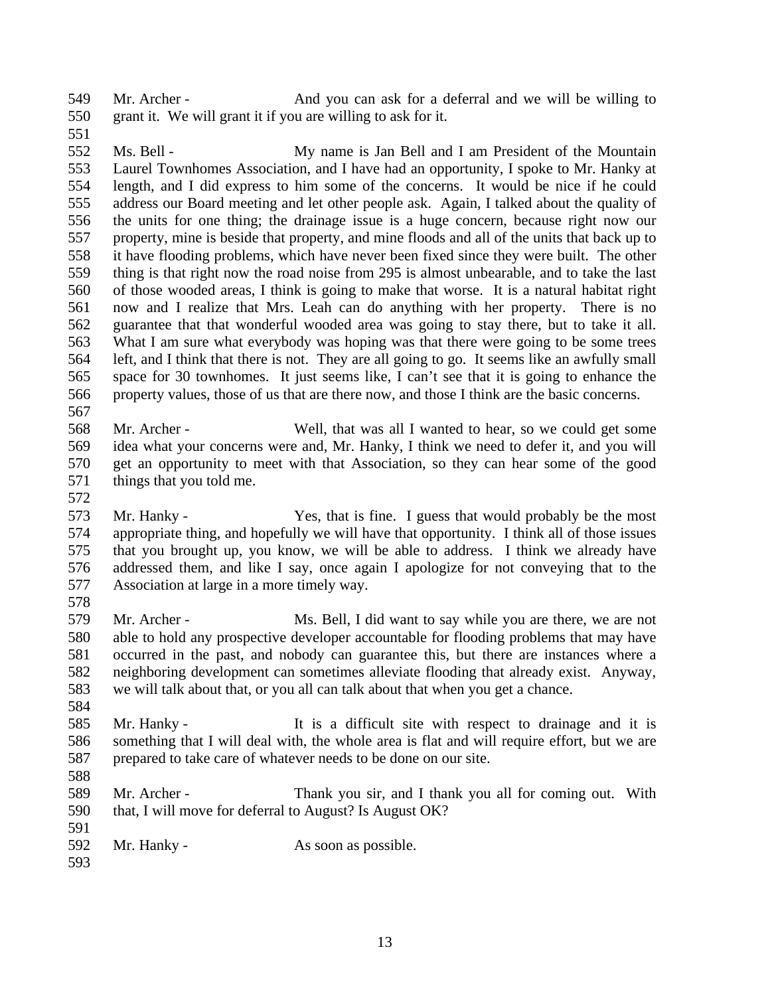Mr. Archer - And you can ask for a deferral and we will be willing to grant it. We will grant it if you are willing to ask for it.

 Ms. Bell - My name is Jan Bell and I am President of the Mountain Laurel Townhomes Association, and I have had an opportunity, I spoke to Mr. Hanky at length, and I did express to him some of the concerns. It would be nice if he could address our Board meeting and let other people ask. Again, I talked about the quality of the units for one thing; the drainage issue is a huge concern, because right now our property, mine is beside that property, and mine floods and all of the units that back up to it have flooding problems, which have never been fixed since they were built. The other thing is that right now the road noise from 295 is almost unbearable, and to take the last of those wooded areas, I think is going to make that worse. It is a natural habitat right now and I realize that Mrs. Leah can do anything with her property. There is no guarantee that that wonderful wooded area was going to stay there, but to take it all. What I am sure what everybody was hoping was that there were going to be some trees left, and I think that there is not. They are all going to go. It seems like an awfully small space for 30 townhomes. It just seems like, I can't see that it is going to enhance the property values, those of us that are there now, and those I think are the basic concerns. 

 Mr. Archer - Well, that was all I wanted to hear, so we could get some idea what your concerns were and, Mr. Hanky, I think we need to defer it, and you will get an opportunity to meet with that Association, so they can hear some of the good things that you told me.

 Mr. Hanky - Yes, that is fine. I guess that would probably be the most appropriate thing, and hopefully we will have that opportunity. I think all of those issues that you brought up, you know, we will be able to address. I think we already have addressed them, and like I say, once again I apologize for not conveying that to the Association at large in a more timely way. 

 Mr. Archer - Ms. Bell, I did want to say while you are there, we are not able to hold any prospective developer accountable for flooding problems that may have occurred in the past, and nobody can guarantee this, but there are instances where a neighboring development can sometimes alleviate flooding that already exist. Anyway, we will talk about that, or you all can talk about that when you get a chance.

- Mr. Hanky It is a difficult site with respect to drainage and it is something that I will deal with, the whole area is flat and will require effort, but we are prepared to take care of whatever needs to be done on our site.
- 

 Mr. Archer - Thank you sir, and I thank you all for coming out. With that, I will move for deferral to August? Is August OK?

592 Mr. Hanky - As soon as possible.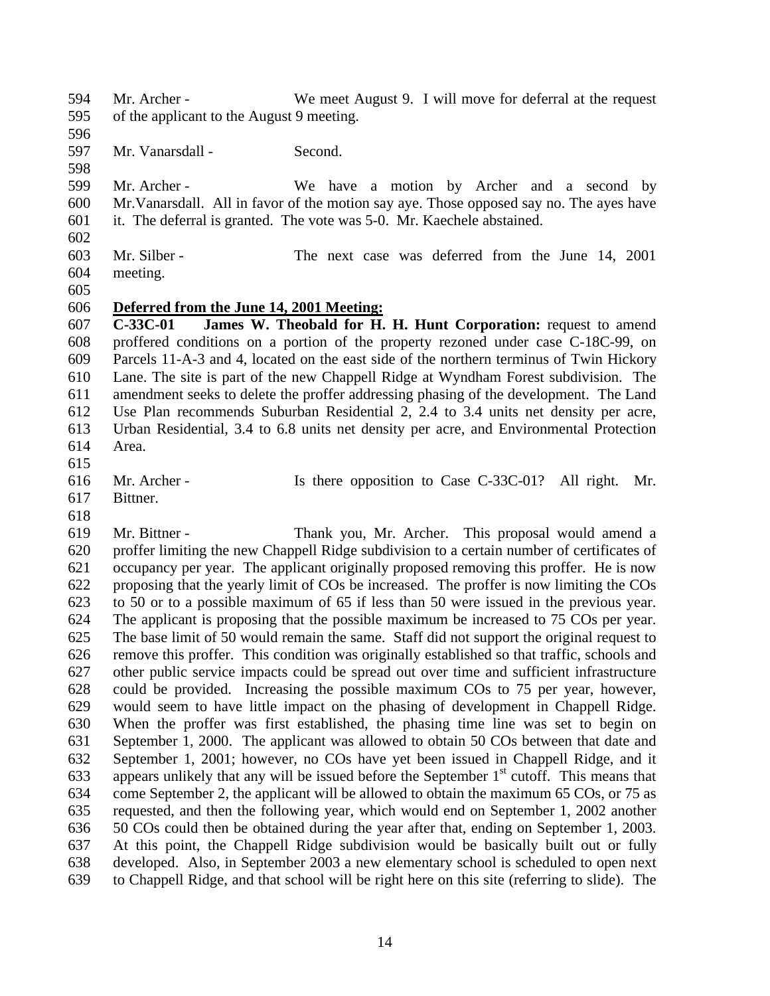- Mr. Archer We meet August 9. I will move for deferral at the request of the applicant to the August 9 meeting.
- Mr. Vanarsdall - Second.
- 

 Mr. Archer - We have a motion by Archer and a second by Mr.Vanarsdall. All in favor of the motion say aye. Those opposed say no. The ayes have it. The deferral is granted. The vote was 5-0. Mr. Kaechele abstained.

- 
- Mr. Silber The next case was deferred from the June 14, 2001
- meeting.
- 

## **Deferred from the June 14, 2001 Meeting:**

 **C-33C-01 James W. Theobald for H. H. Hunt Corporation:** request to amend proffered conditions on a portion of the property rezoned under case C-18C-99, on Parcels 11-A-3 and 4, located on the east side of the northern terminus of Twin Hickory Lane. The site is part of the new Chappell Ridge at Wyndham Forest subdivision. The amendment seeks to delete the proffer addressing phasing of the development. The Land Use Plan recommends Suburban Residential 2, 2.4 to 3.4 units net density per acre, Urban Residential, 3.4 to 6.8 units net density per acre, and Environmental Protection Area.

- 
- Mr. Archer Is there opposition to Case C-33C-01? All right. Mr.
- Bittner.

 Mr. Bittner - Thank you, Mr. Archer. This proposal would amend a proffer limiting the new Chappell Ridge subdivision to a certain number of certificates of occupancy per year. The applicant originally proposed removing this proffer. He is now proposing that the yearly limit of COs be increased. The proffer is now limiting the COs to 50 or to a possible maximum of 65 if less than 50 were issued in the previous year. The applicant is proposing that the possible maximum be increased to 75 COs per year. The base limit of 50 would remain the same. Staff did not support the original request to remove this proffer. This condition was originally established so that traffic, schools and other public service impacts could be spread out over time and sufficient infrastructure could be provided. Increasing the possible maximum COs to 75 per year, however, would seem to have little impact on the phasing of development in Chappell Ridge. When the proffer was first established, the phasing time line was set to begin on September 1, 2000. The applicant was allowed to obtain 50 COs between that date and September 1, 2001; however, no COs have yet been issued in Chappell Ridge, and it 633 appears unlikely that any will be issued before the September  $1<sup>st</sup>$  cutoff. This means that come September 2, the applicant will be allowed to obtain the maximum 65 COs, or 75 as requested, and then the following year, which would end on September 1, 2002 another 50 COs could then be obtained during the year after that, ending on September 1, 2003. At this point, the Chappell Ridge subdivision would be basically built out or fully developed. Also, in September 2003 a new elementary school is scheduled to open next to Chappell Ridge, and that school will be right here on this site (referring to slide). The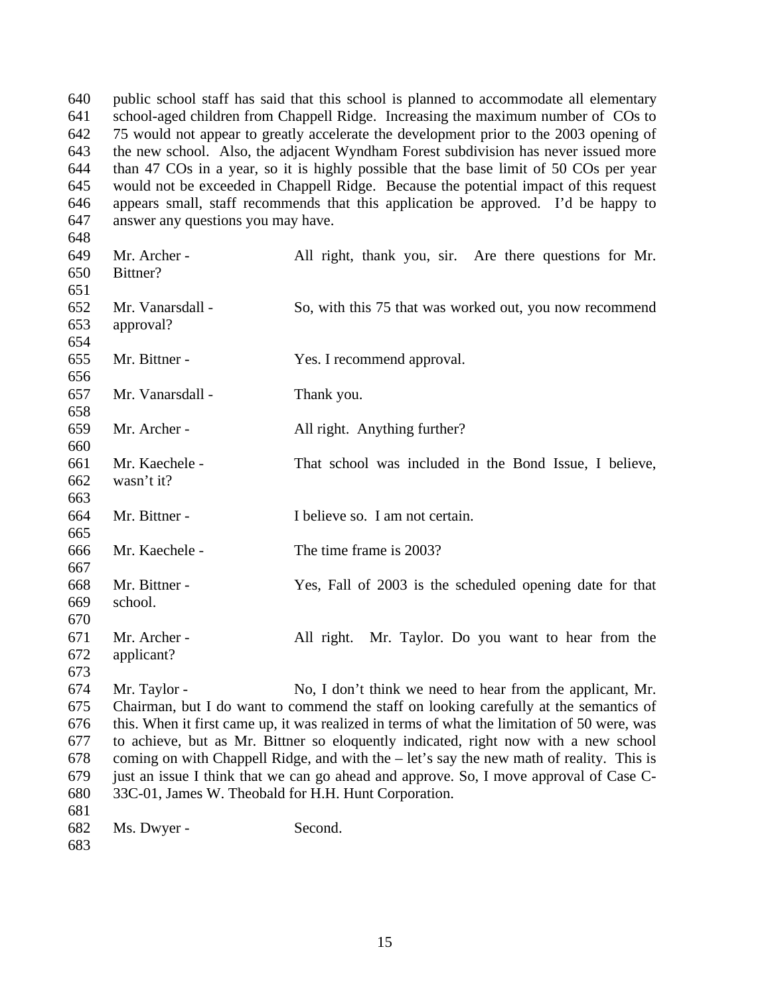public school staff has said that this school is planned to accommodate all elementary school-aged children from Chappell Ridge. Increasing the maximum number of COs to 75 would not appear to greatly accelerate the development prior to the 2003 opening of the new school. Also, the adjacent Wyndham Forest subdivision has never issued more than 47 COs in a year, so it is highly possible that the base limit of 50 COs per year would not be exceeded in Chappell Ridge. Because the potential impact of this request appears small, staff recommends that this application be approved. I'd be happy to answer any questions you may have.

| 648 |                                                      |                                                                                              |
|-----|------------------------------------------------------|----------------------------------------------------------------------------------------------|
| 649 | Mr. Archer -                                         | All right, thank you, sir. Are there questions for Mr.                                       |
| 650 | Bittner?                                             |                                                                                              |
| 651 |                                                      |                                                                                              |
| 652 | Mr. Vanarsdall -                                     | So, with this 75 that was worked out, you now recommend                                      |
| 653 | approval?                                            |                                                                                              |
| 654 |                                                      |                                                                                              |
| 655 | Mr. Bittner -                                        | Yes. I recommend approval.                                                                   |
| 656 |                                                      |                                                                                              |
| 657 | Mr. Vanarsdall -                                     | Thank you.                                                                                   |
| 658 |                                                      |                                                                                              |
| 659 | Mr. Archer -                                         | All right. Anything further?                                                                 |
| 660 |                                                      |                                                                                              |
| 661 | Mr. Kaechele -                                       | That school was included in the Bond Issue, I believe,                                       |
| 662 | wasn't it?                                           |                                                                                              |
| 663 |                                                      |                                                                                              |
| 664 | Mr. Bittner -                                        | I believe so. I am not certain.                                                              |
| 665 |                                                      |                                                                                              |
| 666 | Mr. Kaechele -                                       | The time frame is 2003?                                                                      |
| 667 |                                                      |                                                                                              |
| 668 | Mr. Bittner -                                        | Yes, Fall of 2003 is the scheduled opening date for that                                     |
| 669 | school.                                              |                                                                                              |
| 670 |                                                      |                                                                                              |
| 671 | Mr. Archer -                                         | All right. Mr. Taylor. Do you want to hear from the                                          |
| 672 | applicant?                                           |                                                                                              |
| 673 |                                                      |                                                                                              |
| 674 | Mr. Taylor -                                         | No, I don't think we need to hear from the applicant, Mr.                                    |
| 675 |                                                      | Chairman, but I do want to commend the staff on looking carefully at the semantics of        |
| 676 |                                                      | this. When it first came up, it was realized in terms of what the limitation of 50 were, was |
| 677 |                                                      | to achieve, but as Mr. Bittner so eloquently indicated, right now with a new school          |
| 678 |                                                      | coming on with Chappell Ridge, and with the – let's say the new math of reality. This is     |
| 679 |                                                      | just an issue I think that we can go ahead and approve. So, I move approval of Case C-       |
| 680 | 33C-01, James W. Theobald for H.H. Hunt Corporation. |                                                                                              |
| 681 |                                                      |                                                                                              |
| 682 | Ms. Dwyer -                                          | Second.                                                                                      |
| 683 |                                                      |                                                                                              |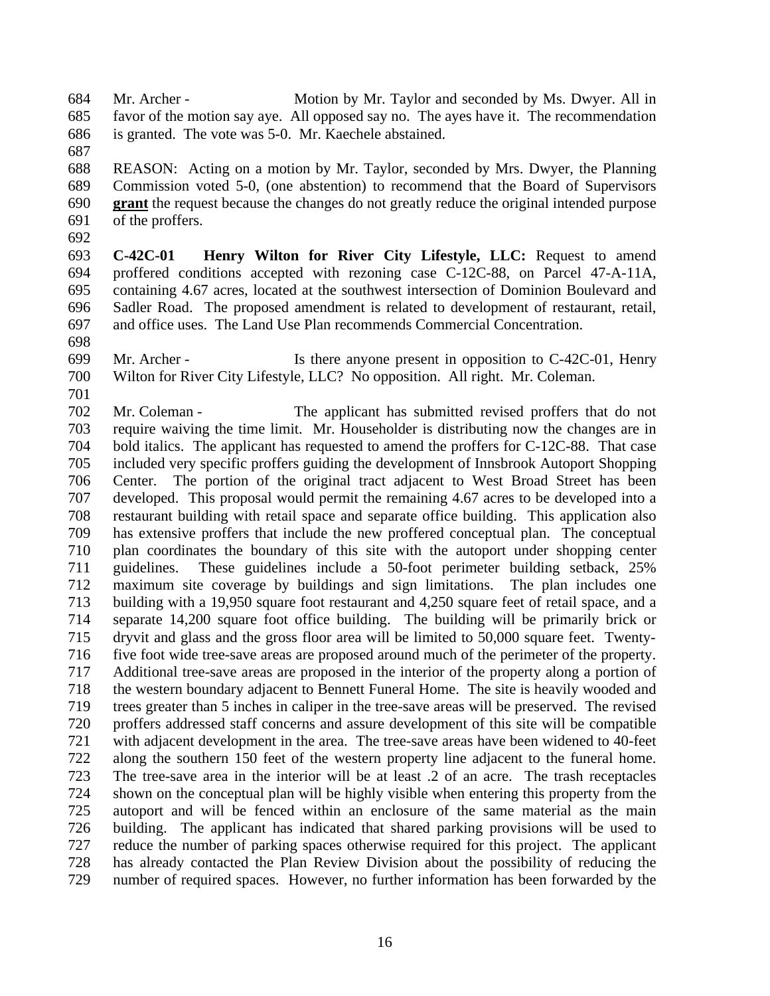Mr. Archer - Motion by Mr. Taylor and seconded by Ms. Dwyer. All in favor of the motion say aye. All opposed say no. The ayes have it. The recommendation is granted. The vote was 5-0. Mr. Kaechele abstained.

 REASON: Acting on a motion by Mr. Taylor, seconded by Mrs. Dwyer, the Planning Commission voted 5-0, (one abstention) to recommend that the Board of Supervisors **grant** the request because the changes do not greatly reduce the original intended purpose of the proffers.

 **C-42C-01 Henry Wilton for River City Lifestyle, LLC:** Request to amend proffered conditions accepted with rezoning case C-12C-88, on Parcel 47-A-11A, containing 4.67 acres, located at the southwest intersection of Dominion Boulevard and Sadler Road. The proposed amendment is related to development of restaurant, retail, and office uses. The Land Use Plan recommends Commercial Concentration.

- Mr. Archer Is there anyone present in opposition to C-42C-01, Henry Wilton for River City Lifestyle, LLC? No opposition. All right. Mr. Coleman.
- 

 Mr. Coleman - The applicant has submitted revised proffers that do not require waiving the time limit. Mr. Householder is distributing now the changes are in bold italics. The applicant has requested to amend the proffers for C-12C-88. That case included very specific proffers guiding the development of Innsbrook Autoport Shopping Center. The portion of the original tract adjacent to West Broad Street has been developed. This proposal would permit the remaining 4.67 acres to be developed into a restaurant building with retail space and separate office building. This application also has extensive proffers that include the new proffered conceptual plan. The conceptual plan coordinates the boundary of this site with the autoport under shopping center guidelines. These guidelines include a 50-foot perimeter building setback, 25% maximum site coverage by buildings and sign limitations. The plan includes one building with a 19,950 square foot restaurant and 4,250 square feet of retail space, and a separate 14,200 square foot office building. The building will be primarily brick or dryvit and glass and the gross floor area will be limited to 50,000 square feet. Twenty- five foot wide tree-save areas are proposed around much of the perimeter of the property. Additional tree-save areas are proposed in the interior of the property along a portion of the western boundary adjacent to Bennett Funeral Home. The site is heavily wooded and trees greater than 5 inches in caliper in the tree-save areas will be preserved. The revised proffers addressed staff concerns and assure development of this site will be compatible with adjacent development in the area. The tree-save areas have been widened to 40-feet along the southern 150 feet of the western property line adjacent to the funeral home. The tree-save area in the interior will be at least .2 of an acre. The trash receptacles shown on the conceptual plan will be highly visible when entering this property from the autoport and will be fenced within an enclosure of the same material as the main building. The applicant has indicated that shared parking provisions will be used to reduce the number of parking spaces otherwise required for this project. The applicant has already contacted the Plan Review Division about the possibility of reducing the number of required spaces. However, no further information has been forwarded by the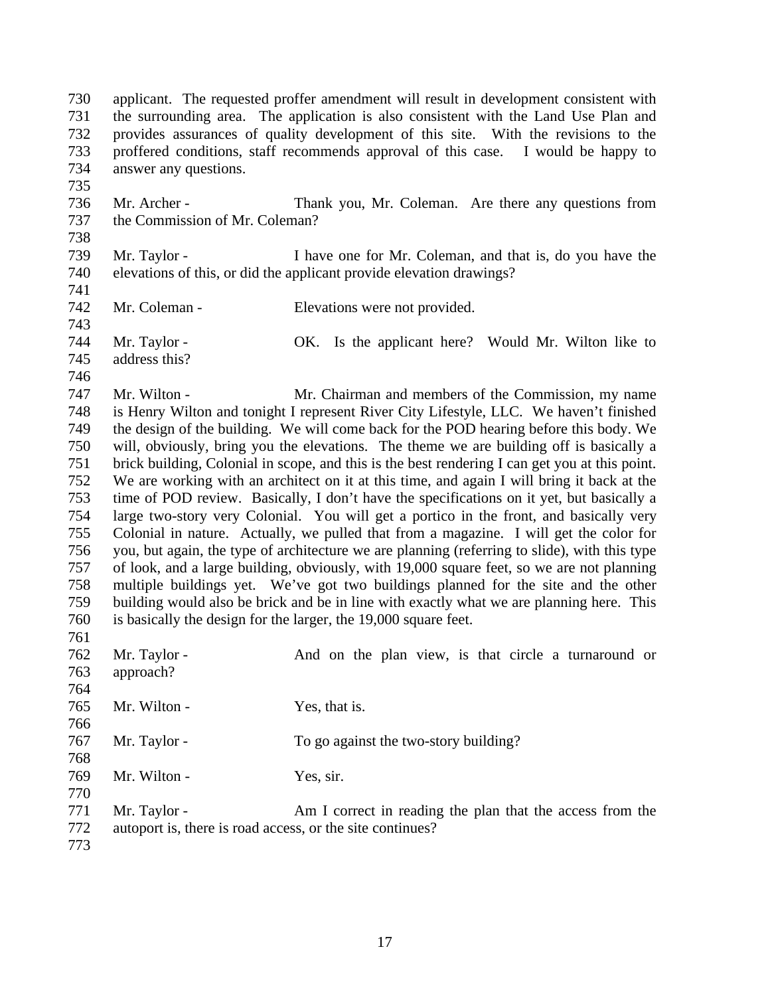applicant. The requested proffer amendment will result in development consistent with the surrounding area. The application is also consistent with the Land Use Plan and provides assurances of quality development of this site. With the revisions to the proffered conditions, staff recommends approval of this case. I would be happy to answer any questions. 

 Mr. Archer - Thank you, Mr. Coleman. Are there any questions from the Commission of Mr. Coleman? 

- Mr. Taylor I have one for Mr. Coleman, and that is, do you have the elevations of this, or did the applicant provide elevation drawings?
- 
- Mr. Coleman Elevations were not provided.
- Mr. Taylor OK. Is the applicant here? Would Mr. Wilton like to address this?
- 

 Mr. Wilton - Mr. Chairman and members of the Commission, my name is Henry Wilton and tonight I represent River City Lifestyle, LLC. We haven't finished the design of the building. We will come back for the POD hearing before this body. We will, obviously, bring you the elevations. The theme we are building off is basically a brick building, Colonial in scope, and this is the best rendering I can get you at this point. We are working with an architect on it at this time, and again I will bring it back at the time of POD review. Basically, I don't have the specifications on it yet, but basically a large two-story very Colonial. You will get a portico in the front, and basically very Colonial in nature. Actually, we pulled that from a magazine. I will get the color for you, but again, the type of architecture we are planning (referring to slide), with this type of look, and a large building, obviously, with 19,000 square feet, so we are not planning multiple buildings yet. We've got two buildings planned for the site and the other building would also be brick and be in line with exactly what we are planning here. This is basically the design for the larger, the 19,000 square feet. 

 Mr. Taylor - And on the plan view, is that circle a turnaround or approach? 765 Mr. Wilton - Yes, that is. Mr. Taylor - To go against the two-story building? Mr. Wilton - Yes, sir. Mr. Taylor - Am I correct in reading the plan that the access from the

autoport is, there is road access, or the site continues?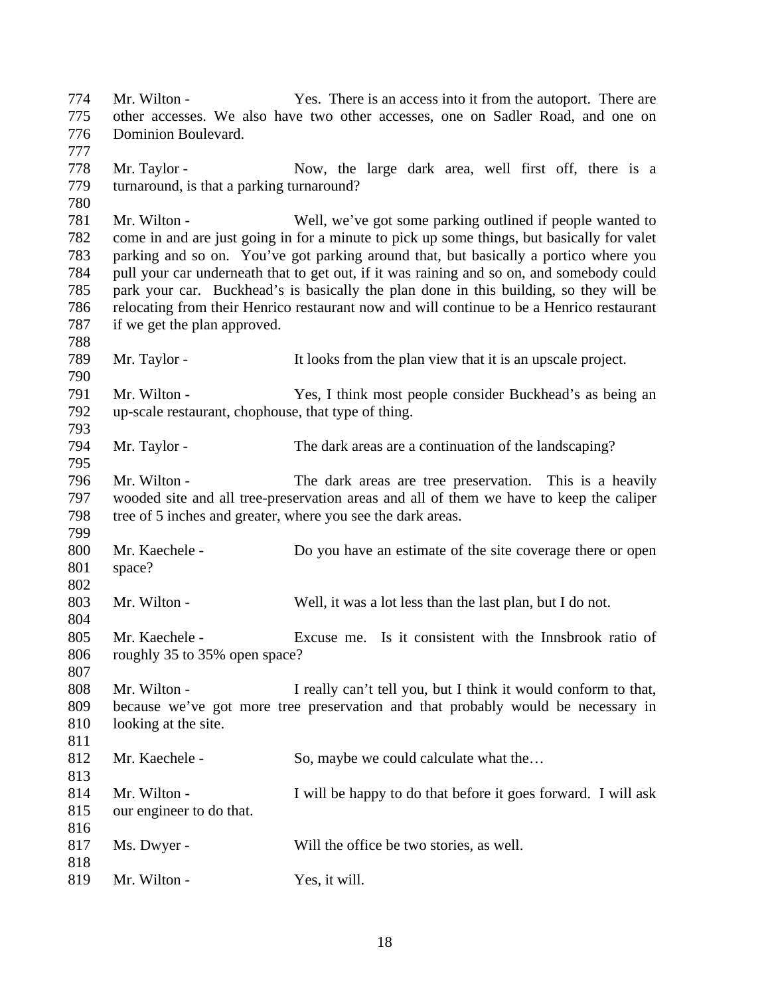Mr. Wilton - Yes. There is an access into it from the autoport. There are other accesses. We also have two other accesses, one on Sadler Road, and one on Dominion Boulevard. Mr. Taylor - Now, the large dark area, well first off, there is a turnaround, is that a parking turnaround? Mr. Wilton - Well, we've got some parking outlined if people wanted to come in and are just going in for a minute to pick up some things, but basically for valet parking and so on. You've got parking around that, but basically a portico where you pull your car underneath that to get out, if it was raining and so on, and somebody could park your car. Buckhead's is basically the plan done in this building, so they will be relocating from their Henrico restaurant now and will continue to be a Henrico restaurant if we get the plan approved. Mr. Taylor - It looks from the plan view that it is an upscale project. Mr. Wilton - Yes, I think most people consider Buckhead's as being an up-scale restaurant, chophouse, that type of thing. Mr. Taylor - The dark areas are a continuation of the landscaping? Mr. Wilton - The dark areas are tree preservation. This is a heavily wooded site and all tree-preservation areas and all of them we have to keep the caliper tree of 5 inches and greater, where you see the dark areas. Mr. Kaechele - Do you have an estimate of the site coverage there or open space? Mr. Wilton - Well, it was a lot less than the last plan, but I do not. Mr. Kaechele - Excuse me. Is it consistent with the Innsbrook ratio of roughly 35 to 35% open space? Mr. Wilton - I really can't tell you, but I think it would conform to that, because we've got more tree preservation and that probably would be necessary in looking at the site. 812 Mr. Kaechele - So, maybe we could calculate what the... Mr. Wilton - I will be happy to do that before it goes forward. I will ask our engineer to do that. Ms. Dwyer - Will the office be two stories, as well. 819 Mr. Wilton - Yes, it will.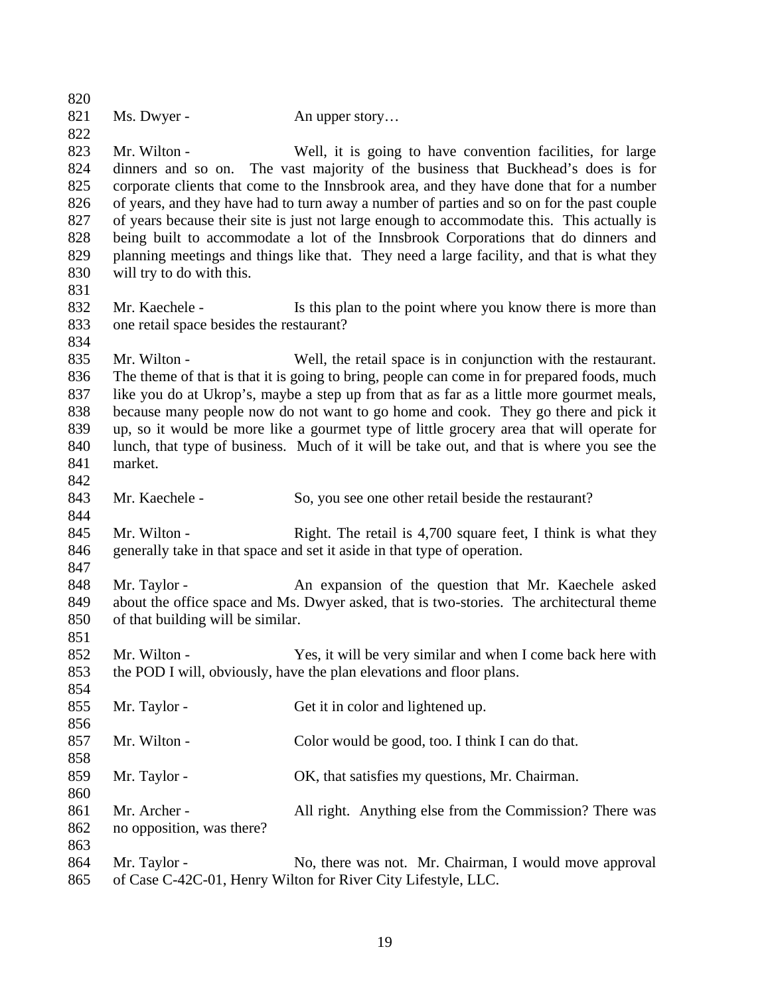| 821<br>Ms. Dwyer -<br>An upper story<br>822<br>823<br>Mr. Wilton -<br>Well, it is going to have convention facilities, for large<br>824<br>dinners and so on. The vast majority of the business that Buckhead's does is for<br>825<br>corporate clients that come to the Innsbrook area, and they have done that for a number<br>of years, and they have had to turn away a number of parties and so on for the past couple<br>826<br>827<br>of years because their site is just not large enough to accommodate this. This actually is<br>828<br>being built to accommodate a lot of the Innsbrook Corporations that do dinners and<br>829<br>planning meetings and things like that. They need a large facility, and that is what they<br>830<br>will try to do with this.<br>831<br>832<br>Mr. Kaechele -<br>Is this plan to the point where you know there is more than<br>833<br>one retail space besides the restaurant?<br>834<br>835<br>Mr. Wilton -<br>Well, the retail space is in conjunction with the restaurant.<br>836<br>The theme of that is that it is going to bring, people can come in for prepared foods, much<br>837<br>like you do at Ukrop's, maybe a step up from that as far as a little more gourmet meals,<br>838<br>because many people now do not want to go home and cook. They go there and pick it<br>839<br>up, so it would be more like a gourmet type of little grocery area that will operate for<br>lunch, that type of business. Much of it will be take out, and that is where you see the<br>840 |
|-------------------------------------------------------------------------------------------------------------------------------------------------------------------------------------------------------------------------------------------------------------------------------------------------------------------------------------------------------------------------------------------------------------------------------------------------------------------------------------------------------------------------------------------------------------------------------------------------------------------------------------------------------------------------------------------------------------------------------------------------------------------------------------------------------------------------------------------------------------------------------------------------------------------------------------------------------------------------------------------------------------------------------------------------------------------------------------------------------------------------------------------------------------------------------------------------------------------------------------------------------------------------------------------------------------------------------------------------------------------------------------------------------------------------------------------------------------------------------------------------------------------------------------------|
|                                                                                                                                                                                                                                                                                                                                                                                                                                                                                                                                                                                                                                                                                                                                                                                                                                                                                                                                                                                                                                                                                                                                                                                                                                                                                                                                                                                                                                                                                                                                           |
|                                                                                                                                                                                                                                                                                                                                                                                                                                                                                                                                                                                                                                                                                                                                                                                                                                                                                                                                                                                                                                                                                                                                                                                                                                                                                                                                                                                                                                                                                                                                           |
|                                                                                                                                                                                                                                                                                                                                                                                                                                                                                                                                                                                                                                                                                                                                                                                                                                                                                                                                                                                                                                                                                                                                                                                                                                                                                                                                                                                                                                                                                                                                           |
|                                                                                                                                                                                                                                                                                                                                                                                                                                                                                                                                                                                                                                                                                                                                                                                                                                                                                                                                                                                                                                                                                                                                                                                                                                                                                                                                                                                                                                                                                                                                           |
|                                                                                                                                                                                                                                                                                                                                                                                                                                                                                                                                                                                                                                                                                                                                                                                                                                                                                                                                                                                                                                                                                                                                                                                                                                                                                                                                                                                                                                                                                                                                           |
|                                                                                                                                                                                                                                                                                                                                                                                                                                                                                                                                                                                                                                                                                                                                                                                                                                                                                                                                                                                                                                                                                                                                                                                                                                                                                                                                                                                                                                                                                                                                           |
|                                                                                                                                                                                                                                                                                                                                                                                                                                                                                                                                                                                                                                                                                                                                                                                                                                                                                                                                                                                                                                                                                                                                                                                                                                                                                                                                                                                                                                                                                                                                           |
|                                                                                                                                                                                                                                                                                                                                                                                                                                                                                                                                                                                                                                                                                                                                                                                                                                                                                                                                                                                                                                                                                                                                                                                                                                                                                                                                                                                                                                                                                                                                           |
|                                                                                                                                                                                                                                                                                                                                                                                                                                                                                                                                                                                                                                                                                                                                                                                                                                                                                                                                                                                                                                                                                                                                                                                                                                                                                                                                                                                                                                                                                                                                           |
|                                                                                                                                                                                                                                                                                                                                                                                                                                                                                                                                                                                                                                                                                                                                                                                                                                                                                                                                                                                                                                                                                                                                                                                                                                                                                                                                                                                                                                                                                                                                           |
|                                                                                                                                                                                                                                                                                                                                                                                                                                                                                                                                                                                                                                                                                                                                                                                                                                                                                                                                                                                                                                                                                                                                                                                                                                                                                                                                                                                                                                                                                                                                           |
|                                                                                                                                                                                                                                                                                                                                                                                                                                                                                                                                                                                                                                                                                                                                                                                                                                                                                                                                                                                                                                                                                                                                                                                                                                                                                                                                                                                                                                                                                                                                           |
|                                                                                                                                                                                                                                                                                                                                                                                                                                                                                                                                                                                                                                                                                                                                                                                                                                                                                                                                                                                                                                                                                                                                                                                                                                                                                                                                                                                                                                                                                                                                           |
|                                                                                                                                                                                                                                                                                                                                                                                                                                                                                                                                                                                                                                                                                                                                                                                                                                                                                                                                                                                                                                                                                                                                                                                                                                                                                                                                                                                                                                                                                                                                           |
|                                                                                                                                                                                                                                                                                                                                                                                                                                                                                                                                                                                                                                                                                                                                                                                                                                                                                                                                                                                                                                                                                                                                                                                                                                                                                                                                                                                                                                                                                                                                           |
|                                                                                                                                                                                                                                                                                                                                                                                                                                                                                                                                                                                                                                                                                                                                                                                                                                                                                                                                                                                                                                                                                                                                                                                                                                                                                                                                                                                                                                                                                                                                           |
|                                                                                                                                                                                                                                                                                                                                                                                                                                                                                                                                                                                                                                                                                                                                                                                                                                                                                                                                                                                                                                                                                                                                                                                                                                                                                                                                                                                                                                                                                                                                           |
|                                                                                                                                                                                                                                                                                                                                                                                                                                                                                                                                                                                                                                                                                                                                                                                                                                                                                                                                                                                                                                                                                                                                                                                                                                                                                                                                                                                                                                                                                                                                           |
|                                                                                                                                                                                                                                                                                                                                                                                                                                                                                                                                                                                                                                                                                                                                                                                                                                                                                                                                                                                                                                                                                                                                                                                                                                                                                                                                                                                                                                                                                                                                           |
|                                                                                                                                                                                                                                                                                                                                                                                                                                                                                                                                                                                                                                                                                                                                                                                                                                                                                                                                                                                                                                                                                                                                                                                                                                                                                                                                                                                                                                                                                                                                           |
|                                                                                                                                                                                                                                                                                                                                                                                                                                                                                                                                                                                                                                                                                                                                                                                                                                                                                                                                                                                                                                                                                                                                                                                                                                                                                                                                                                                                                                                                                                                                           |
| 841<br>market.                                                                                                                                                                                                                                                                                                                                                                                                                                                                                                                                                                                                                                                                                                                                                                                                                                                                                                                                                                                                                                                                                                                                                                                                                                                                                                                                                                                                                                                                                                                            |
| 842<br>843<br>Mr. Kaechele -                                                                                                                                                                                                                                                                                                                                                                                                                                                                                                                                                                                                                                                                                                                                                                                                                                                                                                                                                                                                                                                                                                                                                                                                                                                                                                                                                                                                                                                                                                              |
| So, you see one other retail beside the restaurant?<br>844                                                                                                                                                                                                                                                                                                                                                                                                                                                                                                                                                                                                                                                                                                                                                                                                                                                                                                                                                                                                                                                                                                                                                                                                                                                                                                                                                                                                                                                                                |
| 845<br>Mr. Wilton -<br>Right. The retail is 4,700 square feet, I think is what they                                                                                                                                                                                                                                                                                                                                                                                                                                                                                                                                                                                                                                                                                                                                                                                                                                                                                                                                                                                                                                                                                                                                                                                                                                                                                                                                                                                                                                                       |
| generally take in that space and set it aside in that type of operation.<br>846                                                                                                                                                                                                                                                                                                                                                                                                                                                                                                                                                                                                                                                                                                                                                                                                                                                                                                                                                                                                                                                                                                                                                                                                                                                                                                                                                                                                                                                           |
| 847                                                                                                                                                                                                                                                                                                                                                                                                                                                                                                                                                                                                                                                                                                                                                                                                                                                                                                                                                                                                                                                                                                                                                                                                                                                                                                                                                                                                                                                                                                                                       |
| 848<br>Mr. Taylor -<br>An expansion of the question that Mr. Kaechele asked                                                                                                                                                                                                                                                                                                                                                                                                                                                                                                                                                                                                                                                                                                                                                                                                                                                                                                                                                                                                                                                                                                                                                                                                                                                                                                                                                                                                                                                               |
| 849<br>about the office space and Ms. Dwyer asked, that is two-stories. The architectural theme                                                                                                                                                                                                                                                                                                                                                                                                                                                                                                                                                                                                                                                                                                                                                                                                                                                                                                                                                                                                                                                                                                                                                                                                                                                                                                                                                                                                                                           |
| 850<br>of that building will be similar.                                                                                                                                                                                                                                                                                                                                                                                                                                                                                                                                                                                                                                                                                                                                                                                                                                                                                                                                                                                                                                                                                                                                                                                                                                                                                                                                                                                                                                                                                                  |
| 851                                                                                                                                                                                                                                                                                                                                                                                                                                                                                                                                                                                                                                                                                                                                                                                                                                                                                                                                                                                                                                                                                                                                                                                                                                                                                                                                                                                                                                                                                                                                       |
| 852<br>Mr. Wilton -<br>Yes, it will be very similar and when I come back here with                                                                                                                                                                                                                                                                                                                                                                                                                                                                                                                                                                                                                                                                                                                                                                                                                                                                                                                                                                                                                                                                                                                                                                                                                                                                                                                                                                                                                                                        |
| 853<br>the POD I will, obviously, have the plan elevations and floor plans.                                                                                                                                                                                                                                                                                                                                                                                                                                                                                                                                                                                                                                                                                                                                                                                                                                                                                                                                                                                                                                                                                                                                                                                                                                                                                                                                                                                                                                                               |
| 854                                                                                                                                                                                                                                                                                                                                                                                                                                                                                                                                                                                                                                                                                                                                                                                                                                                                                                                                                                                                                                                                                                                                                                                                                                                                                                                                                                                                                                                                                                                                       |
| 855<br>Mr. Taylor -<br>Get it in color and lightened up.                                                                                                                                                                                                                                                                                                                                                                                                                                                                                                                                                                                                                                                                                                                                                                                                                                                                                                                                                                                                                                                                                                                                                                                                                                                                                                                                                                                                                                                                                  |
| 856                                                                                                                                                                                                                                                                                                                                                                                                                                                                                                                                                                                                                                                                                                                                                                                                                                                                                                                                                                                                                                                                                                                                                                                                                                                                                                                                                                                                                                                                                                                                       |
| 857<br>Mr. Wilton -<br>Color would be good, too. I think I can do that.                                                                                                                                                                                                                                                                                                                                                                                                                                                                                                                                                                                                                                                                                                                                                                                                                                                                                                                                                                                                                                                                                                                                                                                                                                                                                                                                                                                                                                                                   |
| 858                                                                                                                                                                                                                                                                                                                                                                                                                                                                                                                                                                                                                                                                                                                                                                                                                                                                                                                                                                                                                                                                                                                                                                                                                                                                                                                                                                                                                                                                                                                                       |
| 859<br>Mr. Taylor -<br>OK, that satisfies my questions, Mr. Chairman.                                                                                                                                                                                                                                                                                                                                                                                                                                                                                                                                                                                                                                                                                                                                                                                                                                                                                                                                                                                                                                                                                                                                                                                                                                                                                                                                                                                                                                                                     |
| 860                                                                                                                                                                                                                                                                                                                                                                                                                                                                                                                                                                                                                                                                                                                                                                                                                                                                                                                                                                                                                                                                                                                                                                                                                                                                                                                                                                                                                                                                                                                                       |
| 861<br>Mr. Archer -<br>All right. Anything else from the Commission? There was                                                                                                                                                                                                                                                                                                                                                                                                                                                                                                                                                                                                                                                                                                                                                                                                                                                                                                                                                                                                                                                                                                                                                                                                                                                                                                                                                                                                                                                            |
| 862<br>no opposition, was there?                                                                                                                                                                                                                                                                                                                                                                                                                                                                                                                                                                                                                                                                                                                                                                                                                                                                                                                                                                                                                                                                                                                                                                                                                                                                                                                                                                                                                                                                                                          |
| 863                                                                                                                                                                                                                                                                                                                                                                                                                                                                                                                                                                                                                                                                                                                                                                                                                                                                                                                                                                                                                                                                                                                                                                                                                                                                                                                                                                                                                                                                                                                                       |
| 864<br>Mr. Taylor -<br>No, there was not. Mr. Chairman, I would move approval                                                                                                                                                                                                                                                                                                                                                                                                                                                                                                                                                                                                                                                                                                                                                                                                                                                                                                                                                                                                                                                                                                                                                                                                                                                                                                                                                                                                                                                             |
| of Case C-42C-01, Henry Wilton for River City Lifestyle, LLC.<br>865                                                                                                                                                                                                                                                                                                                                                                                                                                                                                                                                                                                                                                                                                                                                                                                                                                                                                                                                                                                                                                                                                                                                                                                                                                                                                                                                                                                                                                                                      |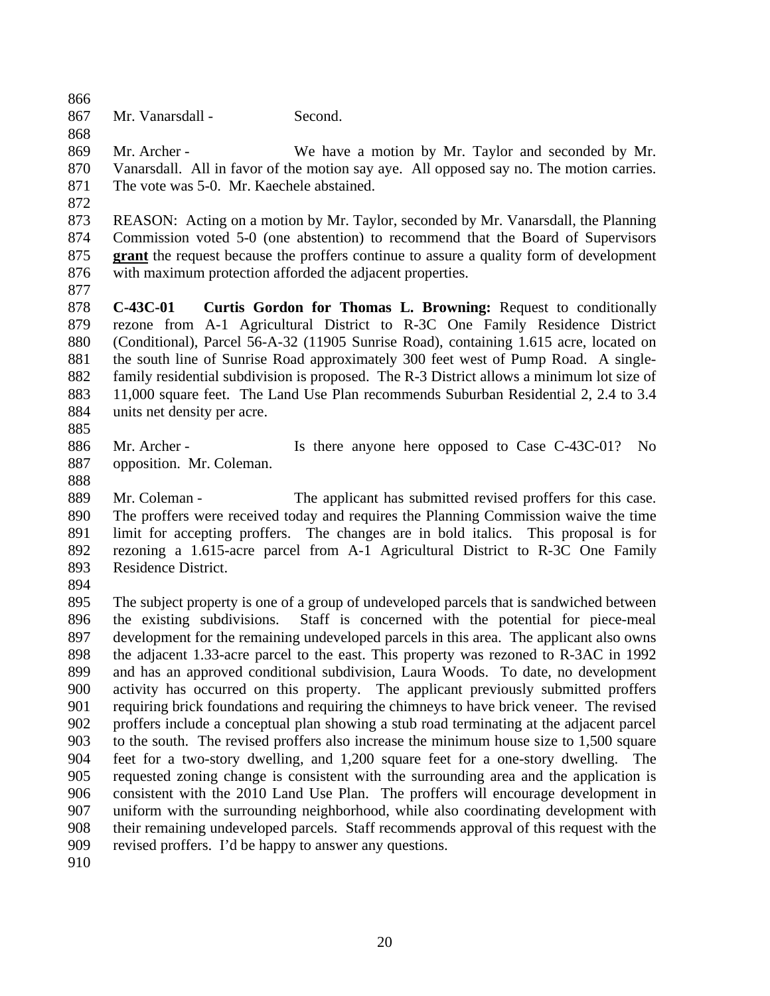Mr. Vanarsdall - Second.

 Mr. Archer - We have a motion by Mr. Taylor and seconded by Mr. Vanarsdall. All in favor of the motion say aye. All opposed say no. The motion carries. 871 The vote was 5-0. Mr. Kaechele abstained.

 REASON: Acting on a motion by Mr. Taylor, seconded by Mr. Vanarsdall, the Planning Commission voted 5-0 (one abstention) to recommend that the Board of Supervisors **grant** the request because the proffers continue to assure a quality form of development with maximum protection afforded the adjacent properties.

 **C-43C-01 Curtis Gordon for Thomas L. Browning:** Request to conditionally rezone from A-1 Agricultural District to R-3C One Family Residence District (Conditional), Parcel 56-A-32 (11905 Sunrise Road), containing 1.615 acre, located on the south line of Sunrise Road approximately 300 feet west of Pump Road. A single- family residential subdivision is proposed. The R-3 District allows a minimum lot size of 11,000 square feet. The Land Use Plan recommends Suburban Residential 2, 2.4 to 3.4 units net density per acre. 

886 Mr. Archer - Is there anyone here opposed to Case C-43C-01? No opposition. Mr. Coleman.

889 Mr. Coleman - The applicant has submitted revised proffers for this case. The proffers were received today and requires the Planning Commission waive the time limit for accepting proffers. The changes are in bold italics. This proposal is for rezoning a 1.615-acre parcel from A-1 Agricultural District to R-3C One Family Residence District.

 The subject property is one of a group of undeveloped parcels that is sandwiched between the existing subdivisions. Staff is concerned with the potential for piece-meal development for the remaining undeveloped parcels in this area. The applicant also owns the adjacent 1.33-acre parcel to the east. This property was rezoned to R-3AC in 1992 and has an approved conditional subdivision, Laura Woods. To date, no development activity has occurred on this property. The applicant previously submitted proffers requiring brick foundations and requiring the chimneys to have brick veneer. The revised proffers include a conceptual plan showing a stub road terminating at the adjacent parcel to the south. The revised proffers also increase the minimum house size to 1,500 square feet for a two-story dwelling, and 1,200 square feet for a one-story dwelling. The requested zoning change is consistent with the surrounding area and the application is consistent with the 2010 Land Use Plan. The proffers will encourage development in uniform with the surrounding neighborhood, while also coordinating development with their remaining undeveloped parcels. Staff recommends approval of this request with the revised proffers. I'd be happy to answer any questions.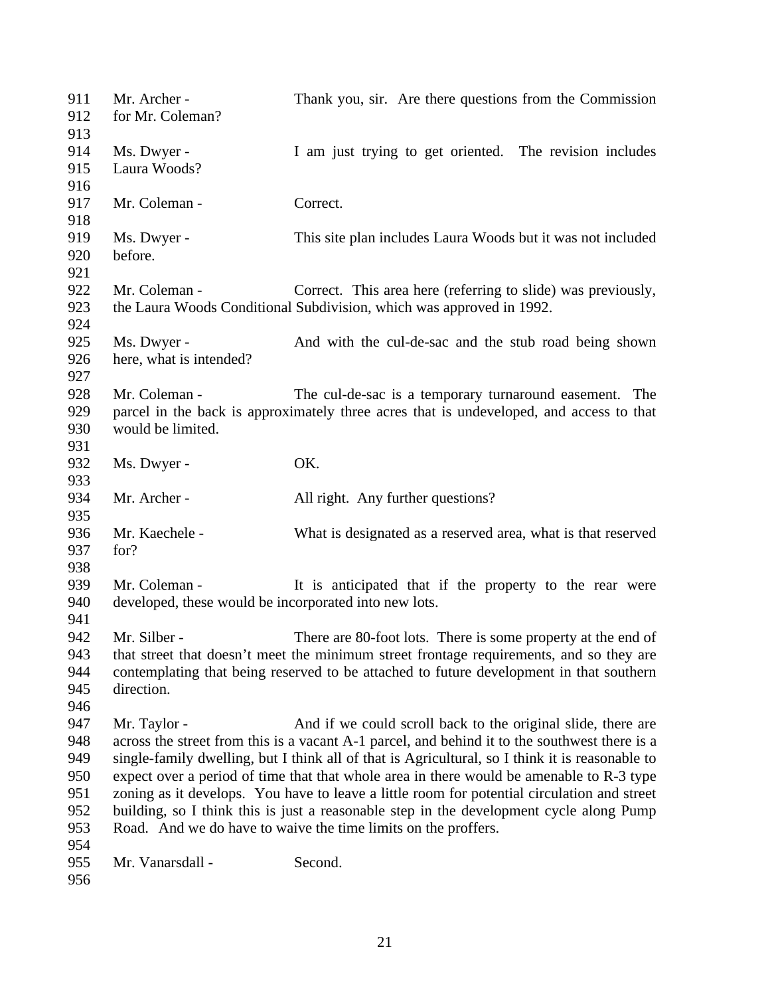| 911<br>912 | Mr. Archer -<br>for Mr. Coleman?                      | Thank you, sir. Are there questions from the Commission                                         |
|------------|-------------------------------------------------------|-------------------------------------------------------------------------------------------------|
| 913        |                                                       |                                                                                                 |
| 914        | Ms. Dwyer -                                           | I am just trying to get oriented. The revision includes                                         |
| 915        | Laura Woods?                                          |                                                                                                 |
| 916        |                                                       |                                                                                                 |
| 917        | Mr. Coleman -                                         | Correct.                                                                                        |
| 918        |                                                       |                                                                                                 |
| 919        | Ms. Dwyer -                                           | This site plan includes Laura Woods but it was not included                                     |
| 920        | before.                                               |                                                                                                 |
| 921        |                                                       |                                                                                                 |
| 922        | Mr. Coleman -                                         | Correct. This area here (referring to slide) was previously,                                    |
| 923        |                                                       | the Laura Woods Conditional Subdivision, which was approved in 1992.                            |
| 924        |                                                       |                                                                                                 |
| 925        | Ms. Dwyer -                                           | And with the cul-de-sac and the stub road being shown                                           |
| 926        | here, what is intended?                               |                                                                                                 |
| 927        |                                                       |                                                                                                 |
| 928        | Mr. Coleman -                                         | The cul-de-sac is a temporary turnaround easement. The                                          |
| 929        |                                                       | parcel in the back is approximately three acres that is undeveloped, and access to that         |
| 930        | would be limited.                                     |                                                                                                 |
| 931        |                                                       |                                                                                                 |
| 932        | Ms. Dwyer -                                           | OK.                                                                                             |
| 933        |                                                       |                                                                                                 |
| 934        | Mr. Archer -                                          | All right. Any further questions?                                                               |
| 935        |                                                       |                                                                                                 |
| 936        | Mr. Kaechele -                                        | What is designated as a reserved area, what is that reserved                                    |
| 937        | for?                                                  |                                                                                                 |
| 938        |                                                       |                                                                                                 |
| 939        | Mr. Coleman -                                         | It is anticipated that if the property to the rear were                                         |
| 940        | developed, these would be incorporated into new lots. |                                                                                                 |
| 941        |                                                       |                                                                                                 |
| 942        | Mr. Silber -                                          | There are 80-foot lots. There is some property at the end of                                    |
| 943        |                                                       | that street that doesn't meet the minimum street frontage requirements, and so they are         |
| 944        |                                                       | contemplating that being reserved to be attached to future development in that southern         |
|            | direction.                                            |                                                                                                 |
| 945        |                                                       |                                                                                                 |
| 946        |                                                       |                                                                                                 |
| 947        | Mr. Taylor -                                          | And if we could scroll back to the original slide, there are                                    |
| 948        |                                                       | across the street from this is a vacant A-1 parcel, and behind it to the southwest there is a   |
| 949        |                                                       | single-family dwelling, but I think all of that is Agricultural, so I think it is reasonable to |
| 950        |                                                       | expect over a period of time that that whole area in there would be amenable to R-3 type        |
| 951        |                                                       | zoning as it develops. You have to leave a little room for potential circulation and street     |
| 952        |                                                       | building, so I think this is just a reasonable step in the development cycle along Pump         |
| 953        |                                                       | Road. And we do have to waive the time limits on the proffers.                                  |
| 954        |                                                       |                                                                                                 |
| 955        | Mr. Vanarsdall -                                      | Second.                                                                                         |
| 956        |                                                       |                                                                                                 |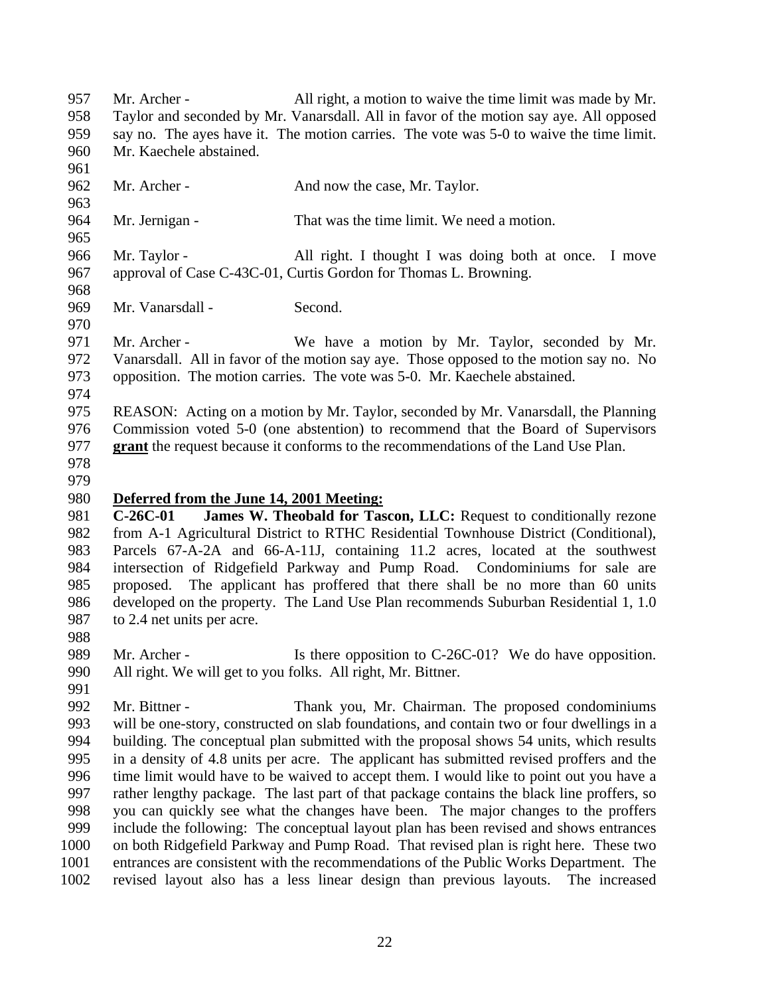Mr. Archer - All right, a motion to waive the time limit was made by Mr. Taylor and seconded by Mr. Vanarsdall. All in favor of the motion say aye. All opposed say no. The ayes have it. The motion carries. The vote was 5-0 to waive the time limit. Mr. Kaechele abstained. 962 Mr. Archer - And now the case, Mr. Taylor. Mr. Jernigan - That was the time limit. We need a motion. Mr. Taylor - All right. I thought I was doing both at once. I move approval of Case C-43C-01, Curtis Gordon for Thomas L. Browning. Mr. Vanarsdall - Second. Mr. Archer - We have a motion by Mr. Taylor, seconded by Mr. Vanarsdall. All in favor of the motion say aye. Those opposed to the motion say no. No opposition. The motion carries. The vote was 5-0. Mr. Kaechele abstained. REASON: Acting on a motion by Mr. Taylor, seconded by Mr. Vanarsdall, the Planning Commission voted 5-0 (one abstention) to recommend that the Board of Supervisors **grant** the request because it conforms to the recommendations of the Land Use Plan. **Deferred from the June 14, 2001 Meeting: C-26C-01 James W. Theobald for Tascon, LLC:** Request to conditionally rezone from A-1 Agricultural District to RTHC Residential Townhouse District (Conditional), Parcels 67-A-2A and 66-A-11J, containing 11.2 acres, located at the southwest intersection of Ridgefield Parkway and Pump Road. Condominiums for sale are proposed. The applicant has proffered that there shall be no more than 60 units developed on the property. The Land Use Plan recommends Suburban Residential 1, 1.0 to 2.4 net units per acre. 989 Mr. Archer - Is there opposition to C-26C-01? We do have opposition. All right. We will get to you folks. All right, Mr. Bittner. 991<br>992 Mr. Bittner - Thank you, Mr. Chairman. The proposed condominiums will be one-story, constructed on slab foundations, and contain two or four dwellings in a building. The conceptual plan submitted with the proposal shows 54 units, which results in a density of 4.8 units per acre. The applicant has submitted revised proffers and the time limit would have to be waived to accept them. I would like to point out you have a rather lengthy package. The last part of that package contains the black line proffers, so you can quickly see what the changes have been. The major changes to the proffers include the following: The conceptual layout plan has been revised and shows entrances on both Ridgefield Parkway and Pump Road. That revised plan is right here. These two entrances are consistent with the recommendations of the Public Works Department. The revised layout also has a less linear design than previous layouts. The increased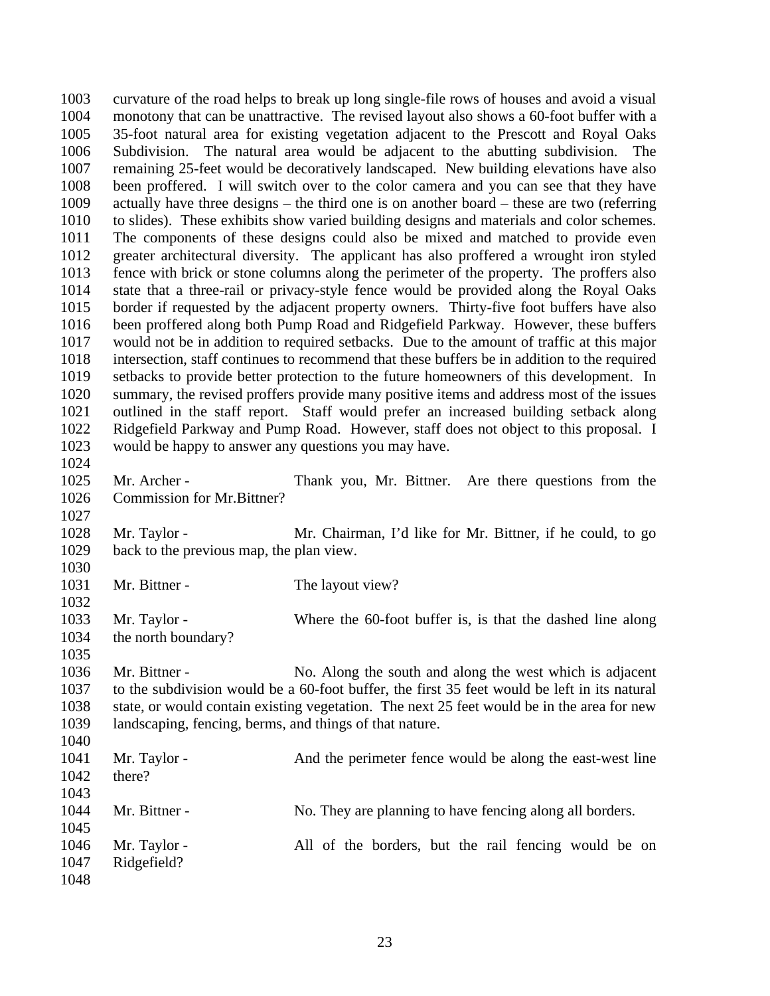curvature of the road helps to break up long single-file rows of houses and avoid a visual monotony that can be unattractive. The revised layout also shows a 60-foot buffer with a 35-foot natural area for existing vegetation adjacent to the Prescott and Royal Oaks Subdivision. The natural area would be adjacent to the abutting subdivision. The remaining 25-feet would be decoratively landscaped. New building elevations have also been proffered. I will switch over to the color camera and you can see that they have actually have three designs – the third one is on another board – these are two (referring to slides). These exhibits show varied building designs and materials and color schemes. The components of these designs could also be mixed and matched to provide even greater architectural diversity. The applicant has also proffered a wrought iron styled fence with brick or stone columns along the perimeter of the property. The proffers also state that a three-rail or privacy-style fence would be provided along the Royal Oaks border if requested by the adjacent property owners. Thirty-five foot buffers have also been proffered along both Pump Road and Ridgefield Parkway. However, these buffers would not be in addition to required setbacks. Due to the amount of traffic at this major intersection, staff continues to recommend that these buffers be in addition to the required setbacks to provide better protection to the future homeowners of this development. In summary, the revised proffers provide many positive items and address most of the issues outlined in the staff report. Staff would prefer an increased building setback along Ridgefield Parkway and Pump Road. However, staff does not object to this proposal. I would be happy to answer any questions you may have. Mr. Archer - Thank you, Mr. Bittner. Are there questions from the Commission for Mr.Bittner? Mr. Taylor - Mr. Chairman, I'd like for Mr. Bittner, if he could, to go back to the previous map, the plan view. 1031 Mr. Bittner - The layout view? Mr. Taylor - Where the 60-foot buffer is, is that the dashed line along the north boundary? Mr. Bittner - No. Along the south and along the west which is adjacent to the subdivision would be a 60-foot buffer, the first 35 feet would be left in its natural state, or would contain existing vegetation. The next 25 feet would be in the area for new landscaping, fencing, berms, and things of that nature. 1041 Mr. Taylor - And the perimeter fence would be along the east-west line there? 1044 Mr. Bittner - No. They are planning to have fencing along all borders. Mr. Taylor - All of the borders, but the rail fencing would be on Ridgefield?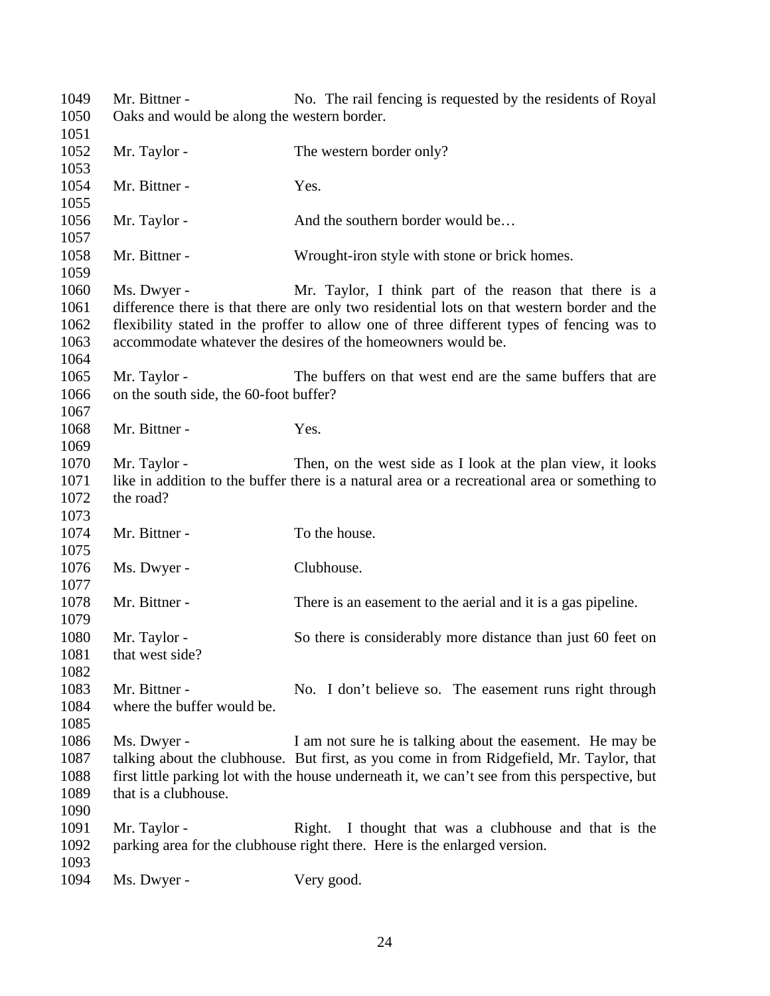Mr. Bittner - No. The rail fencing is requested by the residents of Royal Oaks and would be along the western border. 1052 Mr. Taylor - The western border only? 1054 Mr. Bittner - Yes. 1056 Mr. Taylor - And the southern border would be... Mr. Bittner - Wrought-iron style with stone or brick homes. Ms. Dwyer - Mr. Taylor, I think part of the reason that there is a difference there is that there are only two residential lots on that western border and the flexibility stated in the proffer to allow one of three different types of fencing was to accommodate whatever the desires of the homeowners would be. Mr. Taylor - The buffers on that west end are the same buffers that are on the south side, the 60-foot buffer? 1068 Mr. Bittner - Yes. Mr. Taylor - Then, on the west side as I look at the plan view, it looks like in addition to the buffer there is a natural area or a recreational area or something to the road? 1074 Mr. Bittner - To the house. 1076 Ms. Dwyer - Clubhouse. Mr. Bittner - There is an easement to the aerial and it is a gas pipeline. 1080 Mr. Taylor - So there is considerably more distance than just 60 feet on 1081 that west side? 1083 Mr. Bittner - No. I don't believe so. The easement runs right through where the buffer would be. Ms. Dwyer - I am not sure he is talking about the easement. He may be talking about the clubhouse. But first, as you come in from Ridgefield, Mr. Taylor, that first little parking lot with the house underneath it, we can't see from this perspective, but that is a clubhouse. 1091 Mr. Taylor - Right. I thought that was a clubhouse and that is the parking area for the clubhouse right there. Here is the enlarged version. Ms. Dwyer - Very good.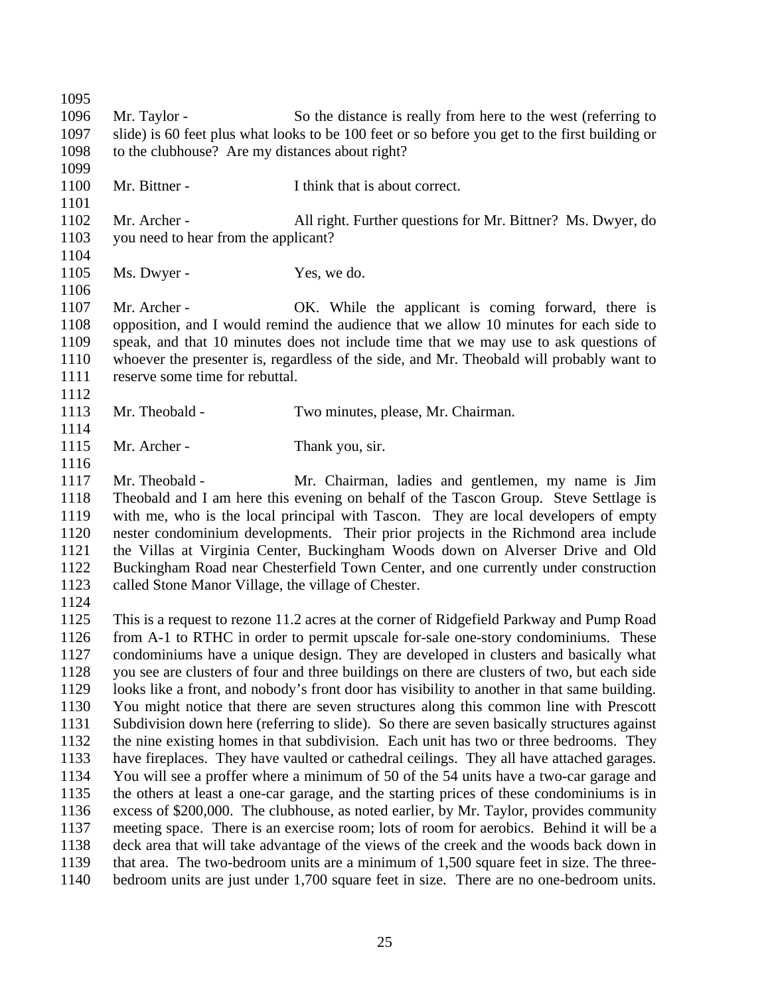Mr. Taylor - So the distance is really from here to the west (referring to slide) is 60 feet plus what looks to be 100 feet or so before you get to the first building or to the clubhouse? Are my distances about right? Mr. Bittner - I think that is about correct. Mr. Archer - All right. Further questions for Mr. Bittner? Ms. Dwyer, do you need to hear from the applicant? 1105 Ms. Dwyer - Yes, we do. Mr. Archer - OK. While the applicant is coming forward, there is opposition, and I would remind the audience that we allow 10 minutes for each side to speak, and that 10 minutes does not include time that we may use to ask questions of whoever the presenter is, regardless of the side, and Mr. Theobald will probably want to reserve some time for rebuttal. Mr. Theobald - Two minutes, please, Mr. Chairman. 1115 Mr. Archer - Thank you, sir. Mr. Theobald - Mr. Chairman, ladies and gentlemen, my name is Jim Theobald and I am here this evening on behalf of the Tascon Group. Steve Settlage is with me, who is the local principal with Tascon. They are local developers of empty nester condominium developments. Their prior projects in the Richmond area include the Villas at Virginia Center, Buckingham Woods down on Alverser Drive and Old Buckingham Road near Chesterfield Town Center, and one currently under construction called Stone Manor Village, the village of Chester. This is a request to rezone 11.2 acres at the corner of Ridgefield Parkway and Pump Road from A-1 to RTHC in order to permit upscale for-sale one-story condominiums. These condominiums have a unique design. They are developed in clusters and basically what you see are clusters of four and three buildings on there are clusters of two, but each side looks like a front, and nobody's front door has visibility to another in that same building. You might notice that there are seven structures along this common line with Prescott Subdivision down here (referring to slide). So there are seven basically structures against the nine existing homes in that subdivision. Each unit has two or three bedrooms. They have fireplaces. They have vaulted or cathedral ceilings. They all have attached garages. You will see a proffer where a minimum of 50 of the 54 units have a two-car garage and the others at least a one-car garage, and the starting prices of these condominiums is in excess of \$200,000. The clubhouse, as noted earlier, by Mr. Taylor, provides community meeting space. There is an exercise room; lots of room for aerobics. Behind it will be a deck area that will take advantage of the views of the creek and the woods back down in that area. The two-bedroom units are a minimum of 1,500 square feet in size. The three-bedroom units are just under 1,700 square feet in size. There are no one-bedroom units.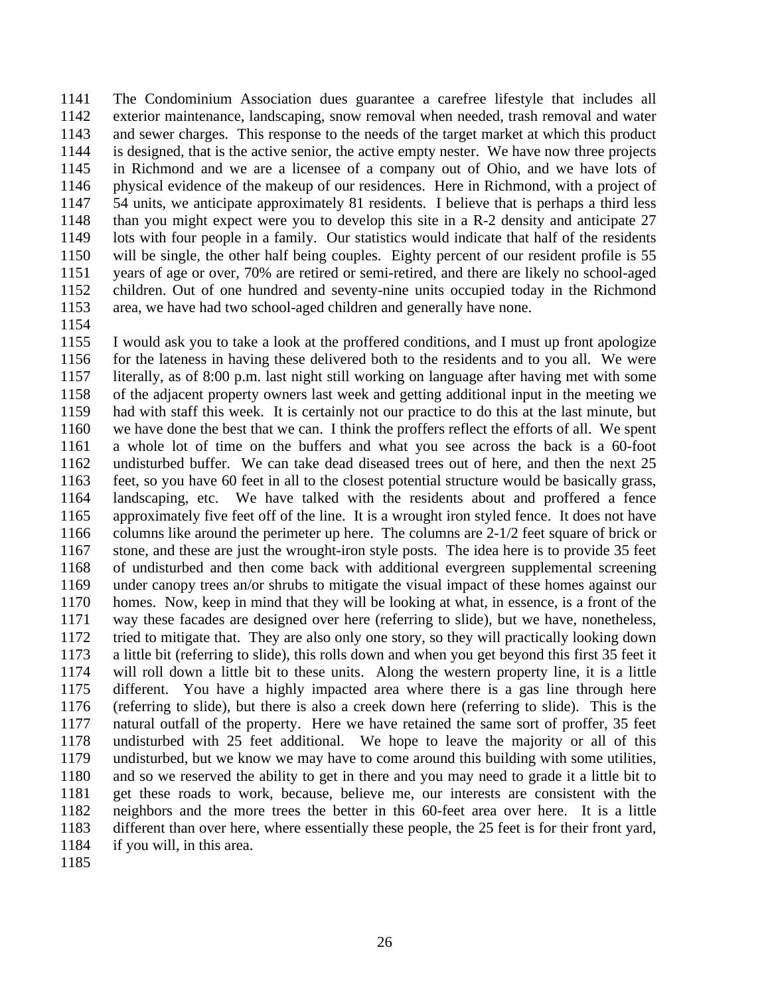The Condominium Association dues guarantee a carefree lifestyle that includes all exterior maintenance, landscaping, snow removal when needed, trash removal and water and sewer charges. This response to the needs of the target market at which this product is designed, that is the active senior, the active empty nester. We have now three projects in Richmond and we are a licensee of a company out of Ohio, and we have lots of physical evidence of the makeup of our residences. Here in Richmond, with a project of 54 units, we anticipate approximately 81 residents. I believe that is perhaps a third less than you might expect were you to develop this site in a R-2 density and anticipate 27 lots with four people in a family. Our statistics would indicate that half of the residents will be single, the other half being couples. Eighty percent of our resident profile is 55 years of age or over, 70% are retired or semi-retired, and there are likely no school-aged children. Out of one hundred and seventy-nine units occupied today in the Richmond area, we have had two school-aged children and generally have none.

 I would ask you to take a look at the proffered conditions, and I must up front apologize 1156 for the lateness in having these delivered both to the residents and to you all. We were literally, as of 8:00 p.m. last night still working on language after having met with some of the adjacent property owners last week and getting additional input in the meeting we had with staff this week. It is certainly not our practice to do this at the last minute, but we have done the best that we can. I think the proffers reflect the efforts of all. We spent a whole lot of time on the buffers and what you see across the back is a 60-foot undisturbed buffer. We can take dead diseased trees out of here, and then the next 25 feet, so you have 60 feet in all to the closest potential structure would be basically grass, landscaping, etc. We have talked with the residents about and proffered a fence approximately five feet off of the line. It is a wrought iron styled fence. It does not have columns like around the perimeter up here. The columns are 2-1/2 feet square of brick or stone, and these are just the wrought-iron style posts. The idea here is to provide 35 feet of undisturbed and then come back with additional evergreen supplemental screening under canopy trees an/or shrubs to mitigate the visual impact of these homes against our homes. Now, keep in mind that they will be looking at what, in essence, is a front of the way these facades are designed over here (referring to slide), but we have, nonetheless, tried to mitigate that. They are also only one story, so they will practically looking down a little bit (referring to slide), this rolls down and when you get beyond this first 35 feet it will roll down a little bit to these units. Along the western property line, it is a little different. You have a highly impacted area where there is a gas line through here (referring to slide), but there is also a creek down here (referring to slide). This is the natural outfall of the property. Here we have retained the same sort of proffer, 35 feet undisturbed with 25 feet additional. We hope to leave the majority or all of this undisturbed, but we know we may have to come around this building with some utilities, and so we reserved the ability to get in there and you may need to grade it a little bit to get these roads to work, because, believe me, our interests are consistent with the neighbors and the more trees the better in this 60-feet area over here. It is a little different than over here, where essentially these people, the 25 feet is for their front yard, if you will, in this area.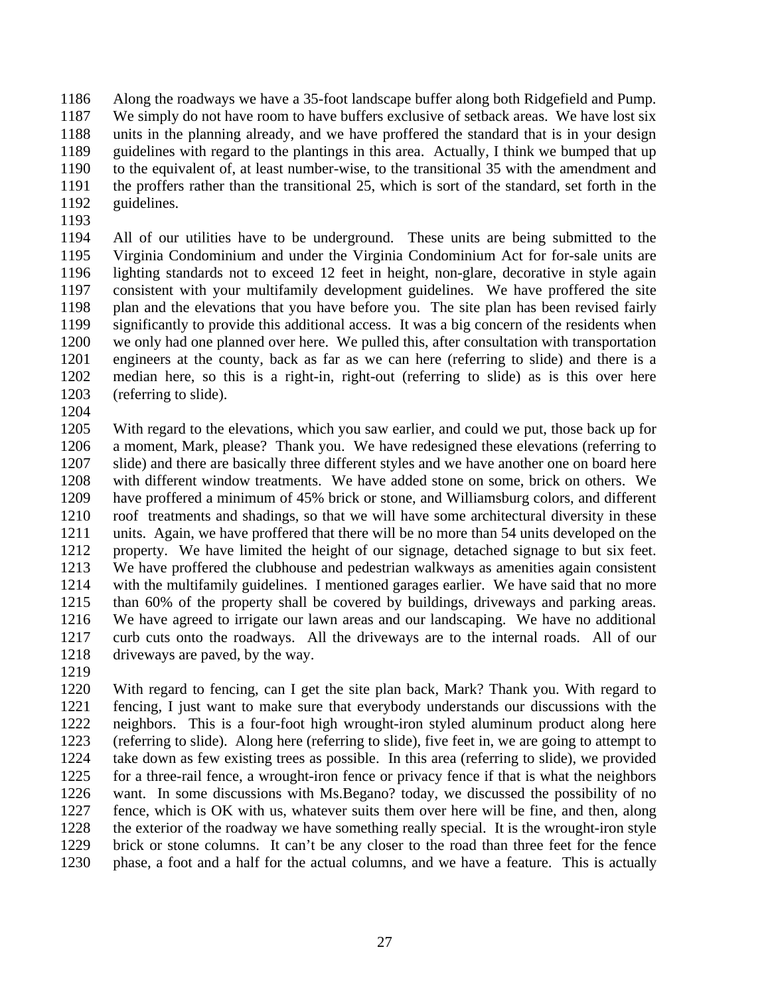Along the roadways we have a 35-foot landscape buffer along both Ridgefield and Pump. We simply do not have room to have buffers exclusive of setback areas. We have lost six units in the planning already, and we have proffered the standard that is in your design guidelines with regard to the plantings in this area. Actually, I think we bumped that up to the equivalent of, at least number-wise, to the transitional 35 with the amendment and the proffers rather than the transitional 25, which is sort of the standard, set forth in the guidelines.

 All of our utilities have to be underground. These units are being submitted to the Virginia Condominium and under the Virginia Condominium Act for for-sale units are lighting standards not to exceed 12 feet in height, non-glare, decorative in style again consistent with your multifamily development guidelines. We have proffered the site plan and the elevations that you have before you. The site plan has been revised fairly significantly to provide this additional access. It was a big concern of the residents when we only had one planned over here. We pulled this, after consultation with transportation engineers at the county, back as far as we can here (referring to slide) and there is a median here, so this is a right-in, right-out (referring to slide) as is this over here (referring to slide).

 With regard to the elevations, which you saw earlier, and could we put, those back up for a moment, Mark, please? Thank you. We have redesigned these elevations (referring to slide) and there are basically three different styles and we have another one on board here with different window treatments. We have added stone on some, brick on others. We have proffered a minimum of 45% brick or stone, and Williamsburg colors, and different roof treatments and shadings, so that we will have some architectural diversity in these units. Again, we have proffered that there will be no more than 54 units developed on the property. We have limited the height of our signage, detached signage to but six feet. We have proffered the clubhouse and pedestrian walkways as amenities again consistent with the multifamily guidelines. I mentioned garages earlier. We have said that no more than 60% of the property shall be covered by buildings, driveways and parking areas. We have agreed to irrigate our lawn areas and our landscaping. We have no additional curb cuts onto the roadways. All the driveways are to the internal roads. All of our driveways are paved, by the way.

 With regard to fencing, can I get the site plan back, Mark? Thank you. With regard to fencing, I just want to make sure that everybody understands our discussions with the neighbors. This is a four-foot high wrought-iron styled aluminum product along here (referring to slide). Along here (referring to slide), five feet in, we are going to attempt to take down as few existing trees as possible. In this area (referring to slide), we provided for a three-rail fence, a wrought-iron fence or privacy fence if that is what the neighbors want. In some discussions with Ms.Begano? today, we discussed the possibility of no fence, which is OK with us, whatever suits them over here will be fine, and then, along the exterior of the roadway we have something really special. It is the wrought-iron style brick or stone columns. It can't be any closer to the road than three feet for the fence phase, a foot and a half for the actual columns, and we have a feature. This is actually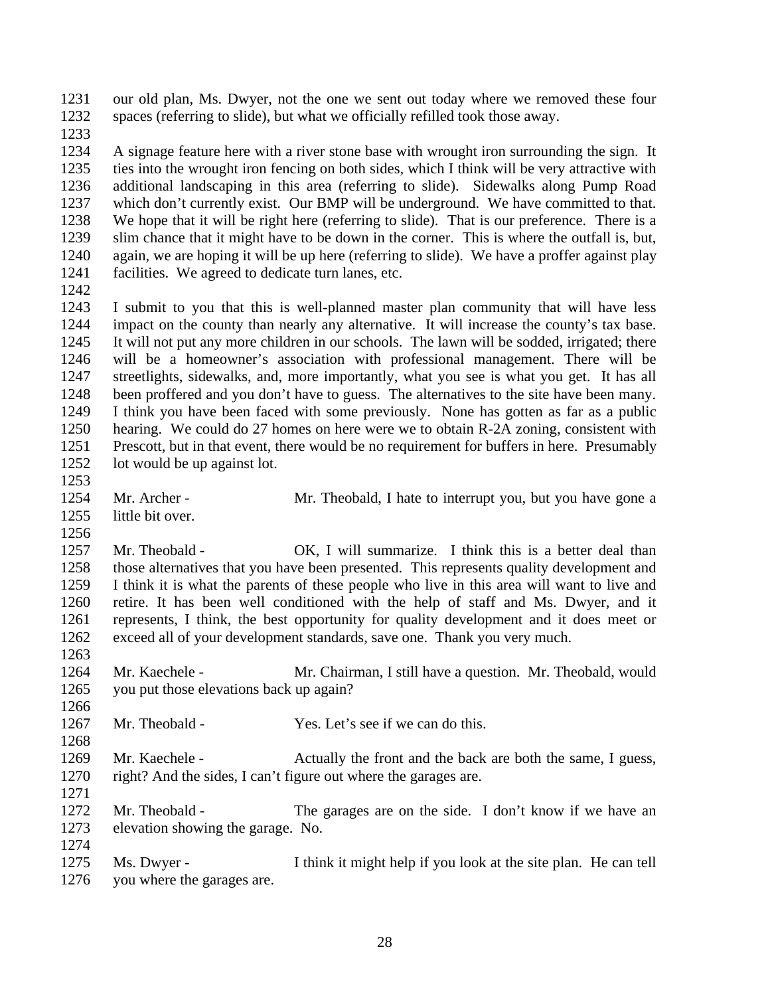our old plan, Ms. Dwyer, not the one we sent out today where we removed these four spaces (referring to slide), but what we officially refilled took those away.

 A signage feature here with a river stone base with wrought iron surrounding the sign. It ties into the wrought iron fencing on both sides, which I think will be very attractive with additional landscaping in this area (referring to slide). Sidewalks along Pump Road which don't currently exist. Our BMP will be underground. We have committed to that. We hope that it will be right here (referring to slide). That is our preference. There is a slim chance that it might have to be down in the corner. This is where the outfall is, but, again, we are hoping it will be up here (referring to slide). We have a proffer against play facilities. We agreed to dedicate turn lanes, etc.

 I submit to you that this is well-planned master plan community that will have less impact on the county than nearly any alternative. It will increase the county's tax base. It will not put any more children in our schools. The lawn will be sodded, irrigated; there will be a homeowner's association with professional management. There will be streetlights, sidewalks, and, more importantly, what you see is what you get. It has all been proffered and you don't have to guess. The alternatives to the site have been many. I think you have been faced with some previously. None has gotten as far as a public hearing. We could do 27 homes on here were we to obtain R-2A zoning, consistent with Prescott, but in that event, there would be no requirement for buffers in here. Presumably lot would be up against lot.

- 
- 1254 Mr. Archer Mr. Theobald, I hate to interrupt you, but you have gone a
- little bit over.

 1257 Mr. Theobald - OK, I will summarize. I think this is a better deal than those alternatives that you have been presented. This represents quality development and I think it is what the parents of these people who live in this area will want to live and retire. It has been well conditioned with the help of staff and Ms. Dwyer, and it represents, I think, the best opportunity for quality development and it does meet or

 Mr. Kaechele - Mr. Chairman, I still have a question. Mr. Theobald, would you put those elevations back up again?

exceed all of your development standards, save one. Thank you very much.

- Mr. Theobald Yes. Let's see if we can do this.
- 1269 Mr. Kaechele Actually the front and the back are both the same, I guess, right? And the sides, I can't figure out where the garages are.
- Mr. Theobald The garages are on the side. I don't know if we have an elevation showing the garage. No.

 Ms. Dwyer - I think it might help if you look at the site plan. He can tell you where the garages are.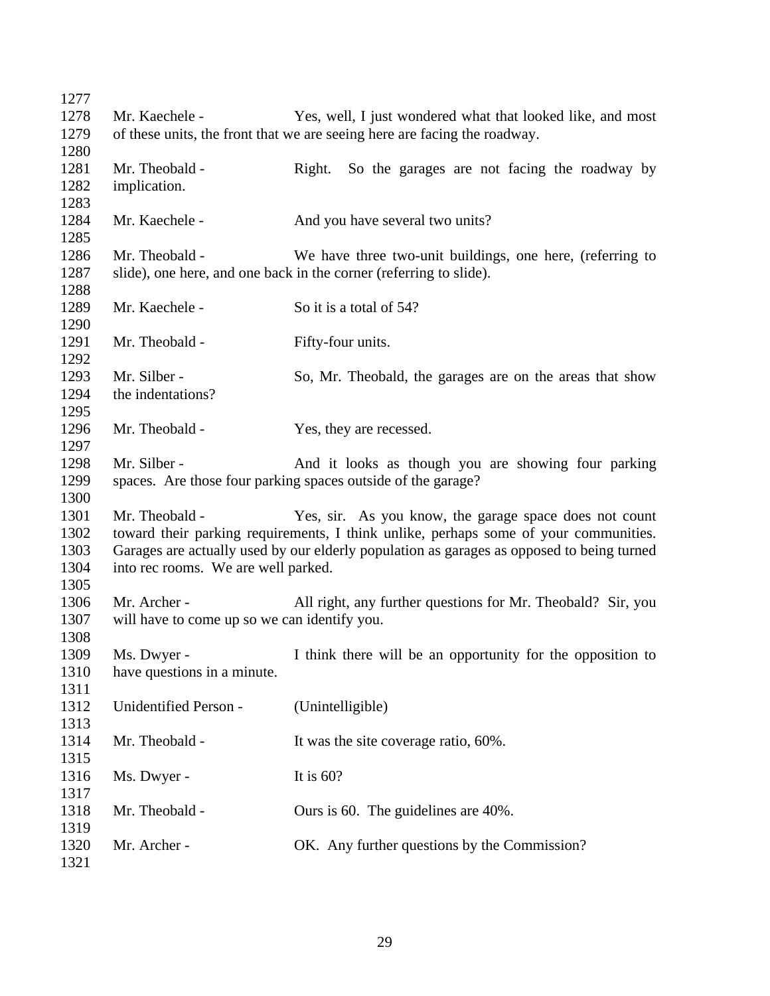| Mr. Kaechele -                               | Yes, well, I just wondered what that looked like, and most                                |
|----------------------------------------------|-------------------------------------------------------------------------------------------|
|                                              | of these units, the front that we are seeing here are facing the roadway.                 |
|                                              |                                                                                           |
| Mr. Theobald -                               | So the garages are not facing the roadway by<br>Right.                                    |
| implication.                                 |                                                                                           |
|                                              |                                                                                           |
|                                              | And you have several two units?                                                           |
|                                              |                                                                                           |
| Mr. Theobald -                               | We have three two-unit buildings, one here, (referring to                                 |
|                                              | slide), one here, and one back in the corner (referring to slide).                        |
|                                              |                                                                                           |
| Mr. Kaechele -                               | So it is a total of 54?                                                                   |
|                                              |                                                                                           |
| Mr. Theobald -                               | Fifty-four units.                                                                         |
|                                              |                                                                                           |
| Mr. Silber -                                 | So, Mr. Theobald, the garages are on the areas that show                                  |
| the indentations?                            |                                                                                           |
|                                              |                                                                                           |
| Mr. Theobald -                               | Yes, they are recessed.                                                                   |
|                                              |                                                                                           |
| Mr. Silber -                                 | And it looks as though you are showing four parking                                       |
|                                              | spaces. Are those four parking spaces outside of the garage?                              |
|                                              |                                                                                           |
| Mr. Theobald -                               | Yes, sir. As you know, the garage space does not count                                    |
|                                              | toward their parking requirements, I think unlike, perhaps some of your communities.      |
|                                              | Garages are actually used by our elderly population as garages as opposed to being turned |
| into rec rooms. We are well parked.          |                                                                                           |
|                                              |                                                                                           |
| Mr. Archer -                                 | All right, any further questions for Mr. Theobald? Sir, you                               |
| will have to come up so we can identify you. |                                                                                           |
|                                              |                                                                                           |
| Ms. Dwyer -                                  | I think there will be an opportunity for the opposition to                                |
| have questions in a minute.                  |                                                                                           |
|                                              |                                                                                           |
| Unidentified Person -                        | (Unintelligible)                                                                          |
|                                              |                                                                                           |
| Mr. Theobald -                               | It was the site coverage ratio, 60%.                                                      |
|                                              |                                                                                           |
|                                              | It is $60$ ?                                                                              |
|                                              |                                                                                           |
| Mr. Theobald -                               | Ours is 60. The guidelines are 40%.                                                       |
|                                              |                                                                                           |
| Mr. Archer -                                 | OK. Any further questions by the Commission?                                              |
|                                              |                                                                                           |
|                                              | Mr. Kaechele -<br>Ms. Dwyer -                                                             |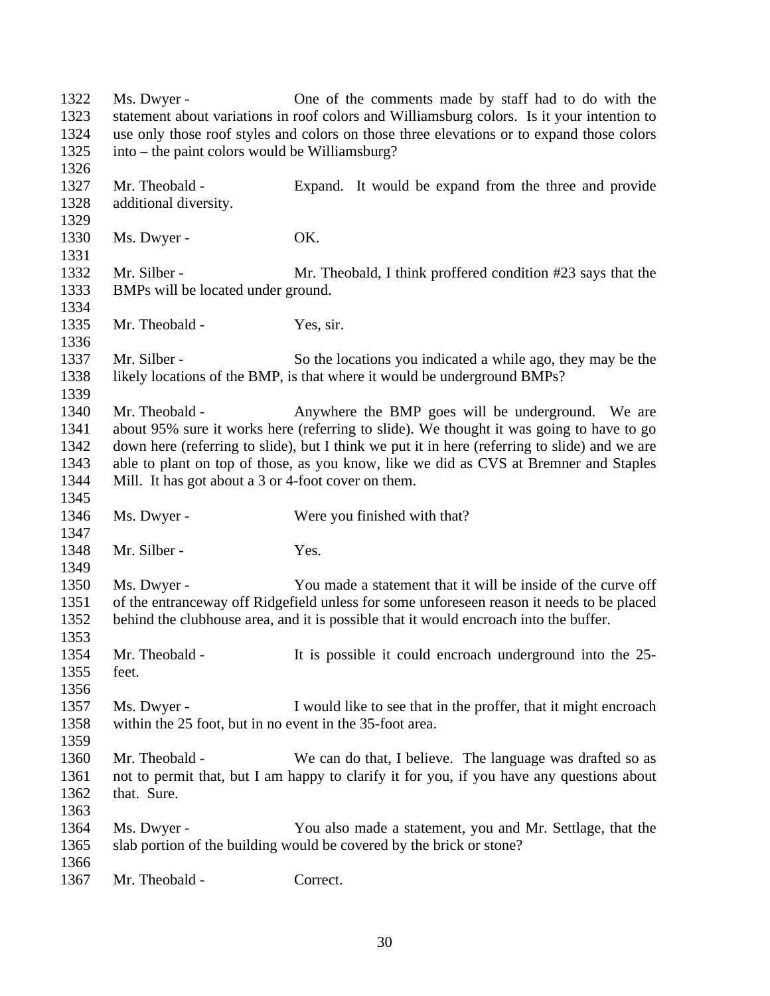Ms. Dwyer - One of the comments made by staff had to do with the statement about variations in roof colors and Williamsburg colors. Is it your intention to use only those roof styles and colors on those three elevations or to expand those colors into – the paint colors would be Williamsburg? Mr. Theobald - Expand. It would be expand from the three and provide additional diversity. 1330 Ms. Dwyer - OK. 1332 Mr. Silber - Mr. Theobald, I think proffered condition #23 says that the BMPs will be located under ground. Mr. Theobald - Yes, sir. 1337 Mr. Silber - So the locations you indicated a while ago, they may be the likely locations of the BMP, is that where it would be underground BMPs? 1340 Mr. Theobald - Anywhere the BMP goes will be underground. We are about 95% sure it works here (referring to slide). We thought it was going to have to go down here (referring to slide), but I think we put it in here (referring to slide) and we are able to plant on top of those, as you know, like we did as CVS at Bremner and Staples Mill. It has got about a 3 or 4-foot cover on them. 1346 Ms. Dwyer - Were you finished with that? 1348 Mr. Silber - Yes. Ms. Dwyer - You made a statement that it will be inside of the curve off of the entranceway off Ridgefield unless for some unforeseen reason it needs to be placed behind the clubhouse area, and it is possible that it would encroach into the buffer. Mr. Theobald - It is possible it could encroach underground into the 25- feet. Ms. Dwyer - I would like to see that in the proffer, that it might encroach within the 25 foot, but in no event in the 35-foot area. Mr. Theobald - We can do that, I believe. The language was drafted so as not to permit that, but I am happy to clarify it for you, if you have any questions about that. Sure. Ms. Dwyer - You also made a statement, you and Mr. Settlage, that the slab portion of the building would be covered by the brick or stone? Mr. Theobald - Correct.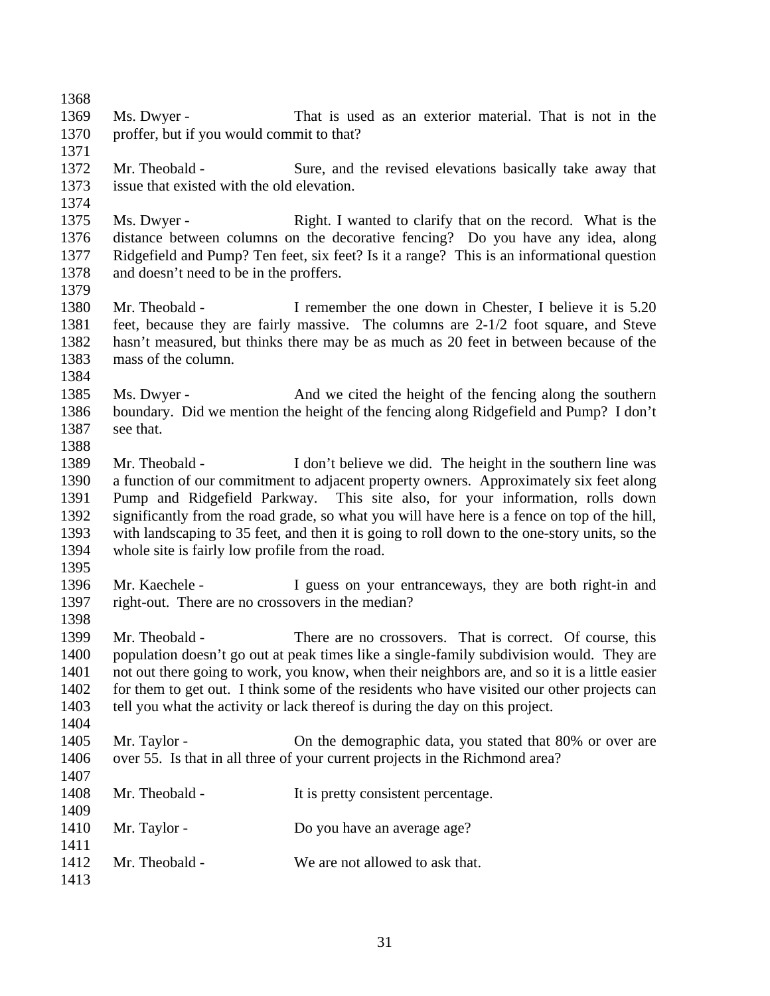Ms. Dwyer - That is used as an exterior material. That is not in the proffer, but if you would commit to that? Mr. Theobald - Sure, and the revised elevations basically take away that issue that existed with the old elevation. Ms. Dwyer - Right. I wanted to clarify that on the record. What is the distance between columns on the decorative fencing? Do you have any idea, along Ridgefield and Pump? Ten feet, six feet? Is it a range? This is an informational question and doesn't need to be in the proffers. Mr. Theobald - I remember the one down in Chester, I believe it is 5.20 feet, because they are fairly massive. The columns are 2-1/2 foot square, and Steve hasn't measured, but thinks there may be as much as 20 feet in between because of the mass of the column. 1385 Ms. Dwyer - And we cited the height of the fencing along the southern boundary. Did we mention the height of the fencing along Ridgefield and Pump? I don't see that. Mr. Theobald - I don't believe we did. The height in the southern line was a function of our commitment to adjacent property owners. Approximately six feet along Pump and Ridgefield Parkway. This site also, for your information, rolls down significantly from the road grade, so what you will have here is a fence on top of the hill, with landscaping to 35 feet, and then it is going to roll down to the one-story units, so the whole site is fairly low profile from the road. Mr. Kaechele - I guess on your entranceways, they are both right-in and right-out. There are no crossovers in the median? Mr. Theobald - There are no crossovers. That is correct. Of course, this population doesn't go out at peak times like a single-family subdivision would. They are not out there going to work, you know, when their neighbors are, and so it is a little easier for them to get out. I think some of the residents who have visited our other projects can tell you what the activity or lack thereof is during the day on this project. 1405 Mr. Taylor - On the demographic data, you stated that 80% or over are over 55. Is that in all three of your current projects in the Richmond area? 1408 Mr. Theobald - It is pretty consistent percentage. 1410 Mr. Taylor - Do you have an average age? Mr. Theobald - We are not allowed to ask that.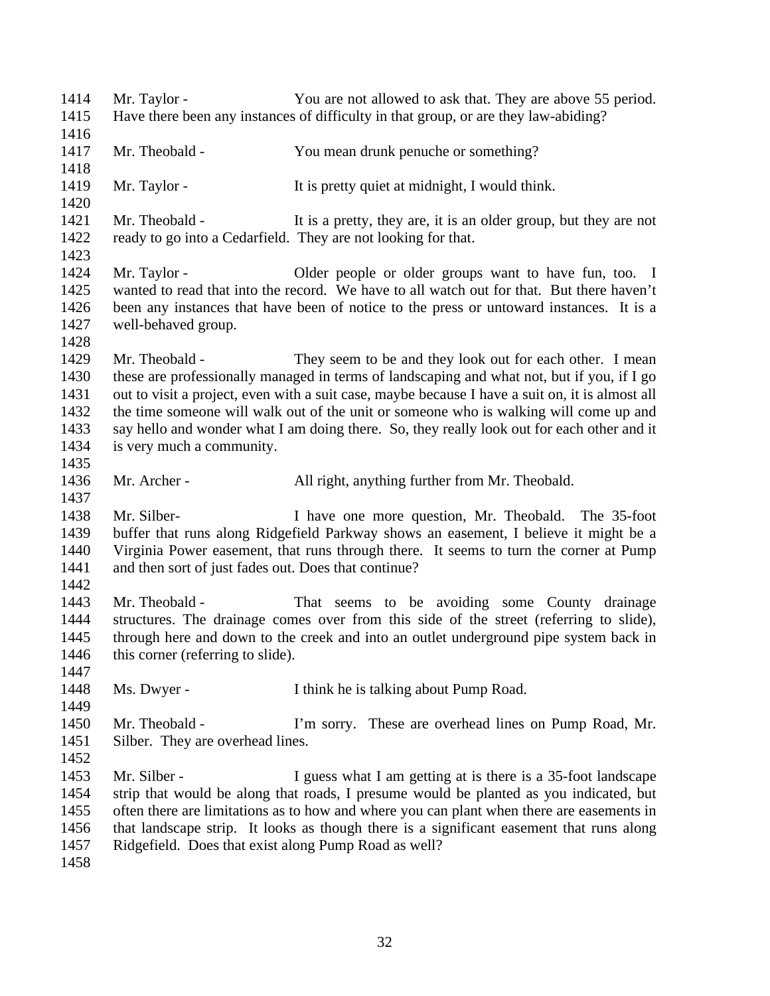Mr. Taylor - You are not allowed to ask that. They are above 55 period. Have there been any instances of difficulty in that group, or are they law-abiding? Mr. Theobald - You mean drunk penuche or something? 1419 Mr. Taylor - It is pretty quiet at midnight, I would think. 1421 Mr. Theobald - It is a pretty, they are, it is an older group, but they are not ready to go into a Cedarfield. They are not looking for that. Mr. Taylor - Older people or older groups want to have fun, too. I wanted to read that into the record. We have to all watch out for that. But there haven't been any instances that have been of notice to the press or untoward instances. It is a well-behaved group. 1429 Mr. Theobald - They seem to be and they look out for each other. I mean these are professionally managed in terms of landscaping and what not, but if you, if I go out to visit a project, even with a suit case, maybe because I have a suit on, it is almost all the time someone will walk out of the unit or someone who is walking will come up and say hello and wonder what I am doing there. So, they really look out for each other and it is very much a community. Mr. Archer - All right, anything further from Mr. Theobald. Mr. Silber- I have one more question, Mr. Theobald. The 35-foot buffer that runs along Ridgefield Parkway shows an easement, I believe it might be a Virginia Power easement, that runs through there. It seems to turn the corner at Pump and then sort of just fades out. Does that continue? Mr. Theobald - That seems to be avoiding some County drainage structures. The drainage comes over from this side of the street (referring to slide), through here and down to the creek and into an outlet underground pipe system back in 1446 this corner (referring to slide). Ms. Dwyer - I think he is talking about Pump Road. Mr. Theobald - I'm sorry. These are overhead lines on Pump Road, Mr. Silber. They are overhead lines. 1453 Mr. Silber - I guess what I am getting at is there is a 35-foot landscape strip that would be along that roads, I presume would be planted as you indicated, but often there are limitations as to how and where you can plant when there are easements in that landscape strip. It looks as though there is a significant easement that runs along Ridgefield. Does that exist along Pump Road as well?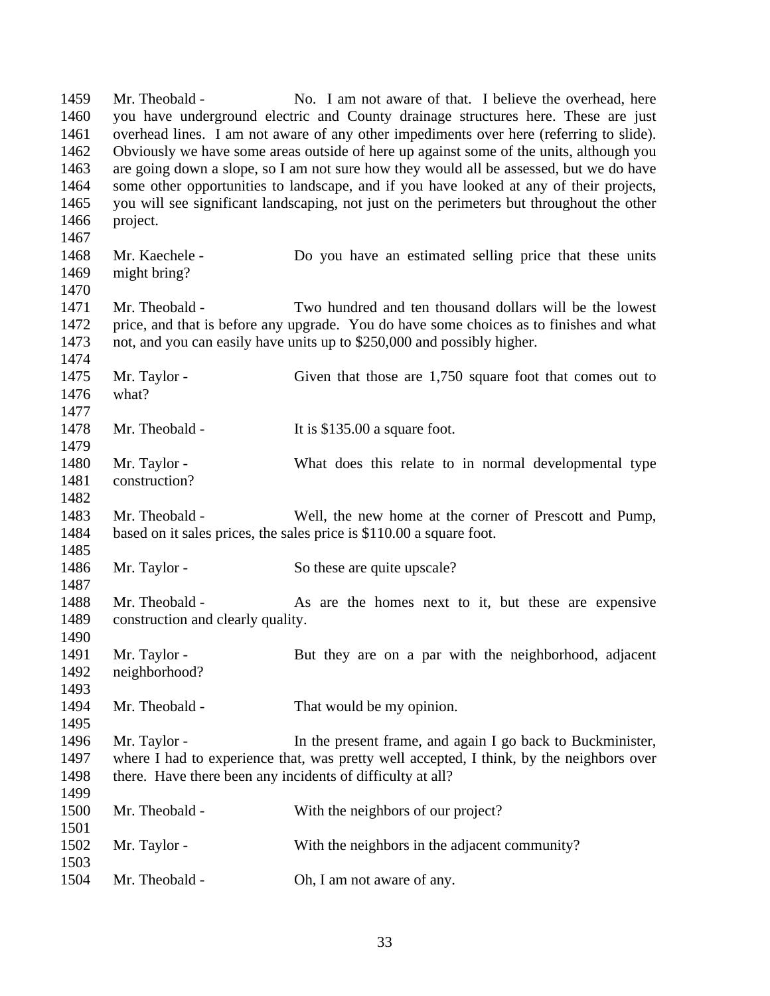Mr. Theobald - No. I am not aware of that. I believe the overhead, here you have underground electric and County drainage structures here. These are just overhead lines. I am not aware of any other impediments over here (referring to slide). Obviously we have some areas outside of here up against some of the units, although you are going down a slope, so I am not sure how they would all be assessed, but we do have some other opportunities to landscape, and if you have looked at any of their projects, you will see significant landscaping, not just on the perimeters but throughout the other project. Mr. Kaechele - Do you have an estimated selling price that these units might bring? Mr. Theobald - Two hundred and ten thousand dollars will be the lowest price, and that is before any upgrade. You do have some choices as to finishes and what not, and you can easily have units up to \$250,000 and possibly higher. 1475 Mr. Taylor - Given that those are 1,750 square foot that comes out to what? 1478 Mr. Theobald - It is \$135.00 a square foot. Mr. Taylor - What does this relate to in normal developmental type construction? Mr. Theobald - Well, the new home at the corner of Prescott and Pump, based on it sales prices, the sales price is \$110.00 a square foot. 1486 Mr. Taylor - So these are quite upscale? 1488 Mr. Theobald - As are the homes next to it, but these are expensive construction and clearly quality. 1491 Mr. Taylor - But they are on a par with the neighborhood, adjacent neighborhood? Mr. Theobald - That would be my opinion. Mr. Taylor - In the present frame, and again I go back to Buckminister, where I had to experience that, was pretty well accepted, I think, by the neighbors over 1498 there. Have there been any incidents of difficulty at all? Mr. Theobald - With the neighbors of our project? 1502 Mr. Taylor - With the neighbors in the adjacent community? Mr. Theobald - Oh, I am not aware of any.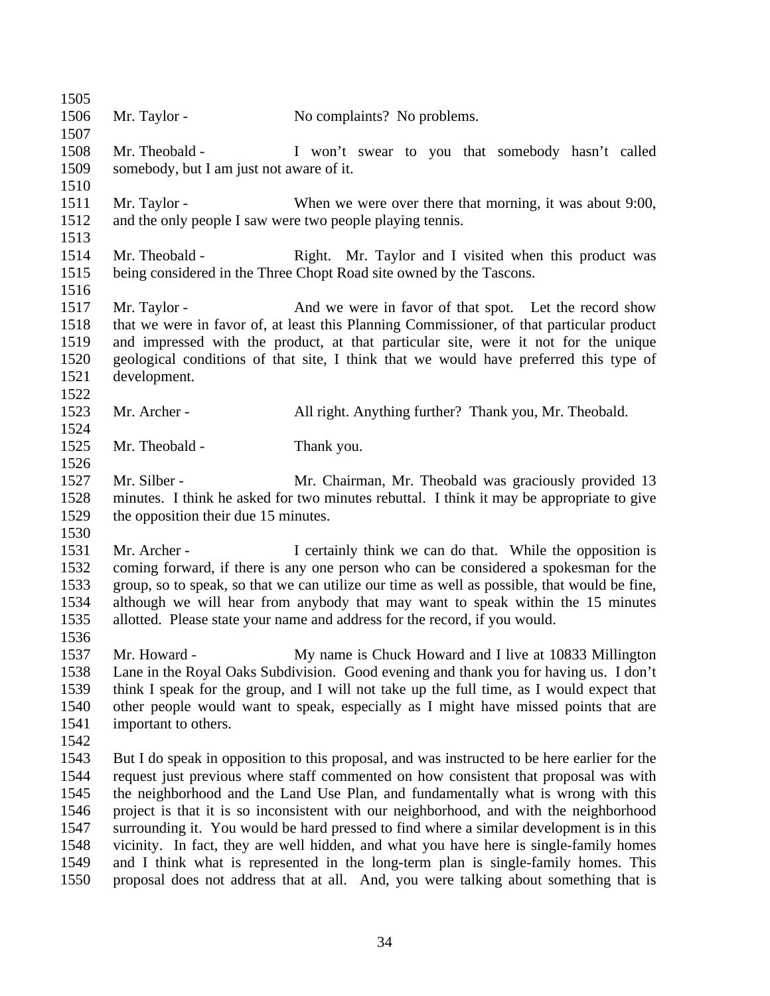| 1505 |                                                           |                                                                                              |
|------|-----------------------------------------------------------|----------------------------------------------------------------------------------------------|
| 1506 | Mr. Taylor -                                              | No complaints? No problems.                                                                  |
| 1507 |                                                           |                                                                                              |
| 1508 | Mr. Theobald -                                            | I won't swear to you that somebody hasn't called                                             |
| 1509 | somebody, but I am just not aware of it.                  |                                                                                              |
| 1510 |                                                           |                                                                                              |
| 1511 | Mr. Taylor -                                              | When we were over there that morning, it was about 9:00,                                     |
| 1512 | and the only people I saw were two people playing tennis. |                                                                                              |
| 1513 |                                                           |                                                                                              |
| 1514 | Mr. Theobald -                                            | Right. Mr. Taylor and I visited when this product was                                        |
| 1515 |                                                           | being considered in the Three Chopt Road site owned by the Tascons.                          |
| 1516 |                                                           |                                                                                              |
| 1517 | Mr. Taylor -                                              | And we were in favor of that spot. Let the record show                                       |
| 1518 |                                                           | that we were in favor of, at least this Planning Commissioner, of that particular product    |
| 1519 |                                                           | and impressed with the product, at that particular site, were it not for the unique          |
| 1520 |                                                           | geological conditions of that site, I think that we would have preferred this type of        |
| 1521 | development.                                              |                                                                                              |
| 1522 |                                                           |                                                                                              |
| 1523 | Mr. Archer -                                              | All right. Anything further? Thank you, Mr. Theobald.                                        |
| 1524 |                                                           |                                                                                              |
| 1525 | Mr. Theobald -                                            | Thank you.                                                                                   |
| 1526 |                                                           |                                                                                              |
| 1527 | Mr. Silber -                                              | Mr. Chairman, Mr. Theobald was graciously provided 13                                        |
| 1528 |                                                           | minutes. I think he asked for two minutes rebuttal. I think it may be appropriate to give    |
| 1529 | the opposition their due 15 minutes.                      |                                                                                              |
| 1530 |                                                           |                                                                                              |
| 1531 | Mr. Archer -                                              | I certainly think we can do that. While the opposition is                                    |
| 1532 |                                                           | coming forward, if there is any one person who can be considered a spokesman for the         |
| 1533 |                                                           | group, so to speak, so that we can utilize our time as well as possible, that would be fine, |
| 1534 |                                                           | although we will hear from anybody that may want to speak within the 15 minutes              |
| 1535 |                                                           | allotted. Please state your name and address for the record, if you would.                   |
| 1536 |                                                           |                                                                                              |
| 1537 | Mr. Howard -                                              | My name is Chuck Howard and I live at 10833 Millington                                       |
| 1538 |                                                           | Lane in the Royal Oaks Subdivision. Good evening and thank you for having us. I don't        |
| 1539 |                                                           | think I speak for the group, and I will not take up the full time, as I would expect that    |
| 1540 |                                                           | other people would want to speak, especially as I might have missed points that are          |
| 1541 | important to others.                                      |                                                                                              |
| 1542 |                                                           |                                                                                              |
| 1543 |                                                           | But I do speak in opposition to this proposal, and was instructed to be here earlier for the |
| 1544 |                                                           | request just previous where staff commented on how consistent that proposal was with         |
| 1545 |                                                           | the neighborhood and the Land Use Plan, and fundamentally what is wrong with this            |
| 1546 |                                                           | project is that it is so inconsistent with our neighborhood, and with the neighborhood       |
| 1547 |                                                           | surrounding it. You would be hard pressed to find where a similar development is in this     |
| 1548 |                                                           | vicinity. In fact, they are well hidden, and what you have here is single-family homes       |
| 1549 |                                                           | and I think what is represented in the long-term plan is single-family homes. This           |
| 1550 |                                                           | proposal does not address that at all. And, you were talking about something that is         |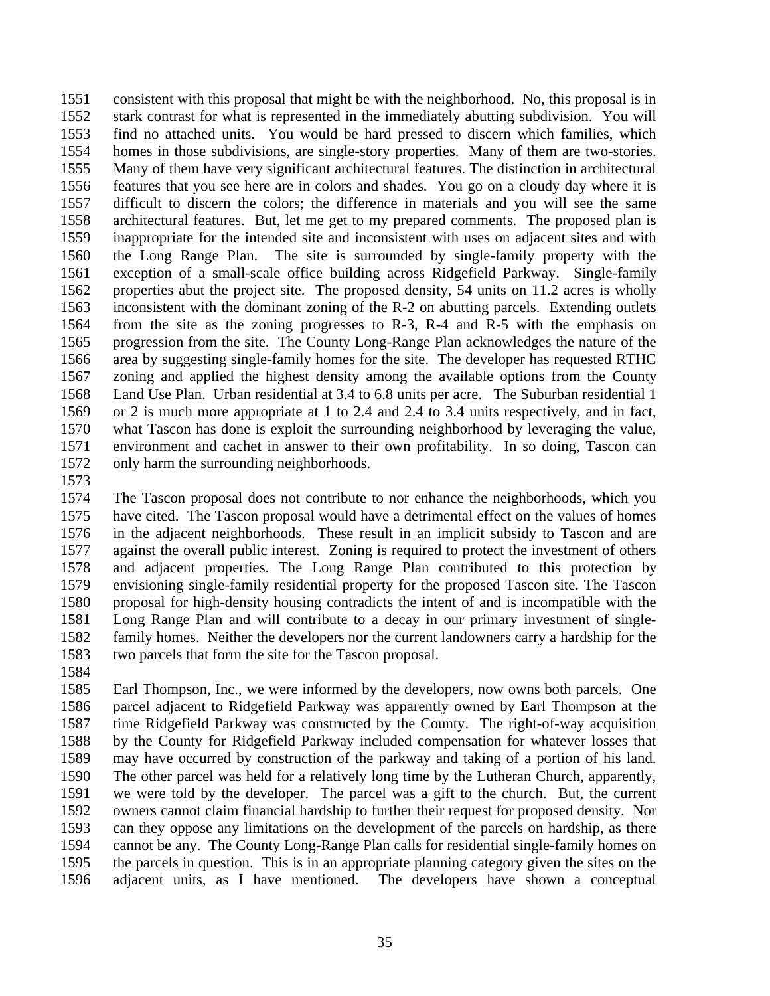consistent with this proposal that might be with the neighborhood. No, this proposal is in stark contrast for what is represented in the immediately abutting subdivision. You will find no attached units. You would be hard pressed to discern which families, which homes in those subdivisions, are single-story properties. Many of them are two-stories. Many of them have very significant architectural features. The distinction in architectural features that you see here are in colors and shades. You go on a cloudy day where it is difficult to discern the colors; the difference in materials and you will see the same architectural features. But, let me get to my prepared comments. The proposed plan is inappropriate for the intended site and inconsistent with uses on adjacent sites and with the Long Range Plan. The site is surrounded by single-family property with the exception of a small-scale office building across Ridgefield Parkway. Single-family properties abut the project site. The proposed density, 54 units on 11.2 acres is wholly inconsistent with the dominant zoning of the R-2 on abutting parcels. Extending outlets from the site as the zoning progresses to R-3, R-4 and R-5 with the emphasis on progression from the site. The County Long-Range Plan acknowledges the nature of the area by suggesting single-family homes for the site. The developer has requested RTHC zoning and applied the highest density among the available options from the County Land Use Plan. Urban residential at 3.4 to 6.8 units per acre. The Suburban residential 1 or 2 is much more appropriate at 1 to 2.4 and 2.4 to 3.4 units respectively, and in fact, what Tascon has done is exploit the surrounding neighborhood by leveraging the value, environment and cachet in answer to their own profitability. In so doing, Tascon can only harm the surrounding neighborhoods.

 The Tascon proposal does not contribute to nor enhance the neighborhoods, which you have cited. The Tascon proposal would have a detrimental effect on the values of homes in the adjacent neighborhoods. These result in an implicit subsidy to Tascon and are against the overall public interest. Zoning is required to protect the investment of others and adjacent properties. The Long Range Plan contributed to this protection by envisioning single-family residential property for the proposed Tascon site. The Tascon proposal for high-density housing contradicts the intent of and is incompatible with the Long Range Plan and will contribute to a decay in our primary investment of single- family homes. Neither the developers nor the current landowners carry a hardship for the two parcels that form the site for the Tascon proposal.

 Earl Thompson, Inc., we were informed by the developers, now owns both parcels. One parcel adjacent to Ridgefield Parkway was apparently owned by Earl Thompson at the time Ridgefield Parkway was constructed by the County. The right-of-way acquisition by the County for Ridgefield Parkway included compensation for whatever losses that may have occurred by construction of the parkway and taking of a portion of his land. The other parcel was held for a relatively long time by the Lutheran Church, apparently, we were told by the developer. The parcel was a gift to the church. But, the current owners cannot claim financial hardship to further their request for proposed density. Nor can they oppose any limitations on the development of the parcels on hardship, as there cannot be any. The County Long-Range Plan calls for residential single-family homes on the parcels in question. This is in an appropriate planning category given the sites on the adjacent units, as I have mentioned. The developers have shown a conceptual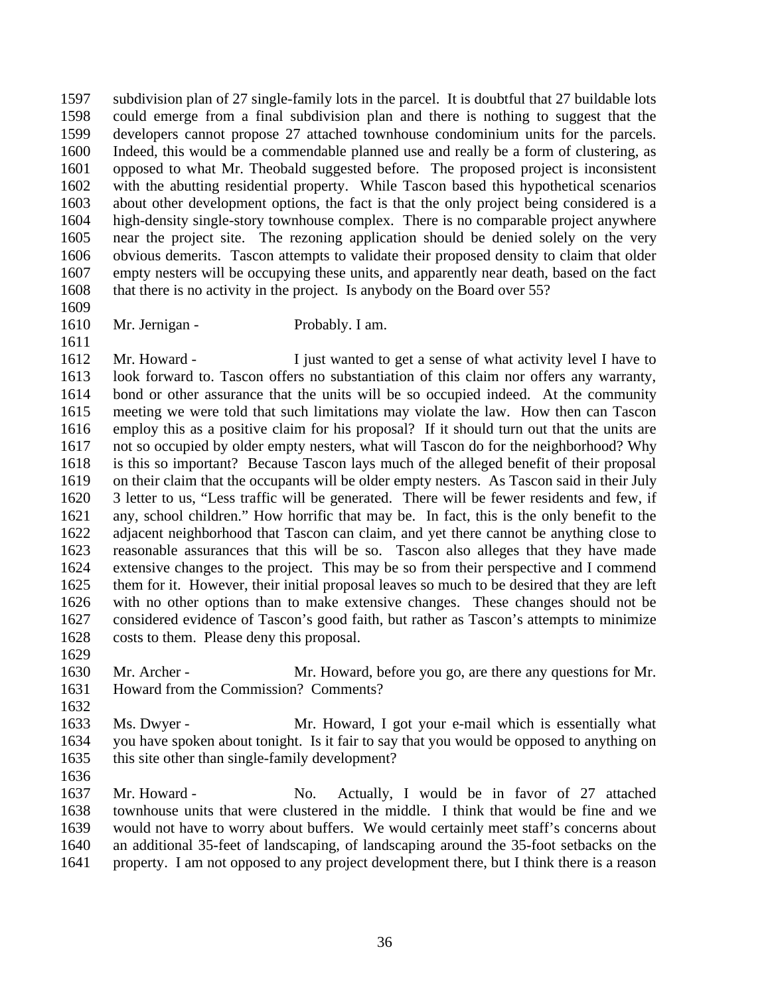subdivision plan of 27 single-family lots in the parcel. It is doubtful that 27 buildable lots could emerge from a final subdivision plan and there is nothing to suggest that the developers cannot propose 27 attached townhouse condominium units for the parcels. Indeed, this would be a commendable planned use and really be a form of clustering, as opposed to what Mr. Theobald suggested before. The proposed project is inconsistent with the abutting residential property. While Tascon based this hypothetical scenarios about other development options, the fact is that the only project being considered is a high-density single-story townhouse complex. There is no comparable project anywhere near the project site. The rezoning application should be denied solely on the very obvious demerits. Tascon attempts to validate their proposed density to claim that older empty nesters will be occupying these units, and apparently near death, based on the fact that there is no activity in the project. Is anybody on the Board over 55?

- 
- 
- 1610 Mr. Jernigan Probably. I am.

1612 Mr. Howard - I just wanted to get a sense of what activity level I have to look forward to. Tascon offers no substantiation of this claim nor offers any warranty, bond or other assurance that the units will be so occupied indeed. At the community meeting we were told that such limitations may violate the law. How then can Tascon employ this as a positive claim for his proposal? If it should turn out that the units are not so occupied by older empty nesters, what will Tascon do for the neighborhood? Why is this so important? Because Tascon lays much of the alleged benefit of their proposal on their claim that the occupants will be older empty nesters. As Tascon said in their July 3 letter to us, "Less traffic will be generated. There will be fewer residents and few, if any, school children." How horrific that may be. In fact, this is the only benefit to the adjacent neighborhood that Tascon can claim, and yet there cannot be anything close to reasonable assurances that this will be so. Tascon also alleges that they have made extensive changes to the project. This may be so from their perspective and I commend them for it. However, their initial proposal leaves so much to be desired that they are left with no other options than to make extensive changes. These changes should not be considered evidence of Tascon's good faith, but rather as Tascon's attempts to minimize costs to them. Please deny this proposal.

 Mr. Archer - Mr. Howard, before you go, are there any questions for Mr. Howard from the Commission? Comments?

 Ms. Dwyer - Mr. Howard, I got your e-mail which is essentially what you have spoken about tonight. Is it fair to say that you would be opposed to anything on this site other than single-family development?

1637 Mr. Howard - No. Actually, I would be in favor of 27 attached townhouse units that were clustered in the middle. I think that would be fine and we would not have to worry about buffers. We would certainly meet staff's concerns about an additional 35-feet of landscaping, of landscaping around the 35-foot setbacks on the property. I am not opposed to any project development there, but I think there is a reason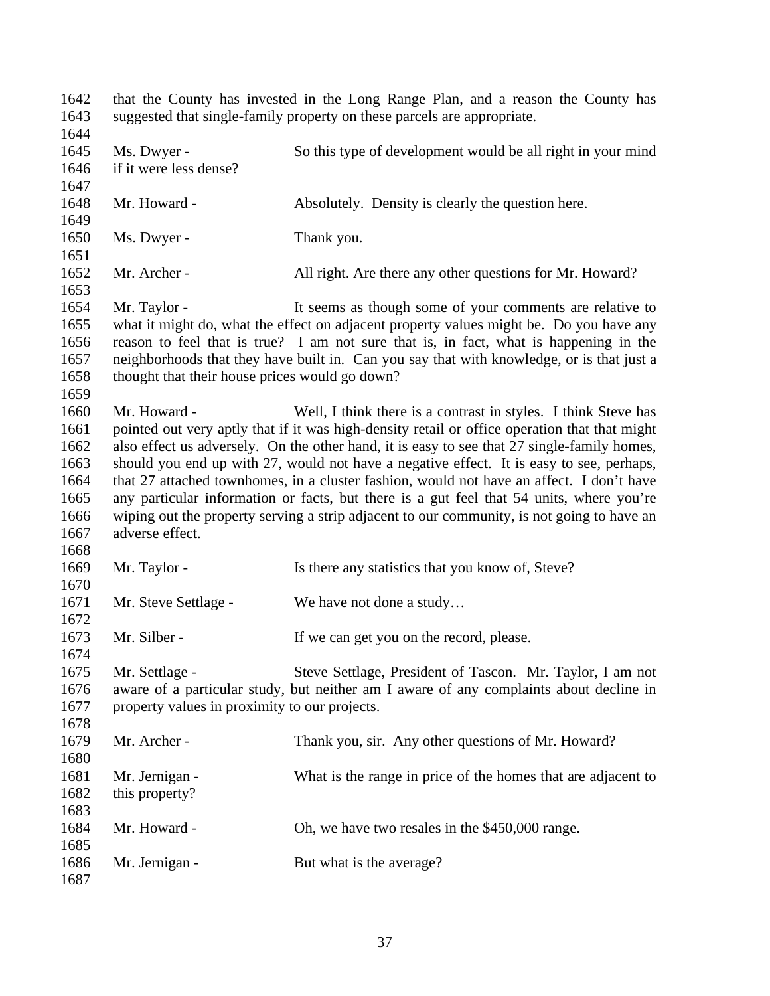that the County has invested in the Long Range Plan, and a reason the County has suggested that single-family property on these parcels are appropriate. Ms. Dwyer - So this type of development would be all right in your mind if it were less dense? 1648 Mr. Howard - Absolutely. Density is clearly the question here. 1650 Ms. Dwyer - Thank you. 1652 Mr. Archer - All right. Are there any other questions for Mr. Howard? Mr. Taylor - It seems as though some of your comments are relative to what it might do, what the effect on adjacent property values might be. Do you have any reason to feel that is true? I am not sure that is, in fact, what is happening in the neighborhoods that they have built in. Can you say that with knowledge, or is that just a thought that their house prices would go down? Mr. Howard - Well, I think there is a contrast in styles. I think Steve has 1661 pointed out very aptly that if it was high-density retail or office operation that that might also effect us adversely. On the other hand, it is easy to see that 27 single-family homes, should you end up with 27, would not have a negative effect. It is easy to see, perhaps, that 27 attached townhomes, in a cluster fashion, would not have an affect. I don't have any particular information or facts, but there is a gut feel that 54 units, where you're wiping out the property serving a strip adjacent to our community, is not going to have an adverse effect. 1669 Mr. Taylor - Is there any statistics that you know of, Steve? 1671 Mr. Steve Settlage - We have not done a study... 1673 Mr. Silber - If we can get you on the record, please. Mr. Settlage - Steve Settlage, President of Tascon. Mr. Taylor, I am not aware of a particular study, but neither am I aware of any complaints about decline in property values in proximity to our projects. Mr. Archer - Thank you, sir. Any other questions of Mr. Howard? Mr. Jernigan - What is the range in price of the homes that are adjacent to this property? 1684 Mr. Howard - Oh, we have two resales in the \$450,000 range. 1686 Mr. Jernigan - But what is the average?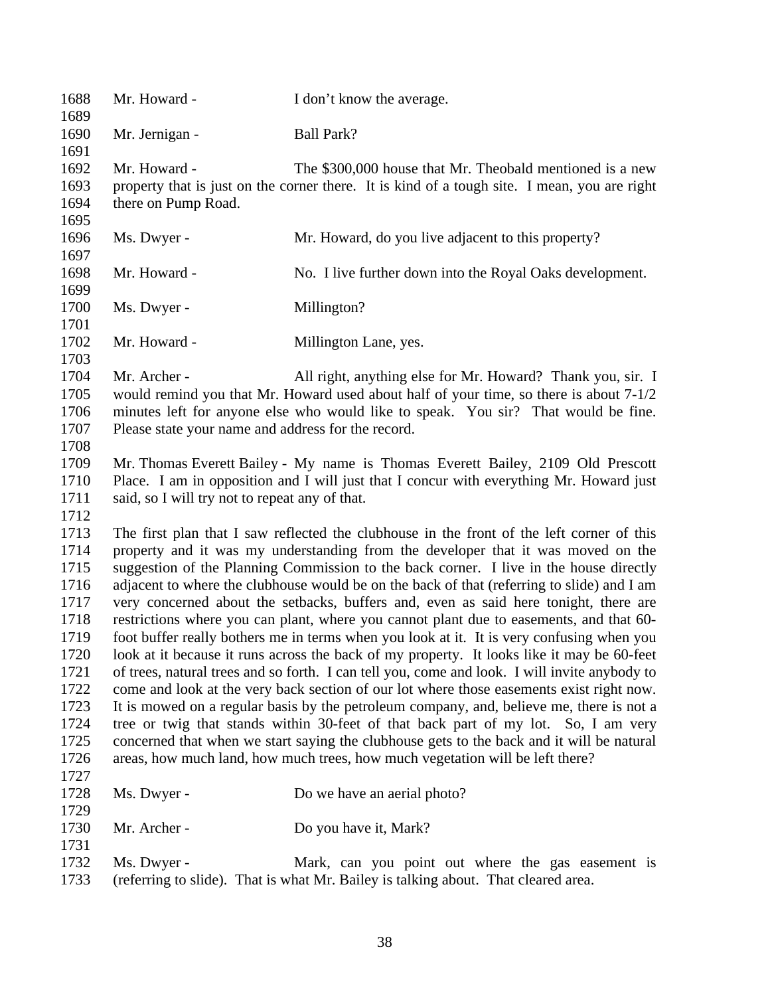| 1688<br>1689                                                                                                         | Mr. Howard -                                                                                                                                                                                                                                                                                                                                                                                                                                                                                                                                                                                                                                                                                                                                                                                                                                                                                                                                                                                                                                                                                                                                                                                                                                                                                                     | I don't know the average.                                                                                                                                                                                                                  |
|----------------------------------------------------------------------------------------------------------------------|------------------------------------------------------------------------------------------------------------------------------------------------------------------------------------------------------------------------------------------------------------------------------------------------------------------------------------------------------------------------------------------------------------------------------------------------------------------------------------------------------------------------------------------------------------------------------------------------------------------------------------------------------------------------------------------------------------------------------------------------------------------------------------------------------------------------------------------------------------------------------------------------------------------------------------------------------------------------------------------------------------------------------------------------------------------------------------------------------------------------------------------------------------------------------------------------------------------------------------------------------------------------------------------------------------------|--------------------------------------------------------------------------------------------------------------------------------------------------------------------------------------------------------------------------------------------|
| 1690<br>1691                                                                                                         | Mr. Jernigan -                                                                                                                                                                                                                                                                                                                                                                                                                                                                                                                                                                                                                                                                                                                                                                                                                                                                                                                                                                                                                                                                                                                                                                                                                                                                                                   | <b>Ball Park?</b>                                                                                                                                                                                                                          |
| 1692<br>1693<br>1694<br>1695                                                                                         | Mr. Howard -<br>there on Pump Road.                                                                                                                                                                                                                                                                                                                                                                                                                                                                                                                                                                                                                                                                                                                                                                                                                                                                                                                                                                                                                                                                                                                                                                                                                                                                              | The \$300,000 house that Mr. Theobald mentioned is a new<br>property that is just on the corner there. It is kind of a tough site. I mean, you are right                                                                                   |
| 1696                                                                                                                 | Ms. Dwyer -                                                                                                                                                                                                                                                                                                                                                                                                                                                                                                                                                                                                                                                                                                                                                                                                                                                                                                                                                                                                                                                                                                                                                                                                                                                                                                      | Mr. Howard, do you live adjacent to this property?                                                                                                                                                                                         |
| 1697<br>1698                                                                                                         | Mr. Howard -                                                                                                                                                                                                                                                                                                                                                                                                                                                                                                                                                                                                                                                                                                                                                                                                                                                                                                                                                                                                                                                                                                                                                                                                                                                                                                     | No. I live further down into the Royal Oaks development.                                                                                                                                                                                   |
| 1699<br>1700                                                                                                         | Ms. Dwyer -                                                                                                                                                                                                                                                                                                                                                                                                                                                                                                                                                                                                                                                                                                                                                                                                                                                                                                                                                                                                                                                                                                                                                                                                                                                                                                      | Millington?                                                                                                                                                                                                                                |
| 1701<br>1702                                                                                                         | Mr. Howard -                                                                                                                                                                                                                                                                                                                                                                                                                                                                                                                                                                                                                                                                                                                                                                                                                                                                                                                                                                                                                                                                                                                                                                                                                                                                                                     | Millington Lane, yes.                                                                                                                                                                                                                      |
| 1703<br>1704<br>1705<br>1706<br>1707<br>1708                                                                         | Mr. Archer -<br>Please state your name and address for the record.                                                                                                                                                                                                                                                                                                                                                                                                                                                                                                                                                                                                                                                                                                                                                                                                                                                                                                                                                                                                                                                                                                                                                                                                                                               | All right, anything else for Mr. Howard? Thank you, sir. I<br>would remind you that Mr. Howard used about half of your time, so there is about 7-1/2<br>minutes left for anyone else who would like to speak. You sir? That would be fine. |
| 1709<br>1710<br>1711<br>1712                                                                                         | said, so I will try not to repeat any of that.                                                                                                                                                                                                                                                                                                                                                                                                                                                                                                                                                                                                                                                                                                                                                                                                                                                                                                                                                                                                                                                                                                                                                                                                                                                                   | Mr. Thomas Everett Bailey - My name is Thomas Everett Bailey, 2109 Old Prescott<br>Place. I am in opposition and I will just that I concur with everything Mr. Howard just                                                                 |
| 1713<br>1714<br>1715<br>1716<br>1717<br>1718<br>1719<br>1720<br>1721<br>1722<br>1723<br>1724<br>1725<br>1726<br>1727 | The first plan that I saw reflected the clubhouse in the front of the left corner of this<br>property and it was my understanding from the developer that it was moved on the<br>suggestion of the Planning Commission to the back corner. I live in the house directly<br>adjacent to where the clubhouse would be on the back of that (referring to slide) and I am<br>very concerned about the setbacks, buffers and, even as said here tonight, there are<br>restrictions where you can plant, where you cannot plant due to easements, and that 60-<br>foot buffer really bothers me in terms when you look at it. It is very confusing when you<br>look at it because it runs across the back of my property. It looks like it may be 60-feet<br>of trees, natural trees and so forth. I can tell you, come and look. I will invite anybody to<br>come and look at the very back section of our lot where those easements exist right now.<br>It is mowed on a regular basis by the petroleum company, and, believe me, there is not a<br>tree or twig that stands within 30-feet of that back part of my lot. So, I am very<br>concerned that when we start saying the clubhouse gets to the back and it will be natural<br>areas, how much land, how much trees, how much vegetation will be left there? |                                                                                                                                                                                                                                            |
| 1728<br>1729                                                                                                         | Ms. Dwyer -                                                                                                                                                                                                                                                                                                                                                                                                                                                                                                                                                                                                                                                                                                                                                                                                                                                                                                                                                                                                                                                                                                                                                                                                                                                                                                      | Do we have an aerial photo?                                                                                                                                                                                                                |
| 1730<br>1731                                                                                                         | Mr. Archer -                                                                                                                                                                                                                                                                                                                                                                                                                                                                                                                                                                                                                                                                                                                                                                                                                                                                                                                                                                                                                                                                                                                                                                                                                                                                                                     | Do you have it, Mark?                                                                                                                                                                                                                      |
| 1732<br>1733                                                                                                         | Ms. Dwyer -                                                                                                                                                                                                                                                                                                                                                                                                                                                                                                                                                                                                                                                                                                                                                                                                                                                                                                                                                                                                                                                                                                                                                                                                                                                                                                      | Mark, can you point out where the gas easement is<br>(referring to slide). That is what Mr. Bailey is talking about. That cleared area.                                                                                                    |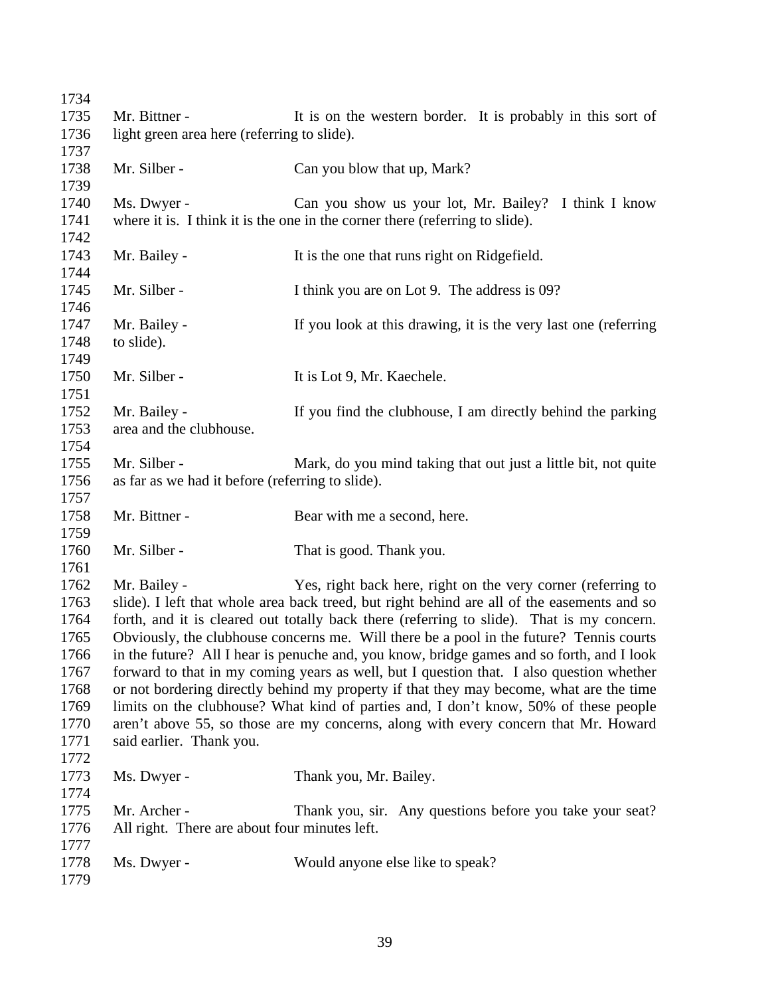| 1734 |                                                                                          |                                                                                             |  |
|------|------------------------------------------------------------------------------------------|---------------------------------------------------------------------------------------------|--|
| 1735 | Mr. Bittner -                                                                            | It is on the western border. It is probably in this sort of                                 |  |
| 1736 | light green area here (referring to slide).                                              |                                                                                             |  |
| 1737 |                                                                                          |                                                                                             |  |
| 1738 | Mr. Silber -                                                                             | Can you blow that up, Mark?                                                                 |  |
| 1739 |                                                                                          |                                                                                             |  |
| 1740 | Ms. Dwyer -                                                                              | Can you show us your lot, Mr. Bailey? I think I know                                        |  |
| 1741 |                                                                                          | where it is. I think it is the one in the corner there (referring to slide).                |  |
| 1742 |                                                                                          |                                                                                             |  |
| 1743 | Mr. Bailey -                                                                             | It is the one that runs right on Ridgefield.                                                |  |
| 1744 |                                                                                          |                                                                                             |  |
| 1745 | Mr. Silber -                                                                             | I think you are on Lot 9. The address is 09?                                                |  |
| 1746 |                                                                                          |                                                                                             |  |
| 1747 | Mr. Bailey -                                                                             | If you look at this drawing, it is the very last one (referring                             |  |
| 1748 | to slide).                                                                               |                                                                                             |  |
| 1749 |                                                                                          |                                                                                             |  |
| 1750 | Mr. Silber -                                                                             | It is Lot 9, Mr. Kaechele.                                                                  |  |
| 1751 |                                                                                          |                                                                                             |  |
| 1752 | Mr. Bailey -                                                                             | If you find the clubhouse, I am directly behind the parking                                 |  |
| 1753 | area and the clubhouse.                                                                  |                                                                                             |  |
| 1754 |                                                                                          |                                                                                             |  |
| 1755 | Mr. Silber -                                                                             | Mark, do you mind taking that out just a little bit, not quite                              |  |
| 1756 | as far as we had it before (referring to slide).                                         |                                                                                             |  |
| 1757 |                                                                                          |                                                                                             |  |
| 1758 | Mr. Bittner -                                                                            | Bear with me a second, here.                                                                |  |
| 1759 |                                                                                          |                                                                                             |  |
| 1760 | Mr. Silber -                                                                             | That is good. Thank you.                                                                    |  |
| 1761 |                                                                                          |                                                                                             |  |
| 1762 | Mr. Bailey -                                                                             | Yes, right back here, right on the very corner (referring to                                |  |
| 1763 |                                                                                          | slide). I left that whole area back treed, but right behind are all of the easements and so |  |
| 1764 |                                                                                          | forth, and it is cleared out totally back there (referring to slide). That is my concern.   |  |
| 1765 |                                                                                          | Obviously, the clubhouse concerns me. Will there be a pool in the future? Tennis courts     |  |
| 1766 |                                                                                          | in the future? All I hear is penuche and, you know, bridge games and so forth, and I look   |  |
| 1767 | forward to that in my coming years as well, but I question that. I also question whether |                                                                                             |  |
| 1768 |                                                                                          | or not bordering directly behind my property if that they may become, what are the time     |  |
| 1769 |                                                                                          | limits on the clubhouse? What kind of parties and, I don't know, 50% of these people        |  |
| 1770 |                                                                                          | aren't above 55, so those are my concerns, along with every concern that Mr. Howard         |  |
| 1771 | said earlier. Thank you.                                                                 |                                                                                             |  |
| 1772 |                                                                                          |                                                                                             |  |
| 1773 | Ms. Dwyer -                                                                              | Thank you, Mr. Bailey.                                                                      |  |
| 1774 |                                                                                          |                                                                                             |  |
| 1775 | Mr. Archer -                                                                             | Thank you, sir. Any questions before you take your seat?                                    |  |
| 1776 | All right. There are about four minutes left.                                            |                                                                                             |  |
| 1777 |                                                                                          |                                                                                             |  |
| 1778 | Ms. Dwyer -                                                                              | Would anyone else like to speak?                                                            |  |
| 1779 |                                                                                          |                                                                                             |  |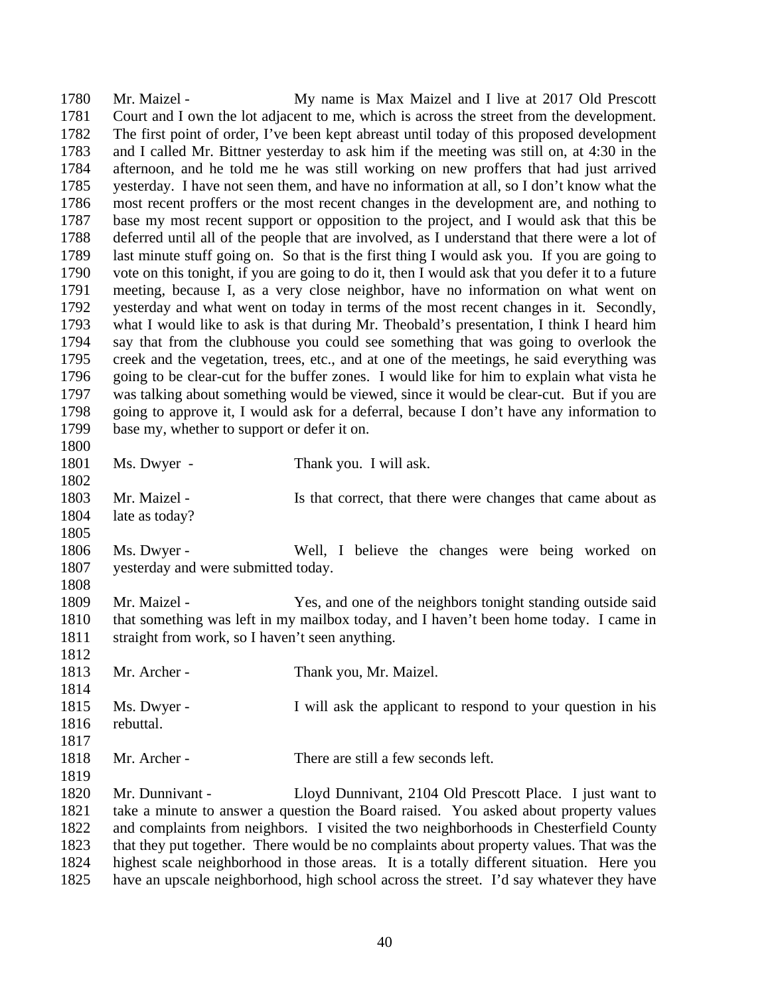Mr. Maizel - My name is Max Maizel and I live at 2017 Old Prescott Court and I own the lot adjacent to me, which is across the street from the development. The first point of order, I've been kept abreast until today of this proposed development and I called Mr. Bittner yesterday to ask him if the meeting was still on, at 4:30 in the afternoon, and he told me he was still working on new proffers that had just arrived yesterday. I have not seen them, and have no information at all, so I don't know what the most recent proffers or the most recent changes in the development are, and nothing to base my most recent support or opposition to the project, and I would ask that this be deferred until all of the people that are involved, as I understand that there were a lot of last minute stuff going on. So that is the first thing I would ask you. If you are going to vote on this tonight, if you are going to do it, then I would ask that you defer it to a future meeting, because I, as a very close neighbor, have no information on what went on yesterday and what went on today in terms of the most recent changes in it. Secondly, what I would like to ask is that during Mr. Theobald's presentation, I think I heard him say that from the clubhouse you could see something that was going to overlook the creek and the vegetation, trees, etc., and at one of the meetings, he said everything was going to be clear-cut for the buffer zones. I would like for him to explain what vista he was talking about something would be viewed, since it would be clear-cut. But if you are going to approve it, I would ask for a deferral, because I don't have any information to base my, whether to support or defer it on. Ms. Dwyer - Thank you. I will ask. 1803 Mr. Maizel - Is that correct, that there were changes that came about as late as today? Ms. Dwyer - Well, I believe the changes were being worked on yesterday and were submitted today. Mr. Maizel - Yes, and one of the neighbors tonight standing outside said that something was left in my mailbox today, and I haven't been home today. I came in straight from work, so I haven't seen anything. 1813 Mr. Archer - Thank you, Mr. Maizel. Ms. Dwyer - I will ask the applicant to respond to your question in his rebuttal. Mr. Archer - There are still a few seconds left. Mr. Dunnivant - Lloyd Dunnivant, 2104 Old Prescott Place. I just want to take a minute to answer a question the Board raised. You asked about property values and complaints from neighbors. I visited the two neighborhoods in Chesterfield County that they put together. There would be no complaints about property values. That was the highest scale neighborhood in those areas. It is a totally different situation. Here you have an upscale neighborhood, high school across the street. I'd say whatever they have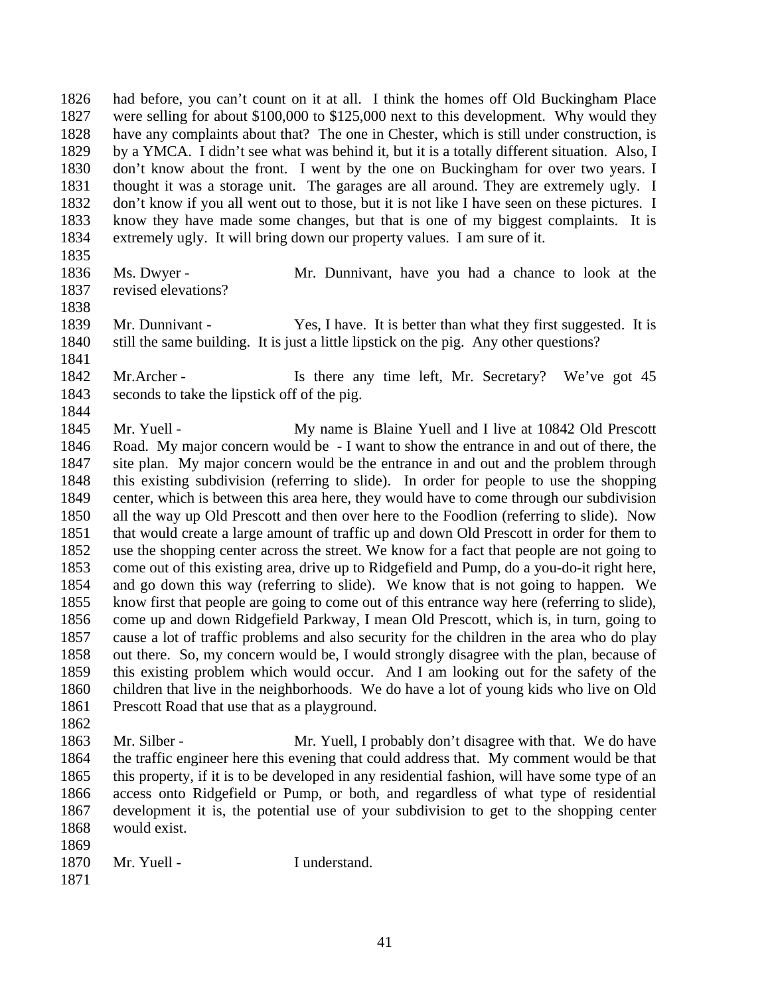had before, you can't count on it at all. I think the homes off Old Buckingham Place were selling for about \$100,000 to \$125,000 next to this development. Why would they have any complaints about that? The one in Chester, which is still under construction, is by a YMCA. I didn't see what was behind it, but it is a totally different situation. Also, I don't know about the front. I went by the one on Buckingham for over two years. I thought it was a storage unit. The garages are all around. They are extremely ugly. I don't know if you all went out to those, but it is not like I have seen on these pictures. I know they have made some changes, but that is one of my biggest complaints. It is extremely ugly. It will bring down our property values. I am sure of it.

- 
- 

 Ms. Dwyer - Mr. Dunnivant, have you had a chance to look at the revised elevations?

- 
- 

 Mr. Dunnivant - Yes, I have. It is better than what they first suggested. It is still the same building. It is just a little lipstick on the pig. Any other questions? 

1842 Mr. Archer - Is there any time left, Mr. Secretary? We've got 45 seconds to take the lipstick off of the pig.

1845 Mr. Yuell - My name is Blaine Yuell and I live at 10842 Old Prescott Road. My major concern would be - I want to show the entrance in and out of there, the site plan. My major concern would be the entrance in and out and the problem through this existing subdivision (referring to slide). In order for people to use the shopping center, which is between this area here, they would have to come through our subdivision all the way up Old Prescott and then over here to the Foodlion (referring to slide). Now that would create a large amount of traffic up and down Old Prescott in order for them to use the shopping center across the street. We know for a fact that people are not going to come out of this existing area, drive up to Ridgefield and Pump, do a you-do-it right here, and go down this way (referring to slide). We know that is not going to happen. We know first that people are going to come out of this entrance way here (referring to slide), come up and down Ridgefield Parkway, I mean Old Prescott, which is, in turn, going to cause a lot of traffic problems and also security for the children in the area who do play out there. So, my concern would be, I would strongly disagree with the plan, because of this existing problem which would occur. And I am looking out for the safety of the children that live in the neighborhoods. We do have a lot of young kids who live on Old Prescott Road that use that as a playground.

 Mr. Silber - Mr. Yuell, I probably don't disagree with that. We do have the traffic engineer here this evening that could address that. My comment would be that this property, if it is to be developed in any residential fashion, will have some type of an access onto Ridgefield or Pump, or both, and regardless of what type of residential development it is, the potential use of your subdivision to get to the shopping center would exist. 

| 1870 | Mr. Yuell - | I understand. |
|------|-------------|---------------|
|      |             |               |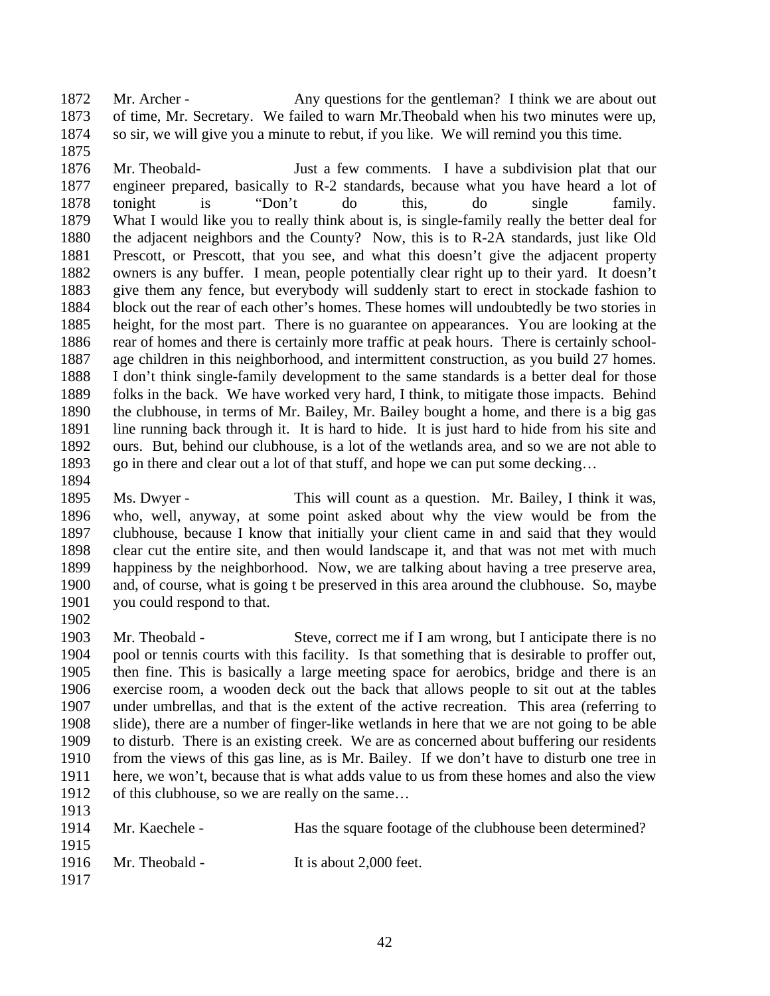1872 Mr. Archer - Any questions for the gentleman? I think we are about out of time, Mr. Secretary. We failed to warn Mr.Theobald when his two minutes were up, so sir, we will give you a minute to rebut, if you like. We will remind you this time.

 Mr. Theobald- Just a few comments. I have a subdivision plat that our engineer prepared, basically to R-2 standards, because what you have heard a lot of tonight is "Don't do this, do single family. What I would like you to really think about is, is single-family really the better deal for the adjacent neighbors and the County? Now, this is to R-2A standards, just like Old Prescott, or Prescott, that you see, and what this doesn't give the adjacent property owners is any buffer. I mean, people potentially clear right up to their yard. It doesn't give them any fence, but everybody will suddenly start to erect in stockade fashion to block out the rear of each other's homes. These homes will undoubtedly be two stories in height, for the most part. There is no guarantee on appearances. You are looking at the 1886 rear of homes and there is certainly more traffic at peak hours. There is certainly school- age children in this neighborhood, and intermittent construction, as you build 27 homes. I don't think single-family development to the same standards is a better deal for those 1889 folks in the back. We have worked very hard, I think, to mitigate those impacts. Behind the clubhouse, in terms of Mr. Bailey, Mr. Bailey bought a home, and there is a big gas line running back through it. It is hard to hide. It is just hard to hide from his site and ours. But, behind our clubhouse, is a lot of the wetlands area, and so we are not able to 1893 go in there and clear out a lot of that stuff, and hope we can put some decking...

 Ms. Dwyer - This will count as a question. Mr. Bailey, I think it was, who, well, anyway, at some point asked about why the view would be from the clubhouse, because I know that initially your client came in and said that they would clear cut the entire site, and then would landscape it, and that was not met with much happiness by the neighborhood. Now, we are talking about having a tree preserve area, and, of course, what is going t be preserved in this area around the clubhouse. So, maybe you could respond to that.

 Mr. Theobald - Steve, correct me if I am wrong, but I anticipate there is no pool or tennis courts with this facility. Is that something that is desirable to proffer out, then fine. This is basically a large meeting space for aerobics, bridge and there is an exercise room, a wooden deck out the back that allows people to sit out at the tables under umbrellas, and that is the extent of the active recreation. This area (referring to slide), there are a number of finger-like wetlands in here that we are not going to be able to disturb. There is an existing creek. We are as concerned about buffering our residents from the views of this gas line, as is Mr. Bailey. If we don't have to disturb one tree in here, we won't, because that is what adds value to us from these homes and also the view of this clubhouse, so we are really on the same…

 1914 Mr. Kaechele - Has the square footage of the clubhouse been determined? 1916 Mr. Theobald - It is about 2,000 feet.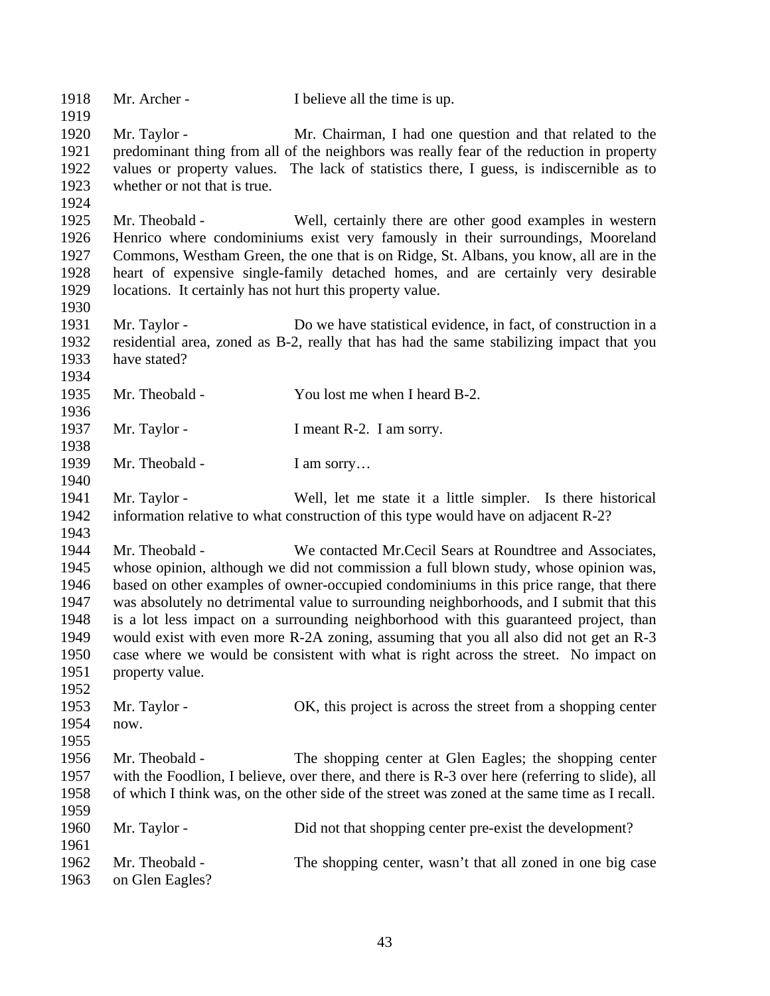| 1918<br>1919                                                         | Mr. Archer -                                                                | I believe all the time is up.                                                                                                                                                                                                                                                                                                                                                                                                                                                                                                                                                                                     |
|----------------------------------------------------------------------|-----------------------------------------------------------------------------|-------------------------------------------------------------------------------------------------------------------------------------------------------------------------------------------------------------------------------------------------------------------------------------------------------------------------------------------------------------------------------------------------------------------------------------------------------------------------------------------------------------------------------------------------------------------------------------------------------------------|
| 1920<br>1921<br>1922<br>1923<br>1924                                 | Mr. Taylor -<br>whether or not that is true.                                | Mr. Chairman, I had one question and that related to the<br>predominant thing from all of the neighbors was really fear of the reduction in property<br>values or property values. The lack of statistics there, I guess, is indiscernible as to                                                                                                                                                                                                                                                                                                                                                                  |
| 1925<br>1926<br>1927<br>1928<br>1929<br>1930                         | Mr. Theobald -<br>locations. It certainly has not hurt this property value. | Well, certainly there are other good examples in western<br>Henrico where condominiums exist very famously in their surroundings, Mooreland<br>Commons, Westham Green, the one that is on Ridge, St. Albans, you know, all are in the<br>heart of expensive single-family detached homes, and are certainly very desirable                                                                                                                                                                                                                                                                                        |
| 1931<br>1932<br>1933<br>1934                                         | Mr. Taylor -<br>have stated?                                                | Do we have statistical evidence, in fact, of construction in a<br>residential area, zoned as B-2, really that has had the same stabilizing impact that you                                                                                                                                                                                                                                                                                                                                                                                                                                                        |
| 1935<br>1936                                                         | Mr. Theobald -                                                              | You lost me when I heard B-2.                                                                                                                                                                                                                                                                                                                                                                                                                                                                                                                                                                                     |
| 1937<br>1938                                                         | Mr. Taylor -                                                                | I meant R-2. I am sorry.                                                                                                                                                                                                                                                                                                                                                                                                                                                                                                                                                                                          |
| 1939<br>1940                                                         | Mr. Theobald -                                                              | I am sorry                                                                                                                                                                                                                                                                                                                                                                                                                                                                                                                                                                                                        |
| 1941<br>1942<br>1943                                                 | Mr. Taylor -                                                                | Well, let me state it a little simpler. Is there historical<br>information relative to what construction of this type would have on adjacent R-2?                                                                                                                                                                                                                                                                                                                                                                                                                                                                 |
| 1944<br>1945<br>1946<br>1947<br>1948<br>1949<br>1950<br>1951<br>1952 | Mr. Theobald -<br>property value.                                           | We contacted Mr. Cecil Sears at Roundtree and Associates,<br>whose opinion, although we did not commission a full blown study, whose opinion was,<br>based on other examples of owner-occupied condominiums in this price range, that there<br>was absolutely no detrimental value to surrounding neighborhoods, and I submit that this<br>is a lot less impact on a surrounding neighborhood with this guaranteed project, than<br>would exist with even more R-2A zoning, assuming that you all also did not get an R-3<br>case where we would be consistent with what is right across the street. No impact on |
| 1953<br>1954<br>1955                                                 | Mr. Taylor -<br>now.                                                        | OK, this project is across the street from a shopping center                                                                                                                                                                                                                                                                                                                                                                                                                                                                                                                                                      |
| 1956<br>1957<br>1958                                                 | Mr. Theobald -                                                              | The shopping center at Glen Eagles; the shopping center<br>with the Foodlion, I believe, over there, and there is R-3 over here (referring to slide), all<br>of which I think was, on the other side of the street was zoned at the same time as I recall.                                                                                                                                                                                                                                                                                                                                                        |
| 1959<br>1960<br>1961                                                 | Mr. Taylor -                                                                | Did not that shopping center pre-exist the development?                                                                                                                                                                                                                                                                                                                                                                                                                                                                                                                                                           |
| 1962<br>1963                                                         | Mr. Theobald -<br>on Glen Eagles?                                           | The shopping center, wasn't that all zoned in one big case                                                                                                                                                                                                                                                                                                                                                                                                                                                                                                                                                        |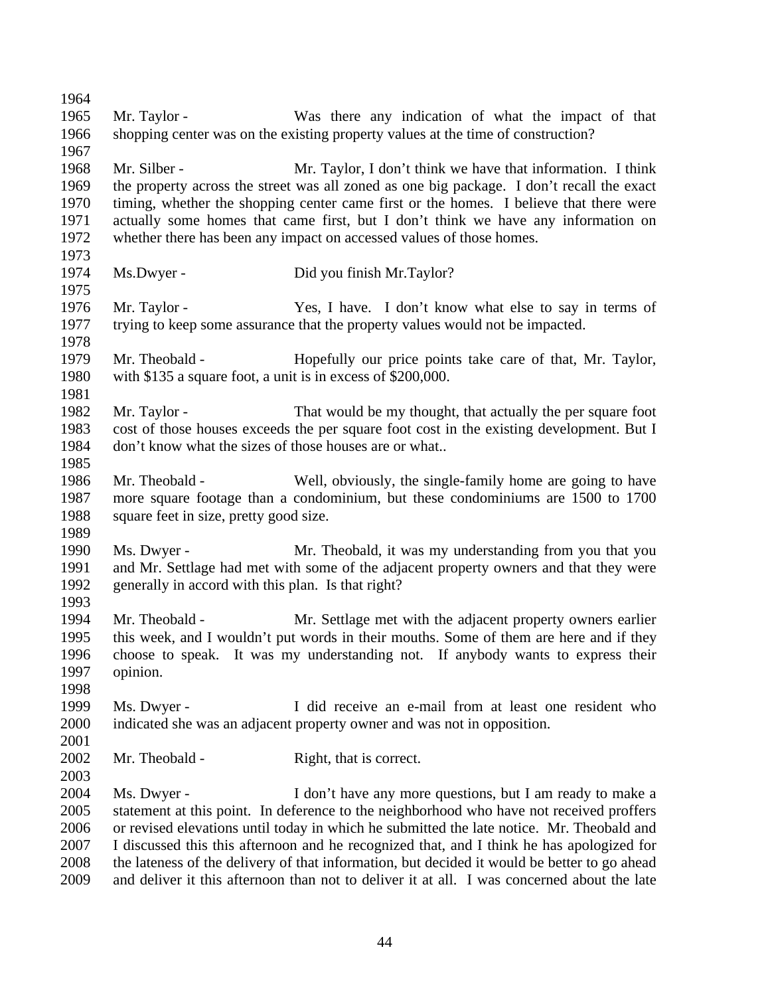Mr. Taylor - Was there any indication of what the impact of that shopping center was on the existing property values at the time of construction? Mr. Silber - Mr. Taylor, I don't think we have that information. I think the property across the street was all zoned as one big package. I don't recall the exact timing, whether the shopping center came first or the homes. I believe that there were actually some homes that came first, but I don't think we have any information on whether there has been any impact on accessed values of those homes. Ms.Dwyer - Did you finish Mr.Taylor? Mr. Taylor - Yes, I have. I don't know what else to say in terms of trying to keep some assurance that the property values would not be impacted. Mr. Theobald - Hopefully our price points take care of that, Mr. Taylor, with \$135 a square foot, a unit is in excess of \$200,000. 1982 Mr. Taylor - That would be my thought, that actually the per square foot cost of those houses exceeds the per square foot cost in the existing development. But I don't know what the sizes of those houses are or what.. Mr. Theobald - Well, obviously, the single-family home are going to have more square footage than a condominium, but these condominiums are 1500 to 1700 square feet in size, pretty good size. Ms. Dwyer - Mr. Theobald, it was my understanding from you that you and Mr. Settlage had met with some of the adjacent property owners and that they were generally in accord with this plan. Is that right? Mr. Theobald - Mr. Settlage met with the adjacent property owners earlier this week, and I wouldn't put words in their mouths. Some of them are here and if they choose to speak. It was my understanding not. If anybody wants to express their opinion. 1998<br>1999 Ms. Dwyer - I did receive an e-mail from at least one resident who indicated she was an adjacent property owner and was not in opposition. 2002 Mr. Theobald - Right, that is correct. Ms. Dwyer - I don't have any more questions, but I am ready to make a statement at this point. In deference to the neighborhood who have not received proffers or revised elevations until today in which he submitted the late notice. Mr. Theobald and I discussed this this afternoon and he recognized that, and I think he has apologized for the lateness of the delivery of that information, but decided it would be better to go ahead and deliver it this afternoon than not to deliver it at all. I was concerned about the late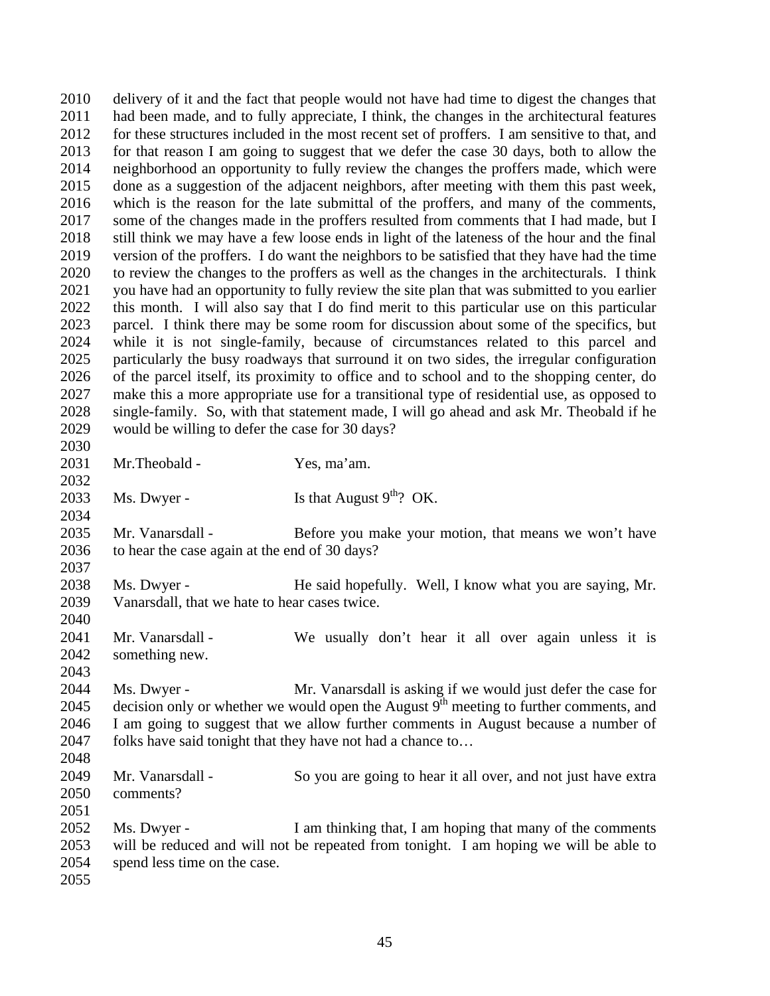delivery of it and the fact that people would not have had time to digest the changes that had been made, and to fully appreciate, I think, the changes in the architectural features for these structures included in the most recent set of proffers. I am sensitive to that, and for that reason I am going to suggest that we defer the case 30 days, both to allow the neighborhood an opportunity to fully review the changes the proffers made, which were done as a suggestion of the adjacent neighbors, after meeting with them this past week, which is the reason for the late submittal of the proffers, and many of the comments, some of the changes made in the proffers resulted from comments that I had made, but I still think we may have a few loose ends in light of the lateness of the hour and the final version of the proffers. I do want the neighbors to be satisfied that they have had the time to review the changes to the proffers as well as the changes in the architecturals. I think you have had an opportunity to fully review the site plan that was submitted to you earlier this month. I will also say that I do find merit to this particular use on this particular parcel. I think there may be some room for discussion about some of the specifics, but while it is not single-family, because of circumstances related to this parcel and particularly the busy roadways that surround it on two sides, the irregular configuration of the parcel itself, its proximity to office and to school and to the shopping center, do make this a more appropriate use for a transitional type of residential use, as opposed to single-family. So, with that statement made, I will go ahead and ask Mr. Theobald if he would be willing to defer the case for 30 days? Mr.Theobald - Yes, ma'am. 2033 Ms. Dwyer - Is that August  $9^{th}$ ? OK. 2035 Mr. Vanarsdall - Before you make your motion, that means we won't have to hear the case again at the end of 30 days? Ms. Dwyer - He said hopefully. Well, I know what you are saying, Mr. Vanarsdall, that we hate to hear cases twice. 2041 Mr. Vanarsdall - We usually don't hear it all over again unless it is something new. Ms. Dwyer - Mr. Vanarsdall is asking if we would just defer the case for 2045 decision only or whether we would open the August  $9<sup>th</sup>$  meeting to further comments, and I am going to suggest that we allow further comments in August because a number of 2047 folks have said tonight that they have not had a chance to... Mr. Vanarsdall - So you are going to hear it all over, and not just have extra comments? Ms. Dwyer - I am thinking that, I am hoping that many of the comments will be reduced and will not be repeated from tonight. I am hoping we will be able to spend less time on the case.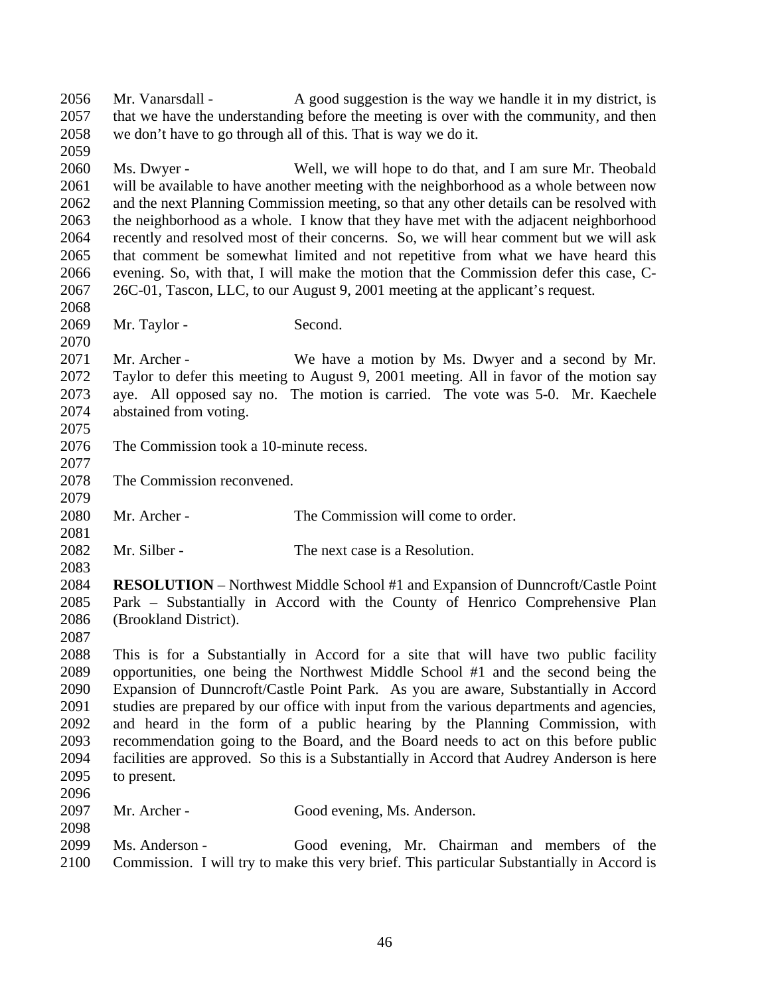Mr. Vanarsdall - A good suggestion is the way we handle it in my district, is that we have the understanding before the meeting is over with the community, and then we don't have to go through all of this. That is way we do it. Ms. Dwyer - Well, we will hope to do that, and I am sure Mr. Theobald will be available to have another meeting with the neighborhood as a whole between now and the next Planning Commission meeting, so that any other details can be resolved with the neighborhood as a whole. I know that they have met with the adjacent neighborhood recently and resolved most of their concerns. So, we will hear comment but we will ask that comment be somewhat limited and not repetitive from what we have heard this evening. So, with that, I will make the motion that the Commission defer this case, C- 26C-01, Tascon, LLC, to our August 9, 2001 meeting at the applicant's request. 2069 Mr. Taylor - Second. Mr. Archer - We have a motion by Ms. Dwyer and a second by Mr. Taylor to defer this meeting to August 9, 2001 meeting. All in favor of the motion say aye. All opposed say no. The motion is carried. The vote was 5-0. Mr. Kaechele abstained from voting. The Commission took a 10-minute recess. The Commission reconvened. Mr. Archer - The Commission will come to order. Mr. Silber - The next case is a Resolution. **RESOLUTION** – Northwest Middle School #1 and Expansion of Dunncroft/Castle Point Park – Substantially in Accord with the County of Henrico Comprehensive Plan (Brookland District). This is for a Substantially in Accord for a site that will have two public facility opportunities, one being the Northwest Middle School #1 and the second being the Expansion of Dunncroft/Castle Point Park. As you are aware, Substantially in Accord studies are prepared by our office with input from the various departments and agencies, and heard in the form of a public hearing by the Planning Commission, with recommendation going to the Board, and the Board needs to act on this before public facilities are approved. So this is a Substantially in Accord that Audrey Anderson is here to present. Mr. Archer - Good evening, Ms. Anderson. Ms. Anderson - Good evening, Mr. Chairman and members of the Commission. I will try to make this very brief. This particular Substantially in Accord is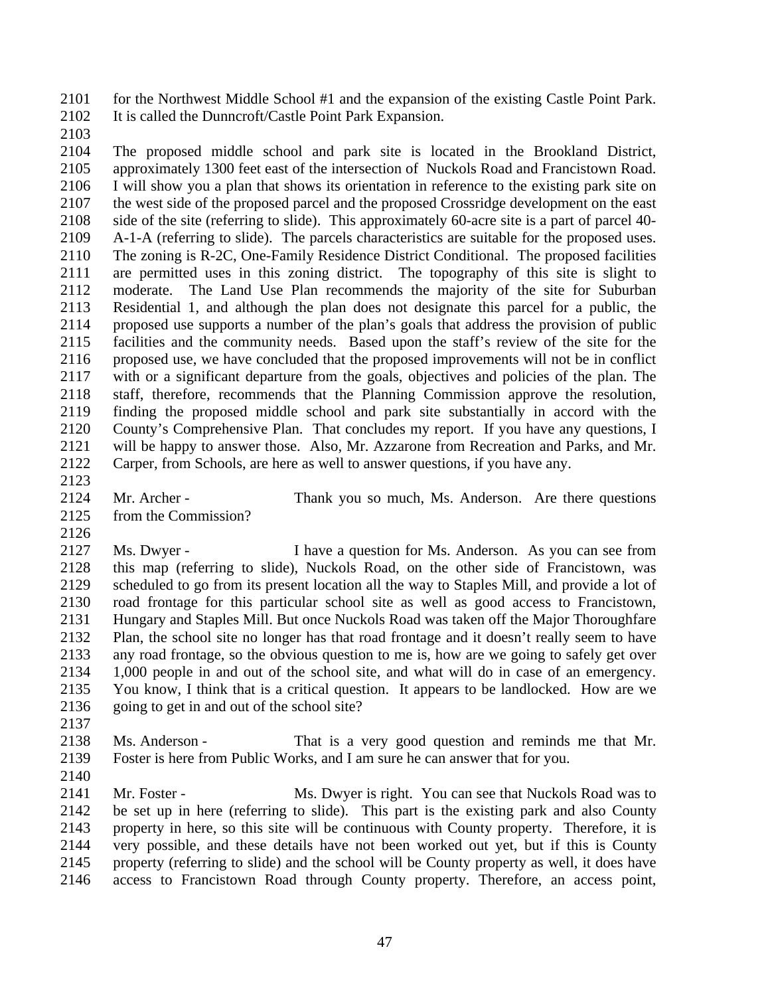for the Northwest Middle School #1 and the expansion of the existing Castle Point Park. It is called the Dunncroft/Castle Point Park Expansion.

 The proposed middle school and park site is located in the Brookland District, approximately 1300 feet east of the intersection of Nuckols Road and Francistown Road. I will show you a plan that shows its orientation in reference to the existing park site on the west side of the proposed parcel and the proposed Crossridge development on the east side of the site (referring to slide). This approximately 60-acre site is a part of parcel 40- A-1-A (referring to slide). The parcels characteristics are suitable for the proposed uses. The zoning is R-2C, One-Family Residence District Conditional. The proposed facilities are permitted uses in this zoning district. The topography of this site is slight to moderate. The Land Use Plan recommends the majority of the site for Suburban Residential 1, and although the plan does not designate this parcel for a public, the proposed use supports a number of the plan's goals that address the provision of public facilities and the community needs. Based upon the staff's review of the site for the proposed use, we have concluded that the proposed improvements will not be in conflict with or a significant departure from the goals, objectives and policies of the plan. The staff, therefore, recommends that the Planning Commission approve the resolution, finding the proposed middle school and park site substantially in accord with the County's Comprehensive Plan. That concludes my report. If you have any questions, I will be happy to answer those. Also, Mr. Azzarone from Recreation and Parks, and Mr. Carper, from Schools, are here as well to answer questions, if you have any.

- 
- from the Commission?

Mr. Archer - Thank you so much, Ms. Anderson. Are there questions

 Ms. Dwyer - I have a question for Ms. Anderson. As you can see from this map (referring to slide), Nuckols Road, on the other side of Francistown, was scheduled to go from its present location all the way to Staples Mill, and provide a lot of road frontage for this particular school site as well as good access to Francistown, Hungary and Staples Mill. But once Nuckols Road was taken off the Major Thoroughfare Plan, the school site no longer has that road frontage and it doesn't really seem to have any road frontage, so the obvious question to me is, how are we going to safely get over 1,000 people in and out of the school site, and what will do in case of an emergency. You know, I think that is a critical question. It appears to be landlocked. How are we 2136 going to get in and out of the school site?

 Ms. Anderson - That is a very good question and reminds me that Mr. Foster is here from Public Works, and I am sure he can answer that for you.

2141 Mr. Foster - Ms. Dwyer is right. You can see that Nuckols Road was to be set up in here (referring to slide). This part is the existing park and also County property in here, so this site will be continuous with County property. Therefore, it is very possible, and these details have not been worked out yet, but if this is County property (referring to slide) and the school will be County property as well, it does have access to Francistown Road through County property. Therefore, an access point,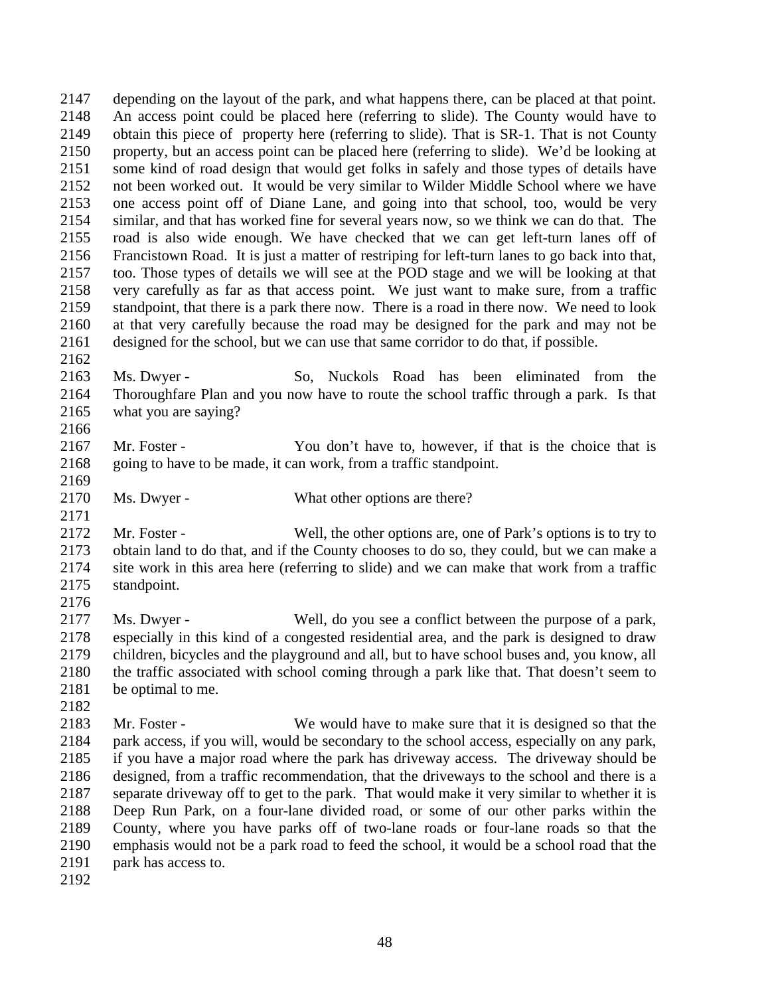depending on the layout of the park, and what happens there, can be placed at that point. 2148 An access point could be placed here (referring to slide). The County would have to 2149 obtain this piece of property here (referring to slide). That is SR-1. That is not County obtain this piece of property here (referring to slide). That is SR-1. That is not County property, but an access point can be placed here (referring to slide). We'd be looking at some kind of road design that would get folks in safely and those types of details have not been worked out. It would be very similar to Wilder Middle School where we have one access point off of Diane Lane, and going into that school, too, would be very similar, and that has worked fine for several years now, so we think we can do that. The road is also wide enough. We have checked that we can get left-turn lanes off of Francistown Road. It is just a matter of restriping for left-turn lanes to go back into that, too. Those types of details we will see at the POD stage and we will be looking at that very carefully as far as that access point. We just want to make sure, from a traffic standpoint, that there is a park there now. There is a road in there now. We need to look at that very carefully because the road may be designed for the park and may not be designed for the school, but we can use that same corridor to do that, if possible.

 Ms. Dwyer - So, Nuckols Road has been eliminated from the Thoroughfare Plan and you now have to route the school traffic through a park. Is that what you are saying?

 Mr. Foster - You don't have to, however, if that is the choice that is going to have to be made, it can work, from a traffic standpoint.

2170 Ms. Dwyer - What other options are there?

 Mr. Foster - Well, the other options are, one of Park's options is to try to obtain land to do that, and if the County chooses to do so, they could, but we can make a site work in this area here (referring to slide) and we can make that work from a traffic standpoint.

 Ms. Dwyer - Well, do you see a conflict between the purpose of a park, especially in this kind of a congested residential area, and the park is designed to draw children, bicycles and the playground and all, but to have school buses and, you know, all the traffic associated with school coming through a park like that. That doesn't seem to be optimal to me.

2183 Mr. Foster - We would have to make sure that it is designed so that the 2184 nark access, if you will, would be secondary to the school access, especially on any park, park access, if you will, would be secondary to the school access, especially on any park, if you have a major road where the park has driveway access. The driveway should be designed, from a traffic recommendation, that the driveways to the school and there is a separate driveway off to get to the park. That would make it very similar to whether it is Deep Run Park, on a four-lane divided road, or some of our other parks within the County, where you have parks off of two-lane roads or four-lane roads so that the emphasis would not be a park road to feed the school, it would be a school road that the park has access to.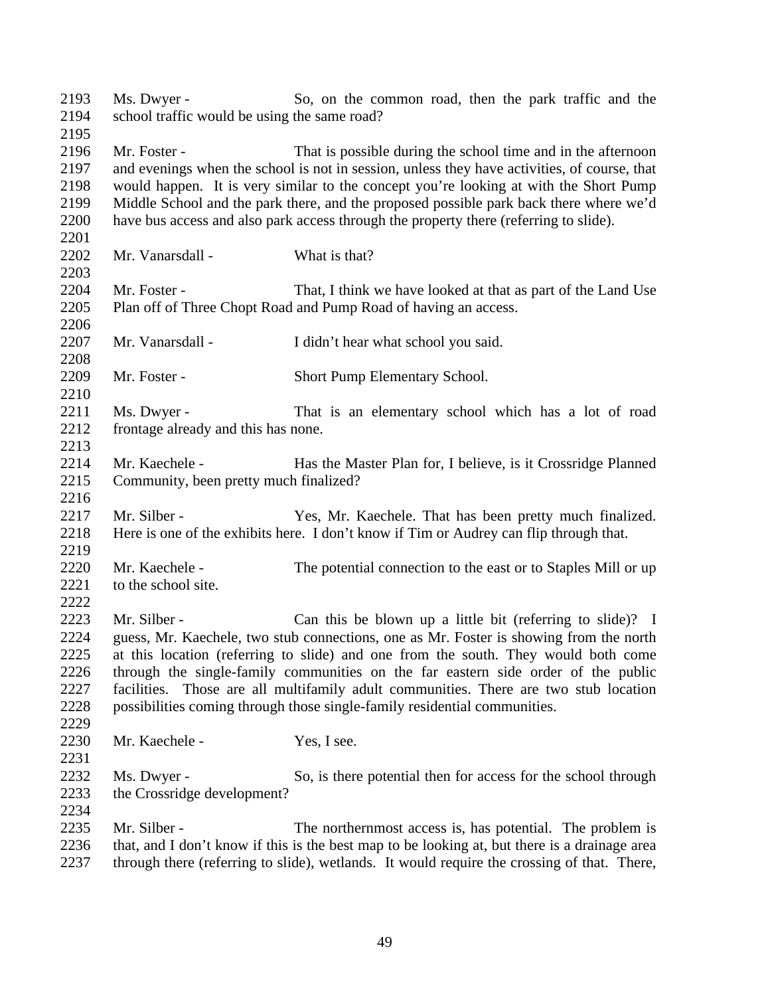| 2193 | Ms. Dwyer -                                                                                                                                                       | So, on the common road, then the park traffic and the                                        |  |
|------|-------------------------------------------------------------------------------------------------------------------------------------------------------------------|----------------------------------------------------------------------------------------------|--|
| 2194 | school traffic would be using the same road?                                                                                                                      |                                                                                              |  |
| 2195 |                                                                                                                                                                   |                                                                                              |  |
| 2196 | Mr. Foster -                                                                                                                                                      | That is possible during the school time and in the afternoon                                 |  |
| 2197 |                                                                                                                                                                   | and evenings when the school is not in session, unless they have activities, of course, that |  |
| 2198 | would happen. It is very similar to the concept you're looking at with the Short Pump                                                                             |                                                                                              |  |
| 2199 |                                                                                                                                                                   | Middle School and the park there, and the proposed possible park back there where we'd       |  |
| 2200 |                                                                                                                                                                   | have bus access and also park access through the property there (referring to slide).        |  |
| 2201 |                                                                                                                                                                   |                                                                                              |  |
| 2202 | Mr. Vanarsdall -                                                                                                                                                  | What is that?                                                                                |  |
| 2203 |                                                                                                                                                                   |                                                                                              |  |
| 2204 | Mr. Foster -                                                                                                                                                      | That, I think we have looked at that as part of the Land Use                                 |  |
| 2205 |                                                                                                                                                                   | Plan off of Three Chopt Road and Pump Road of having an access.                              |  |
| 2206 |                                                                                                                                                                   |                                                                                              |  |
| 2207 | Mr. Vanarsdall -                                                                                                                                                  | I didn't hear what school you said.                                                          |  |
| 2208 |                                                                                                                                                                   |                                                                                              |  |
| 2209 | Mr. Foster -                                                                                                                                                      | Short Pump Elementary School.                                                                |  |
| 2210 |                                                                                                                                                                   |                                                                                              |  |
| 2211 | Ms. Dwyer -                                                                                                                                                       | That is an elementary school which has a lot of road                                         |  |
| 2212 | frontage already and this has none.                                                                                                                               |                                                                                              |  |
| 2213 |                                                                                                                                                                   |                                                                                              |  |
| 2214 | Mr. Kaechele -                                                                                                                                                    | Has the Master Plan for, I believe, is it Crossridge Planned                                 |  |
| 2215 | Community, been pretty much finalized?                                                                                                                            |                                                                                              |  |
| 2216 |                                                                                                                                                                   |                                                                                              |  |
| 2217 | Mr. Silber -                                                                                                                                                      | Yes, Mr. Kaechele. That has been pretty much finalized.                                      |  |
| 2218 |                                                                                                                                                                   | Here is one of the exhibits here. I don't know if Tim or Audrey can flip through that.       |  |
| 2219 |                                                                                                                                                                   |                                                                                              |  |
| 2220 | Mr. Kaechele -                                                                                                                                                    | The potential connection to the east or to Staples Mill or up                                |  |
| 2221 | to the school site.                                                                                                                                               |                                                                                              |  |
| 2222 |                                                                                                                                                                   |                                                                                              |  |
| 2223 | Mr. Silber -                                                                                                                                                      | Can this be blown up a little bit (referring to slide)? I                                    |  |
| 2224 |                                                                                                                                                                   | guess, Mr. Kaechele, two stub connections, one as Mr. Foster is showing from the north       |  |
| 2225 |                                                                                                                                                                   | at this location (referring to slide) and one from the south. They would both come           |  |
| 2226 |                                                                                                                                                                   |                                                                                              |  |
| 2227 | through the single-family communities on the far eastern side order of the public                                                                                 |                                                                                              |  |
| 2228 | facilities. Those are all multifamily adult communities. There are two stub location<br>possibilities coming through those single-family residential communities. |                                                                                              |  |
| 2229 |                                                                                                                                                                   |                                                                                              |  |
| 2230 | Mr. Kaechele -                                                                                                                                                    | Yes, I see.                                                                                  |  |
| 2231 |                                                                                                                                                                   |                                                                                              |  |
|      |                                                                                                                                                                   |                                                                                              |  |
| 2232 | Ms. Dwyer -                                                                                                                                                       | So, is there potential then for access for the school through                                |  |
| 2233 | the Crossridge development?                                                                                                                                       |                                                                                              |  |
| 2234 |                                                                                                                                                                   |                                                                                              |  |
| 2235 | Mr. Silber -                                                                                                                                                      | The northernmost access is, has potential. The problem is                                    |  |
| 2236 | that, and I don't know if this is the best map to be looking at, but there is a drainage area                                                                     |                                                                                              |  |
| 2237 | through there (referring to slide), wetlands. It would require the crossing of that. There,                                                                       |                                                                                              |  |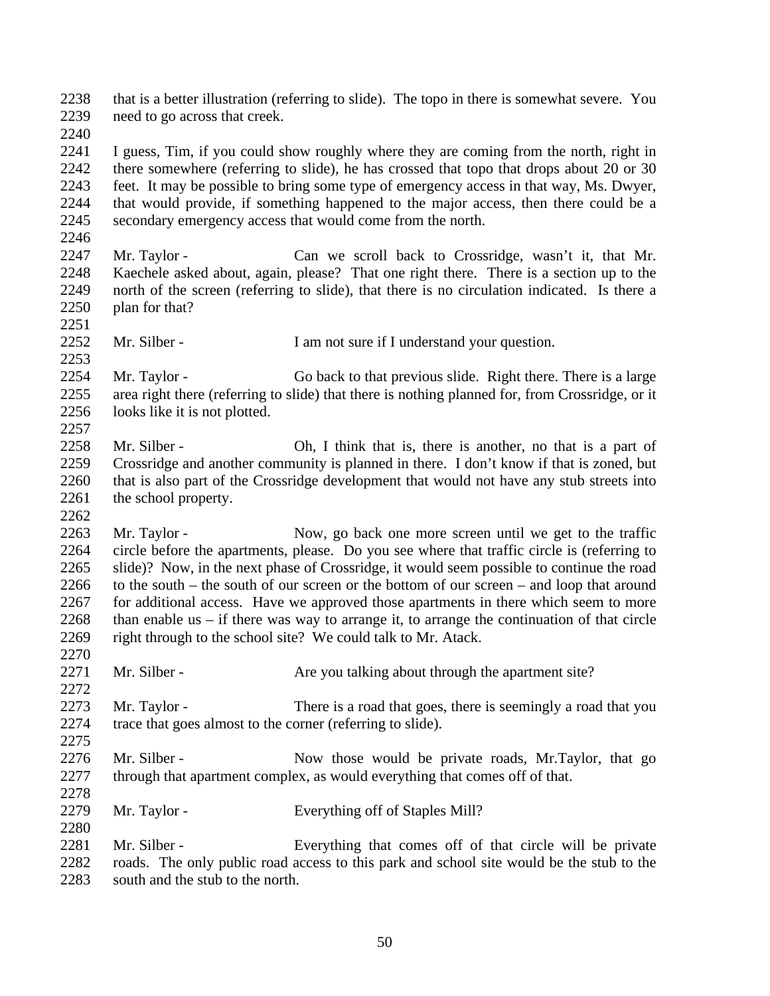that is a better illustration (referring to slide). The topo in there is somewhat severe. You need to go across that creek.

 I guess, Tim, if you could show roughly where they are coming from the north, right in there somewhere (referring to slide), he has crossed that topo that drops about 20 or 30 feet. It may be possible to bring some type of emergency access in that way, Ms. Dwyer, that would provide, if something happened to the major access, then there could be a secondary emergency access that would come from the north.

- 2247 Mr. Taylor Can we scroll back to Crossridge, wasn't it, that Mr. Kaechele asked about, again, please? That one right there. There is a section up to the north of the screen (referring to slide), that there is no circulation indicated. Is there a plan for that?
- 2252 Mr. Silber I am not sure if I understand your question.

 Mr. Taylor - Go back to that previous slide. Right there. There is a large area right there (referring to slide) that there is nothing planned for, from Crossridge, or it 2256 looks like it is not plotted. 

 Mr. Silber - Oh, I think that is, there is another, no that is a part of Crossridge and another community is planned in there. I don't know if that is zoned, but that is also part of the Crossridge development that would not have any stub streets into 2261 the school property.

2263 Mr. Taylor - Now, go back one more screen until we get to the traffic circle before the apartments, please. Do you see where that traffic circle is (referring to slide)? Now, in the next phase of Crossridge, it would seem possible to continue the road to the south – the south of our screen or the bottom of our screen – and loop that around for additional access. Have we approved those apartments in there which seem to more 2268 than enable us – if there was way to arrange it, to arrange the continuation of that circle right through to the school site? We could talk to Mr. Atack. 

- 2271 Mr. Silber Are you talking about through the apartment site?
- Mr. Taylor There is a road that goes, there is seemingly a road that you trace that goes almost to the corner (referring to slide).
- 2276 Mr. Silber Now those would be private roads, Mr. Taylor, that go through that apartment complex, as would everything that comes off of that.
- Mr. Taylor Everything off of Staples Mill?

2281 Mr. Silber - Everything that comes off of that circle will be private roads. The only public road access to this park and school site would be the stub to the 2283 south and the stub to the north.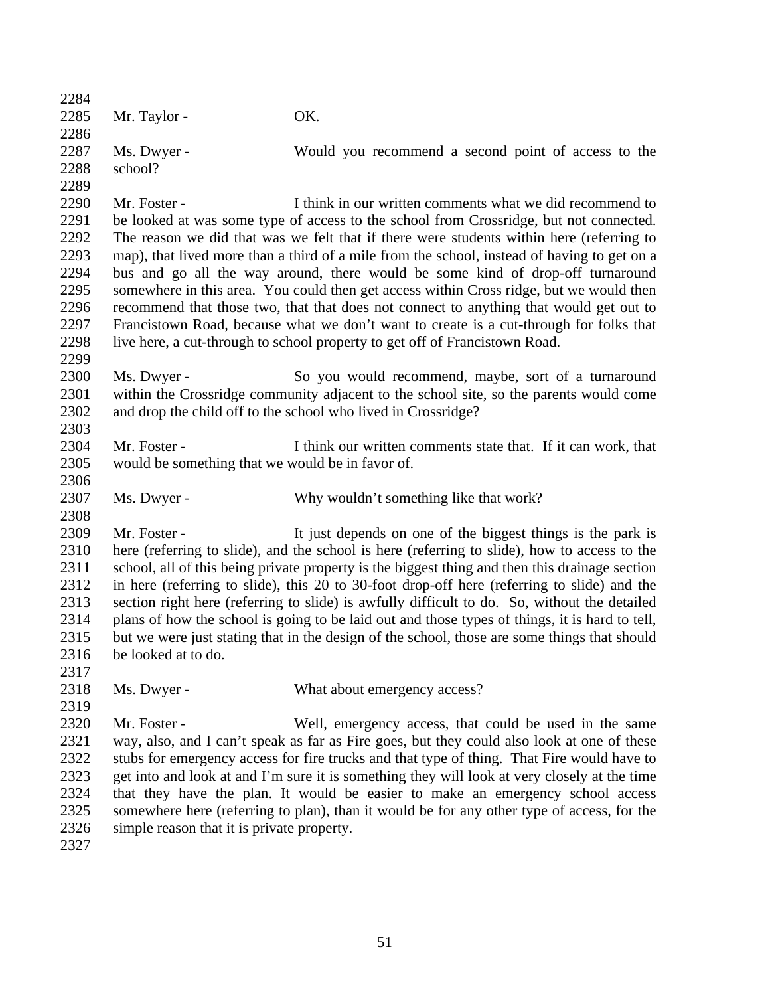| 2284 |                                                                                                |                                                                                                |  |
|------|------------------------------------------------------------------------------------------------|------------------------------------------------------------------------------------------------|--|
| 2285 | Mr. Taylor -                                                                                   | OK.                                                                                            |  |
| 2286 |                                                                                                |                                                                                                |  |
| 2287 | Ms. Dwyer -                                                                                    | Would you recommend a second point of access to the                                            |  |
| 2288 | school?                                                                                        |                                                                                                |  |
| 2289 |                                                                                                |                                                                                                |  |
| 2290 | Mr. Foster -                                                                                   | I think in our written comments what we did recommend to                                       |  |
| 2291 |                                                                                                | be looked at was some type of access to the school from Crossridge, but not connected.         |  |
| 2292 | The reason we did that was we felt that if there were students within here (referring to       |                                                                                                |  |
| 2293 | map), that lived more than a third of a mile from the school, instead of having to get on a    |                                                                                                |  |
| 2294 | bus and go all the way around, there would be some kind of drop-off turnaround                 |                                                                                                |  |
| 2295 | somewhere in this area. You could then get access within Cross ridge, but we would then        |                                                                                                |  |
| 2296 | recommend that those two, that that does not connect to anything that would get out to         |                                                                                                |  |
| 2297 | Francistown Road, because what we don't want to create is a cut-through for folks that         |                                                                                                |  |
| 2298 |                                                                                                | live here, a cut-through to school property to get off of Francistown Road.                    |  |
| 2299 |                                                                                                |                                                                                                |  |
| 2300 | Ms. Dwyer -                                                                                    | So you would recommend, maybe, sort of a turnaround                                            |  |
| 2301 |                                                                                                | within the Crossridge community adjacent to the school site, so the parents would come         |  |
| 2302 | and drop the child off to the school who lived in Crossridge?                                  |                                                                                                |  |
| 2303 |                                                                                                |                                                                                                |  |
| 2304 | Mr. Foster -                                                                                   | I think our written comments state that. If it can work, that                                  |  |
| 2305 | would be something that we would be in favor of.                                               |                                                                                                |  |
| 2306 |                                                                                                |                                                                                                |  |
| 2307 | Ms. Dwyer -                                                                                    | Why wouldn't something like that work?                                                         |  |
| 2308 |                                                                                                |                                                                                                |  |
| 2309 | Mr. Foster -                                                                                   | It just depends on one of the biggest things is the park is                                    |  |
| 2310 |                                                                                                | here (referring to slide), and the school is here (referring to slide), how to access to the   |  |
| 2311 |                                                                                                | school, all of this being private property is the biggest thing and then this drainage section |  |
| 2312 | in here (referring to slide), this 20 to 30-foot drop-off here (referring to slide) and the    |                                                                                                |  |
| 2313 |                                                                                                | section right here (referring to slide) is awfully difficult to do. So, without the detailed   |  |
| 2314 | plans of how the school is going to be laid out and those types of things, it is hard to tell, |                                                                                                |  |
| 2315 | but we were just stating that in the design of the school, those are some things that should   |                                                                                                |  |
| 2316 | be looked at to do.                                                                            |                                                                                                |  |
| 2317 |                                                                                                |                                                                                                |  |
| 2318 | Ms. Dwyer -                                                                                    | What about emergency access?                                                                   |  |
| 2319 |                                                                                                |                                                                                                |  |
| 2320 | Mr. Foster -                                                                                   | Well, emergency access, that could be used in the same                                         |  |
| 2321 |                                                                                                | way, also, and I can't speak as far as Fire goes, but they could also look at one of these     |  |
| 2322 | stubs for emergency access for fire trucks and that type of thing. That Fire would have to     |                                                                                                |  |
| 2323 | get into and look at and I'm sure it is something they will look at very closely at the time   |                                                                                                |  |
| 2324 | that they have the plan. It would be easier to make an emergency school access                 |                                                                                                |  |
| 2325 | somewhere here (referring to plan), than it would be for any other type of access, for the     |                                                                                                |  |
| 2326 | simple reason that it is private property.                                                     |                                                                                                |  |
| 2327 |                                                                                                |                                                                                                |  |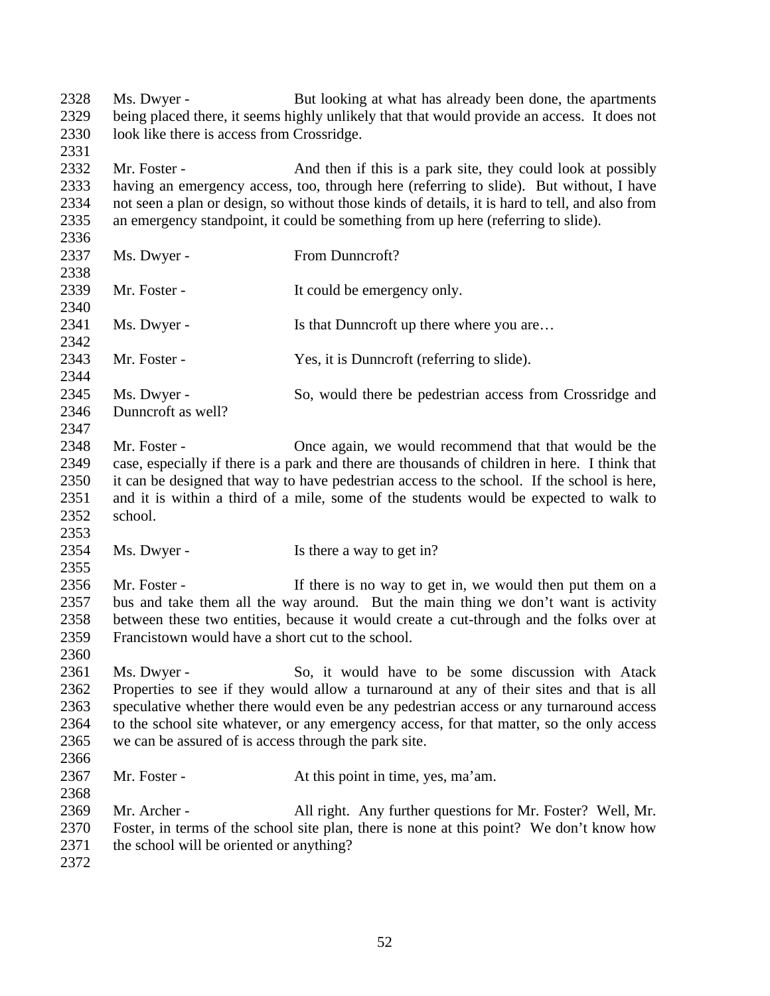2328 Ms. Dwyer - But looking at what has already been done, the apartments being placed there, it seems highly unlikely that that would provide an access. It does not look like there is access from Crossridge. 2332 Mr. Foster - And then if this is a park site, they could look at possibly having an emergency access, too, through here (referring to slide). But without, I have not seen a plan or design, so without those kinds of details, it is hard to tell, and also from an emergency standpoint, it could be something from up here (referring to slide). 

- 2337 Ms. Dwyer From Dunncroft? 2339 Mr. Foster - It could be emergency only. 2341 Ms. Dwyer - Is that Dunncroft up there where you are... 2343 Mr. Foster - Yes, it is Dunncroft (referring to slide). 2345 Ms. Dwyer - So, would there be pedestrian access from Crossridge and Dunncroft as well? 2348 Mr. Foster - Once again, we would recommend that that would be the case, especially if there is a park and there are thousands of children in here. I think that it can be designed that way to have pedestrian access to the school. If the school is here, and it is within a third of a mile, some of the students would be expected to walk to school.
- 2354 Ms. Dwyer Is there a way to get in?

2356 Mr. Foster - If there is no way to get in, we would then put them on a bus and take them all the way around. But the main thing we don't want is activity between these two entities, because it would create a cut-through and the folks over at Francistown would have a short cut to the school.

- 2361 Ms. Dwyer So, it would have to be some discussion with Atack Properties to see if they would allow a turnaround at any of their sites and that is all speculative whether there would even be any pedestrian access or any turnaround access to the school site whatever, or any emergency access, for that matter, so the only access we can be assured of is access through the park site.
- Mr. Foster At this point in time, yes, ma'am.

 Mr. Archer - All right. Any further questions for Mr. Foster? Well, Mr. Foster, in terms of the school site plan, there is none at this point? We don't know how the school will be oriented or anything?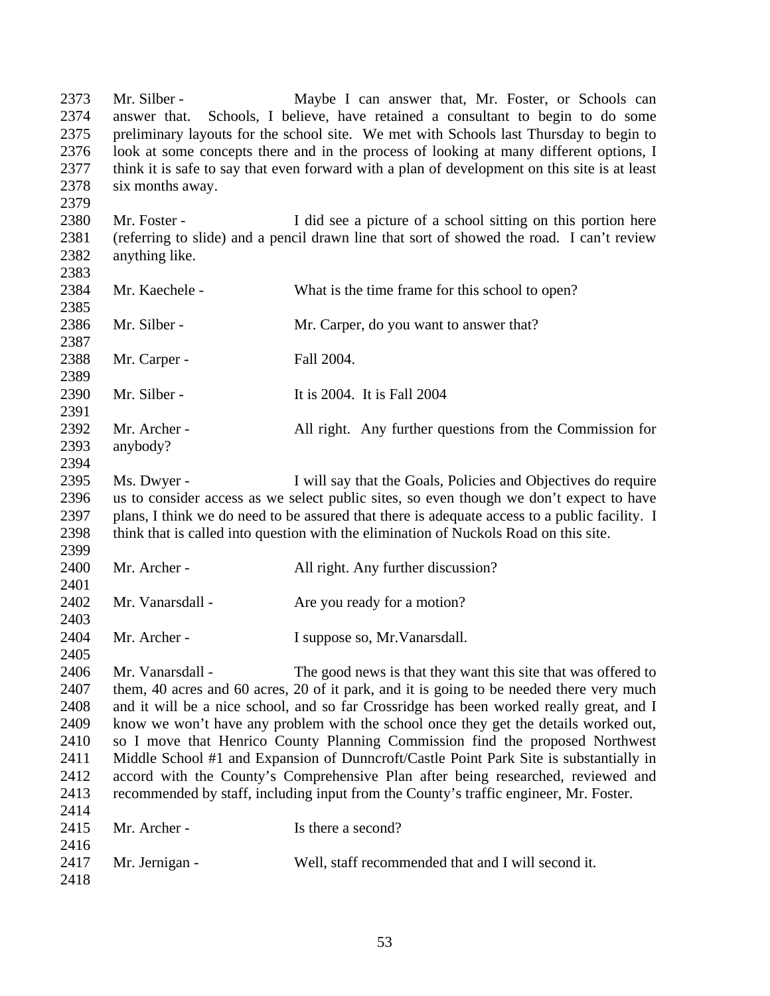2373 Mr. Silber - Maybe I can answer that, Mr. Foster, or Schools can answer that. Schools, I believe, have retained a consultant to begin to do some preliminary layouts for the school site. We met with Schools last Thursday to begin to look at some concepts there and in the process of looking at many different options, I think it is safe to say that even forward with a plan of development on this site is at least six months away. Mr. Foster - I did see a picture of a school sitting on this portion here (referring to slide) and a pencil drawn line that sort of showed the road. I can't review anything like. 2384 Mr. Kaechele - What is the time frame for this school to open? 2386 Mr. Silber - Mr. Carper, do you want to answer that? Mr. Carper - Fall 2004. Mr. Silber - It is 2004. It is Fall 2004 2392 Mr. Archer - All right. Any further questions from the Commission for anybody? Ms. Dwyer - I will say that the Goals, Policies and Objectives do require us to consider access as we select public sites, so even though we don't expect to have plans, I think we do need to be assured that there is adequate access to a public facility. I think that is called into question with the elimination of Nuckols Road on this site. 2400 Mr. Archer - All right. Any further discussion? 2402 Mr. Vanarsdall - Are you ready for a motion? Mr. Archer - I suppose so, Mr.Vanarsdall. Mr. Vanarsdall - The good news is that they want this site that was offered to them, 40 acres and 60 acres, 20 of it park, and it is going to be needed there very much and it will be a nice school, and so far Crossridge has been worked really great, and I know we won't have any problem with the school once they get the details worked out, so I move that Henrico County Planning Commission find the proposed Northwest Middle School #1 and Expansion of Dunncroft/Castle Point Park Site is substantially in accord with the County's Comprehensive Plan after being researched, reviewed and recommended by staff, including input from the County's traffic engineer, Mr. Foster. 2415 Mr. Archer - Is there a second? Mr. Jernigan - Well, staff recommended that and I will second it.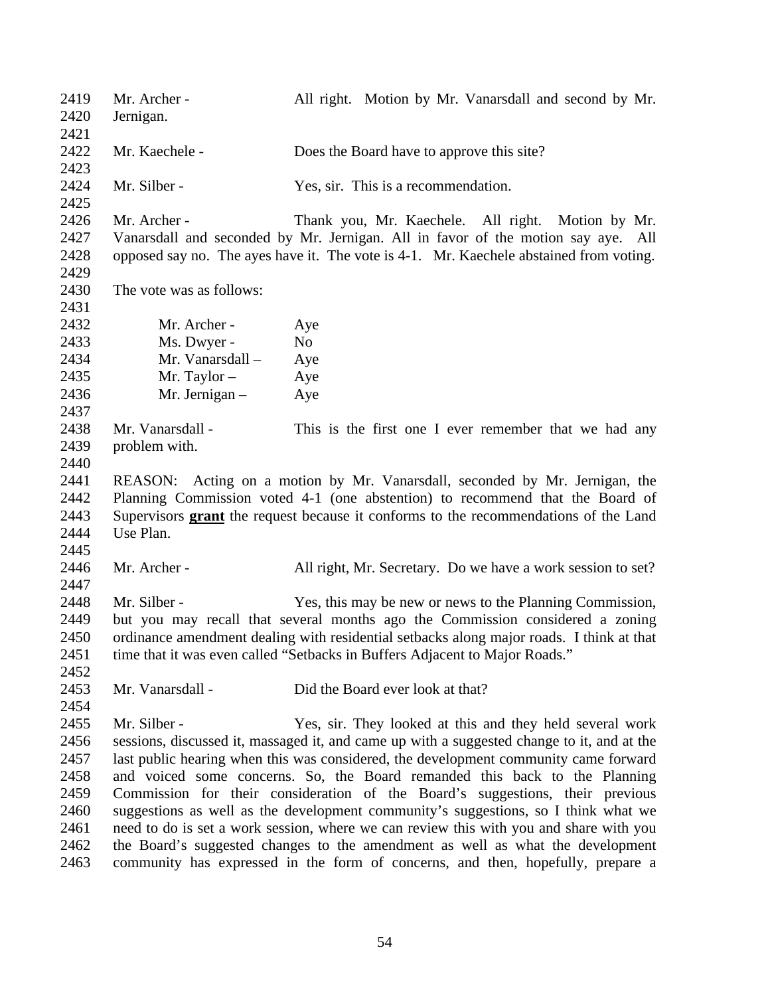Mr. Archer - All right. Motion by Mr. Vanarsdall and second by Mr. Jernigan. 2422 Mr. Kaechele - Does the Board have to approve this site? Mr. Silber - Yes, sir. This is a recommendation. Mr. Archer - Thank you, Mr. Kaechele. All right. Motion by Mr. Vanarsdall and seconded by Mr. Jernigan. All in favor of the motion say aye. All opposed say no. The ayes have it. The vote is 4-1. Mr. Kaechele abstained from voting. The vote was as follows: Mr. Archer - Aye 2433 Ms. Dwyer - No Mr. Vanarsdall – Aye Mr. Taylor – Aye Mr. Jernigan – Aye 2438 Mr. Vanarsdall - This is the first one I ever remember that we had any problem with. REASON: Acting on a motion by Mr. Vanarsdall, seconded by Mr. Jernigan, the Planning Commission voted 4-1 (one abstention) to recommend that the Board of Supervisors **grant** the request because it conforms to the recommendations of the Land Use Plan. Mr. Archer - All right, Mr. Secretary. Do we have a work session to set? Mr. Silber - Yes, this may be new or news to the Planning Commission, but you may recall that several months ago the Commission considered a zoning ordinance amendment dealing with residential setbacks along major roads. I think at that 2451 time that it was even called "Setbacks in Buffers Adjacent to Major Roads." Mr. Vanarsdall - Did the Board ever look at that? Mr. Silber - Yes, sir. They looked at this and they held several work sessions, discussed it, massaged it, and came up with a suggested change to it, and at the last public hearing when this was considered, the development community came forward and voiced some concerns. So, the Board remanded this back to the Planning Commission for their consideration of the Board's suggestions, their previous suggestions as well as the development community's suggestions, so I think what we need to do is set a work session, where we can review this with you and share with you the Board's suggested changes to the amendment as well as what the development community has expressed in the form of concerns, and then, hopefully, prepare a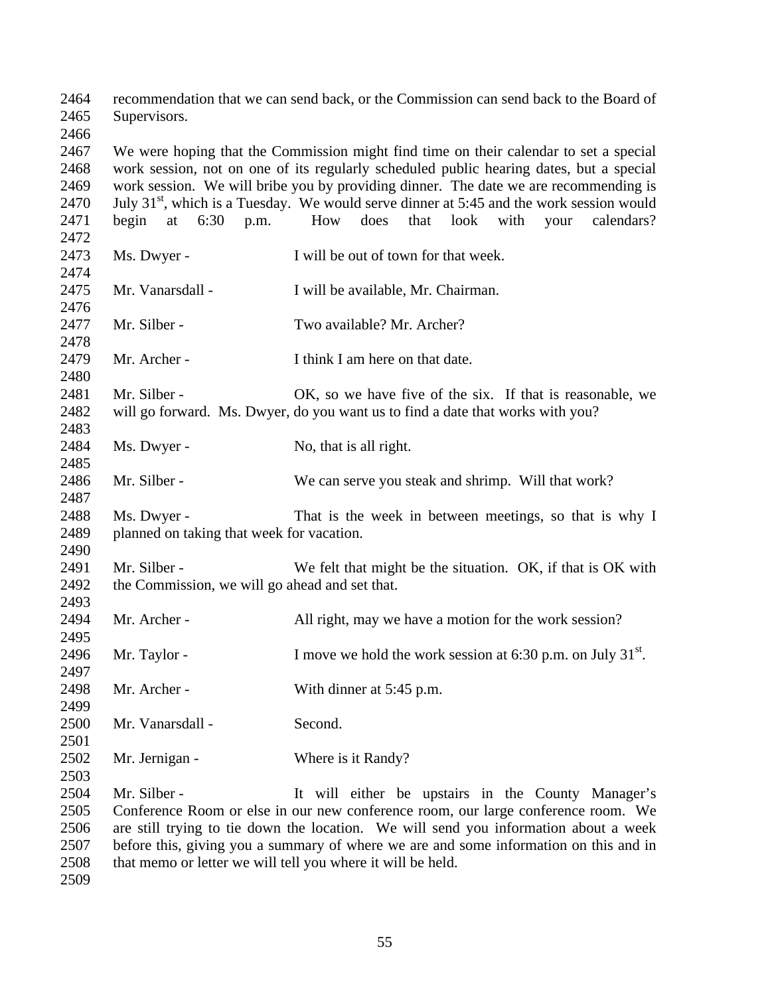recommendation that we can send back, or the Commission can send back to the Board of Supervisors. We were hoping that the Commission might find time on their calendar to set a special work session, not on one of its regularly scheduled public hearing dates, but a special work session. We will bribe you by providing dinner. The date we are recommending is 2470 July  $31<sup>st</sup>$ , which is a Tuesday. We would serve dinner at 5:45 and the work session would begin at 6:30 p.m. How does that look with your calendars? Ms. Dwyer - I will be out of town for that week. Mr. Vanarsdall - I will be available, Mr. Chairman. Mr. Silber - Two available? Mr. Archer? 2479 Mr. Archer - I think I am here on that date. 2481 Mr. Silber - OK, so we have five of the six. If that is reasonable, we will go forward. Ms. Dwyer, do you want us to find a date that works with you? 2484 Ms. Dwyer - No, that is all right. Mr. Silber - We can serve you steak and shrimp. Will that work? Ms. Dwyer - That is the week in between meetings, so that is why I planned on taking that week for vacation. 2491 Mr. Silber - We felt that might be the situation. OK, if that is OK with the Commission, we will go ahead and set that. Mr. Archer - All right, may we have a motion for the work session? 2496 Mr. Taylor - I move we hold the work session at 6:30 p.m. on July  $31<sup>st</sup>$ . 2498 Mr. Archer - With dinner at 5:45 p.m. Mr. Vanarsdall - Second. 2502 Mr. Jernigan - Where is it Randy? Mr. Silber - It will either be upstairs in the County Manager's Conference Room or else in our new conference room, our large conference room. We are still trying to tie down the location. We will send you information about a week before this, giving you a summary of where we are and some information on this and in that memo or letter we will tell you where it will be held.